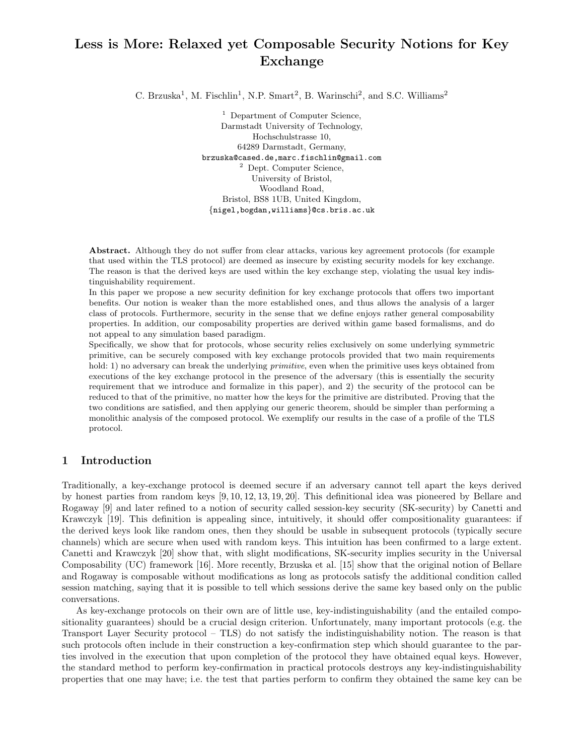# Less is More: Relaxed yet Composable Security Notions for Key Exchange

C. Brzuska<sup>1</sup>, M. Fischlin<sup>1</sup>, N.P. Smart<sup>2</sup>, B. Warinschi<sup>2</sup>, and S.C. Williams<sup>2</sup>

<sup>1</sup> Department of Computer Science, Darmstadt University of Technology, Hochschulstrasse 10, 64289 Darmstadt, Germany, brzuska@cased.de,marc.fischlin@gmail.com <sup>2</sup> Dept. Computer Science, University of Bristol, Woodland Road, Bristol, BS8 1UB, United Kingdom, {nigel,bogdan,williams}@cs.bris.ac.uk

Abstract. Although they do not suffer from clear attacks, various key agreement protocols (for example that used within the TLS protocol) are deemed as insecure by existing security models for key exchange. The reason is that the derived keys are used within the key exchange step, violating the usual key indistinguishability requirement.

In this paper we propose a new security definition for key exchange protocols that offers two important benefits. Our notion is weaker than the more established ones, and thus allows the analysis of a larger class of protocols. Furthermore, security in the sense that we define enjoys rather general composability properties. In addition, our composability properties are derived within game based formalisms, and do not appeal to any simulation based paradigm.

Specifically, we show that for protocols, whose security relies exclusively on some underlying symmetric primitive, can be securely composed with key exchange protocols provided that two main requirements hold: 1) no adversary can break the underlying *primitive*, even when the primitive uses keys obtained from executions of the key exchange protocol in the presence of the adversary (this is essentially the security requirement that we introduce and formalize in this paper), and 2) the security of the protocol can be reduced to that of the primitive, no matter how the keys for the primitive are distributed. Proving that the two conditions are satisfied, and then applying our generic theorem, should be simpler than performing a monolithic analysis of the composed protocol. We exemplify our results in the case of a profile of the TLS protocol.

# 1 Introduction

Traditionally, a key-exchange protocol is deemed secure if an adversary cannot tell apart the keys derived by honest parties from random keys [9, 10, 12, 13, 19, 20]. This definitional idea was pioneered by Bellare and Rogaway [9] and later refined to a notion of security called session-key security (SK-security) by Canetti and Krawczyk [19]. This definition is appealing since, intuitively, it should offer compositionality guarantees: if the derived keys look like random ones, then they should be usable in subsequent protocols (typically secure channels) which are secure when used with random keys. This intuition has been confirmed to a large extent. Canetti and Krawczyk [20] show that, with slight modifications, SK-security implies security in the Universal Composability (UC) framework [16]. More recently, Brzuska et al. [15] show that the original notion of Bellare and Rogaway is composable without modifications as long as protocols satisfy the additional condition called session matching, saying that it is possible to tell which sessions derive the same key based only on the public conversations.

As key-exchange protocols on their own are of little use, key-indistinguishability (and the entailed compositionality guarantees) should be a crucial design criterion. Unfortunately, many important protocols (e.g. the Transport Layer Security protocol – TLS) do not satisfy the indistinguishability notion. The reason is that such protocols often include in their construction a key-confirmation step which should guarantee to the parties involved in the execution that upon completion of the protocol they have obtained equal keys. However, the standard method to perform key-confirmation in practical protocols destroys any key-indistinguishability properties that one may have; i.e. the test that parties perform to confirm they obtained the same key can be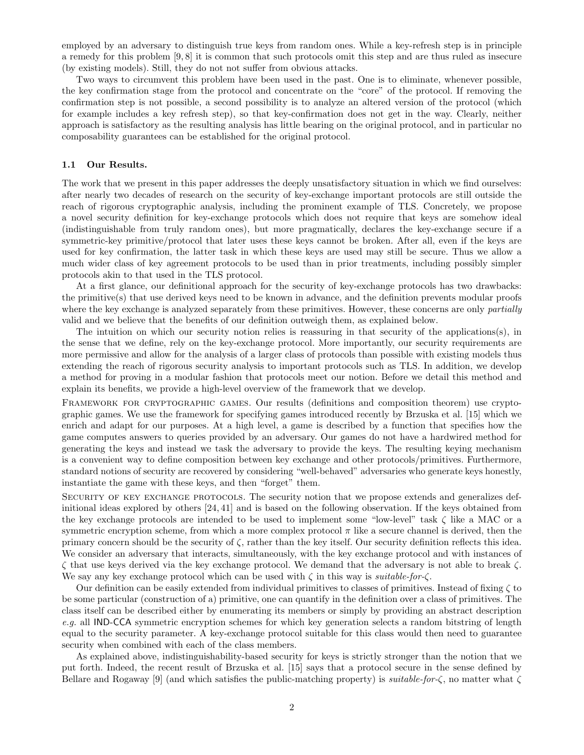employed by an adversary to distinguish true keys from random ones. While a key-refresh step is in principle a remedy for this problem [9, 8] it is common that such protocols omit this step and are thus ruled as insecure (by existing models). Still, they do not not suffer from obvious attacks.

Two ways to circumvent this problem have been used in the past. One is to eliminate, whenever possible, the key confirmation stage from the protocol and concentrate on the "core" of the protocol. If removing the confirmation step is not possible, a second possibility is to analyze an altered version of the protocol (which for example includes a key refresh step), so that key-confirmation does not get in the way. Clearly, neither approach is satisfactory as the resulting analysis has little bearing on the original protocol, and in particular no composability guarantees can be established for the original protocol.

#### 1.1 Our Results.

The work that we present in this paper addresses the deeply unsatisfactory situation in which we find ourselves: after nearly two decades of research on the security of key-exchange important protocols are still outside the reach of rigorous cryptographic analysis, including the prominent example of TLS. Concretely, we propose a novel security definition for key-exchange protocols which does not require that keys are somehow ideal (indistinguishable from truly random ones), but more pragmatically, declares the key-exchange secure if a symmetric-key primitive/protocol that later uses these keys cannot be broken. After all, even if the keys are used for key confirmation, the latter task in which these keys are used may still be secure. Thus we allow a much wider class of key agreement protocols to be used than in prior treatments, including possibly simpler protocols akin to that used in the TLS protocol.

At a first glance, our definitional approach for the security of key-exchange protocols has two drawbacks: the primitive(s) that use derived keys need to be known in advance, and the definition prevents modular proofs where the key exchange is analyzed separately from these primitives. However, these concerns are only *partially* valid and we believe that the benefits of our definition outweigh them, as explained below.

The intuition on which our security notion relies is reassuring in that security of the applications(s), in the sense that we define, rely on the key-exchange protocol. More importantly, our security requirements are more permissive and allow for the analysis of a larger class of protocols than possible with existing models thus extending the reach of rigorous security analysis to important protocols such as TLS. In addition, we develop a method for proving in a modular fashion that protocols meet our notion. Before we detail this method and explain its benefits, we provide a high-level overview of the framework that we develop.

FRAMEWORK FOR CRYPTOGRAPHIC GAMES. Our results (definitions and composition theorem) use cryptographic games. We use the framework for specifying games introduced recently by Brzuska et al. [15] which we enrich and adapt for our purposes. At a high level, a game is described by a function that specifies how the game computes answers to queries provided by an adversary. Our games do not have a hardwired method for generating the keys and instead we task the adversary to provide the keys. The resulting keying mechanism is a convenient way to define composition between key exchange and other protocols/primitives. Furthermore, standard notions of security are recovered by considering "well-behaved" adversaries who generate keys honestly, instantiate the game with these keys, and then "forget" them.

SECURITY OF KEY EXCHANGE PROTOCOLS. The security notion that we propose extends and generalizes definitional ideas explored by others [24, 41] and is based on the following observation. If the keys obtained from the key exchange protocols are intended to be used to implement some "low-level" task ζ like a MAC or a symmetric encryption scheme, from which a more complex protocol  $\pi$  like a secure channel is derived, then the primary concern should be the security of  $\zeta$ , rather than the key itself. Our security definition reflects this idea. We consider an adversary that interacts, simultaneously, with the key exchange protocol and with instances of ζ that use keys derived via the key exchange protocol. We demand that the adversary is not able to break ζ. We say any key exchange protocol which can be used with  $\zeta$  in this way is *suitable-for-* $\zeta$ .

Our definition can be easily extended from individual primitives to classes of primitives. Instead of fixing  $\zeta$  to be some particular (construction of a) primitive, one can quantify in the definition over a class of primitives. The class itself can be described either by enumerating its members or simply by providing an abstract description e.g. all IND-CCA symmetric encryption schemes for which key generation selects a random bitstring of length equal to the security parameter. A key-exchange protocol suitable for this class would then need to guarantee security when combined with each of the class members.

As explained above, indistinguishability-based security for keys is strictly stronger than the notion that we put forth. Indeed, the recent result of Brzuska et al. [15] says that a protocol secure in the sense defined by Bellare and Rogaway [9] (and which satisfies the public-matching property) is *suitable-for-*ζ, no matter what  $\zeta$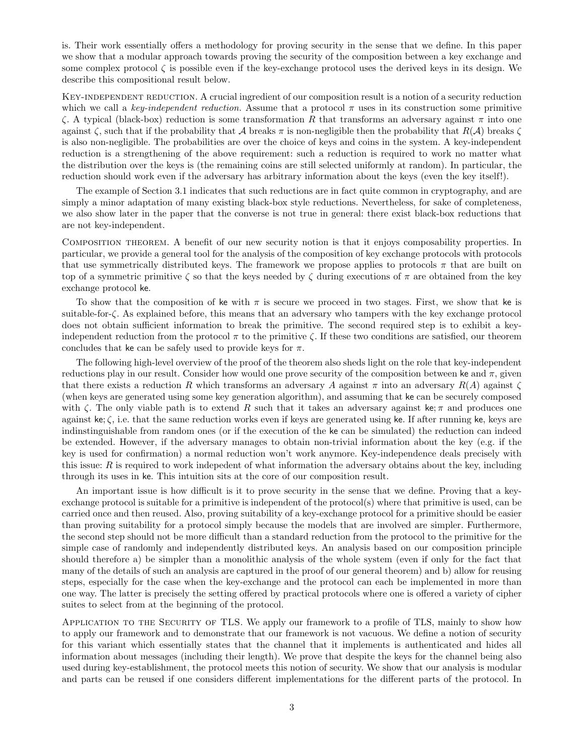is. Their work essentially offers a methodology for proving security in the sense that we define. In this paper we show that a modular approach towards proving the security of the composition between a key exchange and some complex protocol  $\zeta$  is possible even if the key-exchange protocol uses the derived keys in its design. We describe this compositional result below.

KEY-INDEPENDENT REDUCTION. A crucial ingredient of our composition result is a notion of a security reduction which we call a key-independent reduction. Assume that a protocol  $\pi$  uses in its construction some primitive ζ. A typical (black-box) reduction is some transformation R that transforms an adversary against π into one against  $\zeta$ , such that if the probability that A breaks  $\pi$  is non-negligible then the probability that  $R(\mathcal{A})$  breaks  $\zeta$ is also non-negligible. The probabilities are over the choice of keys and coins in the system. A key-independent reduction is a strengthening of the above requirement: such a reduction is required to work no matter what the distribution over the keys is (the remaining coins are still selected uniformly at random). In particular, the reduction should work even if the adversary has arbitrary information about the keys (even the key itself!).

The example of Section 3.1 indicates that such reductions are in fact quite common in cryptography, and are simply a minor adaptation of many existing black-box style reductions. Nevertheless, for sake of completeness, we also show later in the paper that the converse is not true in general: there exist black-box reductions that are not key-independent.

Composition theorem. A benefit of our new security notion is that it enjoys composability properties. In particular, we provide a general tool for the analysis of the composition of key exchange protocols with protocols that use symmetrically distributed keys. The framework we propose applies to protocols  $\pi$  that are built on top of a symmetric primitive  $\zeta$  so that the keys needed by  $\zeta$  during executions of  $\pi$  are obtained from the key exchange protocol ke.

To show that the composition of ke with  $\pi$  is secure we proceed in two stages. First, we show that ke is suitable-for-ζ. As explained before, this means that an adversary who tampers with the key exchange protocol does not obtain sufficient information to break the primitive. The second required step is to exhibit a keyindependent reduction from the protocol  $\pi$  to the primitive  $\zeta$ . If these two conditions are satisfied, our theorem concludes that ke can be safely used to provide keys for  $\pi$ .

The following high-level overview of the proof of the theorem also sheds light on the role that key-independent reductions play in our result. Consider how would one prove security of the composition between ke and  $\pi$ , given that there exists a reduction R which transforms an adversary A against  $\pi$  into an adversary  $R(A)$  against  $\zeta$ (when keys are generated using some key generation algorithm), and assuming that ke can be securely composed with  $\zeta$ . The only viable path is to extend R such that it takes an adversary against ke; π and produces one against ke;  $\zeta$ , i.e. that the same reduction works even if keys are generated using ke. If after running ke, keys are indinstinguishable from random ones (or if the execution of the ke can be simulated) the reduction can indeed be extended. However, if the adversary manages to obtain non-trivial information about the key (e.g. if the key is used for confirmation) a normal reduction won't work anymore. Key-independence deals precisely with this issue:  $R$  is required to work indepedent of what information the adversary obtains about the key, including through its uses in ke. This intuition sits at the core of our composition result.

An important issue is how difficult is it to prove security in the sense that we define. Proving that a keyexchange protocol is suitable for a primitive is independent of the protocol(s) where that primitive is used, can be carried once and then reused. Also, proving suitability of a key-exchange protocol for a primitive should be easier than proving suitability for a protocol simply because the models that are involved are simpler. Furthermore, the second step should not be more difficult than a standard reduction from the protocol to the primitive for the simple case of randomly and independently distributed keys. An analysis based on our composition principle should therefore a) be simpler than a monolithic analysis of the whole system (even if only for the fact that many of the details of such an analysis are captured in the proof of our general theorem) and b) allow for reusing steps, especially for the case when the key-exchange and the protocol can each be implemented in more than one way. The latter is precisely the setting offered by practical protocols where one is offered a variety of cipher suites to select from at the beginning of the protocol.

Application to the Security of TLS. We apply our framework to a profile of TLS, mainly to show how to apply our framework and to demonstrate that our framework is not vacuous. We define a notion of security for this variant which essentially states that the channel that it implements is authenticated and hides all information about messages (including their length). We prove that despite the keys for the channel being also used during key-establishment, the protocol meets this notion of security. We show that our analysis is modular and parts can be reused if one considers different implementations for the different parts of the protocol. In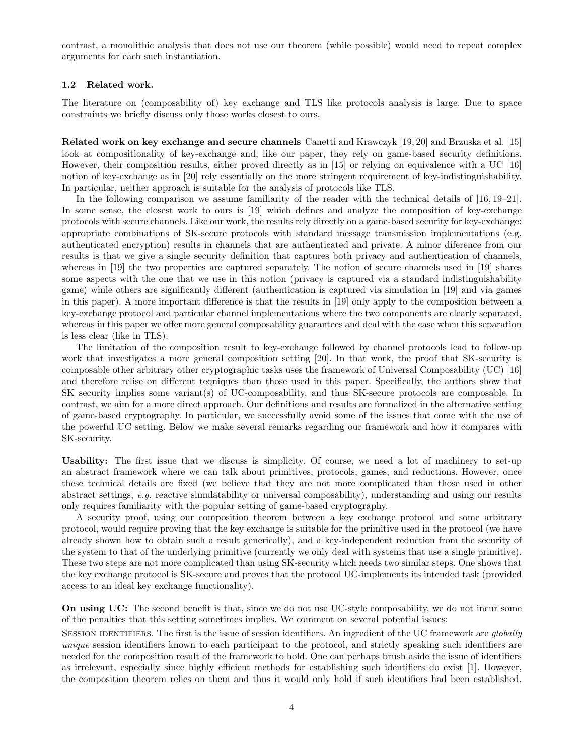contrast, a monolithic analysis that does not use our theorem (while possible) would need to repeat complex arguments for each such instantiation.

## 1.2 Related work.

The literature on (composability of) key exchange and TLS like protocols analysis is large. Due to space constraints we briefly discuss only those works closest to ours.

Related work on key exchange and secure channels Canetti and Krawczyk [19, 20] and Brzuska et al. [15] look at compositionality of key-exchange and, like our paper, they rely on game-based security definitions. However, their composition results, either proved directly as in [15] or relying on equivalence with a UC [16] notion of key-exchange as in [20] rely essentially on the more stringent requirement of key-indistinguishability. In particular, neither approach is suitable for the analysis of protocols like TLS.

In the following comparison we assume familiarity of the reader with the technical details of [16, 19–21]. In some sense, the closest work to ours is [19] which defines and analyze the composition of key-exchange protocols with secure channels. Like our work, the results rely directly on a game-based security for key-exchange: appropriate combinations of SK-secure protocols with standard message transmission implementations (e.g. authenticated encryption) results in channels that are authenticated and private. A minor diference from our results is that we give a single security definition that captures both privacy and authentication of channels, whereas in [19] the two properties are captured separately. The notion of secure channels used in [19] shares some aspects with the one that we use in this notion (privacy is captured via a standard indistinguishability game) while others are significantly different (authentication is captured via simulation in [19] and via games in this paper). A more important difference is that the results in [19] only apply to the composition between a key-exchange protocol and particular channel implementations where the two components are clearly separated, whereas in this paper we offer more general composability guarantees and deal with the case when this separation is less clear (like in TLS).

The limitation of the composition result to key-exchange followed by channel protocols lead to follow-up work that investigates a more general composition setting [20]. In that work, the proof that SK-security is composable other arbitrary other cryptographic tasks uses the framework of Universal Composability (UC) [16] and therefore relise on different teqniques than those used in this paper. Specifically, the authors show that SK security implies some variant(s) of UC-composability, and thus SK-secure protocols are composable. In contrast, we aim for a more direct approach. Our definitions and results are formalized in the alternative setting of game-based cryptography. In particular, we successfully avoid some of the issues that come with the use of the powerful UC setting. Below we make several remarks regarding our framework and how it compares with SK-security.

Usability: The first issue that we discuss is simplicity. Of course, we need a lot of machinery to set-up an abstract framework where we can talk about primitives, protocols, games, and reductions. However, once these technical details are fixed (we believe that they are not more complicated than those used in other abstract settings, e.g. reactive simulatability or universal composability), understanding and using our results only requires familiarity with the popular setting of game-based cryptography.

A security proof, using our composition theorem between a key exchange protocol and some arbitrary protocol, would require proving that the key exchange is suitable for the primitive used in the protocol (we have already shown how to obtain such a result generically), and a key-independent reduction from the security of the system to that of the underlying primitive (currently we only deal with systems that use a single primitive). These two steps are not more complicated than using SK-security which needs two similar steps. One shows that the key exchange protocol is SK-secure and proves that the protocol UC-implements its intended task (provided access to an ideal key exchange functionality).

On using UC: The second benefit is that, since we do not use UC-style composability, we do not incur some of the penalties that this setting sometimes implies. We comment on several potential issues:

SESSION IDENTIFIERS. The first is the issue of session identifiers. An ingredient of the UC framework are *globally* unique session identifiers known to each participant to the protocol, and strictly speaking such identifiers are needed for the composition result of the framework to hold. One can perhaps brush aside the issue of identifiers as irrelevant, especially since highly efficient methods for establishing such identifiers do exist [1]. However, the composition theorem relies on them and thus it would only hold if such identifiers had been established.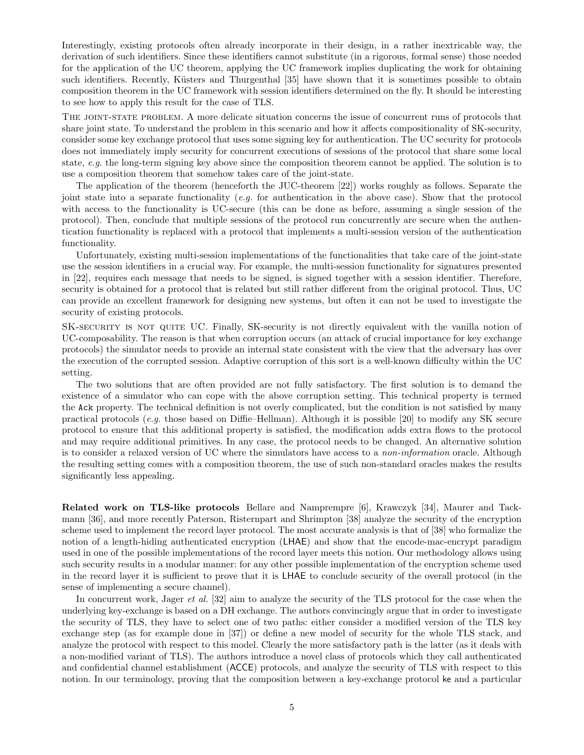Interestingly, existing protocols often already incorporate in their design, in a rather inextricable way, the derivation of such identifiers. Since these identifiers cannot substitute (in a rigorous, formal sense) those needed for the application of the UC theorem, applying the UC framework implies duplicating the work for obtaining such identifiers. Recently, Küsters and Thurgenthal [35] have shown that it is sometimes possible to obtain composition theorem in the UC framework with session identifiers determined on the fly. It should be interesting to see how to apply this result for the case of TLS.

The joint-state problem. A more delicate situation concerns the issue of concurrent runs of protocols that share joint state. To understand the problem in this scenario and how it affects compositionality of SK-security, consider some key exchange protocol that uses some signing key for authentication. The UC security for protocols does not immediately imply security for concurrent executions of sessions of the protocol that share some local state, e.g. the long-term signing key above since the composition theorem cannot be applied. The solution is to use a composition theorem that somehow takes care of the joint-state.

The application of the theorem (henceforth the JUC-theorem [22]) works roughly as follows. Separate the joint state into a separate functionality (*e.g.* for authentication in the above case). Show that the protocol with access to the functionality is UC-secure (this can be done as before, assuming a single session of the protocol). Then, conclude that multiple sessions of the protocol run concurrently are secure when the authentication functionality is replaced with a protocol that implements a multi-session version of the authentication functionality.

Unfortunately, existing multi-session implementations of the functionalities that take care of the joint-state use the session identifiers in a crucial way. For example, the multi-session functionality for signatures presented in [22], requires each message that needs to be signed, is signed together with a session identifier. Therefore, security is obtained for a protocol that is related but still rather different from the original protocol. Thus, UC can provide an excellent framework for designing new systems, but often it can not be used to investigate the security of existing protocols.

SK-security is not quite UC. Finally, SK-security is not directly equivalent with the vanilla notion of UC-composability. The reason is that when corruption occurs (an attack of crucial importance for key exchange protocols) the simulator needs to provide an internal state consistent with the view that the adversary has over the execution of the corrupted session. Adaptive corruption of this sort is a well-known difficulty within the UC setting.

The two solutions that are often provided are not fully satisfactory. The first solution is to demand the existence of a simulator who can cope with the above corruption setting. This technical property is termed the Ack property. The technical definition is not overly complicated, but the condition is not satisfied by many practical protocols (e.g. those based on Diffie–Hellman). Although it is possible [20] to modify any SK secure protocol to ensure that this additional property is satisfied, the modification adds extra flows to the protocol and may require additional primitives. In any case, the protocol needs to be changed. An alternative solution is to consider a relaxed version of UC where the simulators have access to a non-information oracle. Although the resulting setting comes with a composition theorem, the use of such non-standard oracles makes the results significantly less appealing.

Related work on TLS-like protocols Bellare and Namprempre [6], Krawczyk [34], Maurer and Tackmann [36], and more recently Paterson, Risternpart and Shrimpton [38] analyze the security of the encryption scheme used to implement the record layer protocol. The most accurate analysis is that of [38] who formalize the notion of a length-hiding authenticated encryption (LHAE) and show that the encode-mac-encrypt paradigm used in one of the possible implementations of the record layer meets this notion. Our methodology allows using such security results in a modular manner: for any other possible implementation of the encryption scheme used in the record layer it is sufficient to prove that it is LHAE to conclude security of the overall protocol (in the sense of implementing a secure channel).

In concurrent work, Jager et al. [32] aim to analyze the security of the TLS protocol for the case when the underlying key-exchange is based on a DH exchange. The authors convincingly argue that in order to investigate the security of TLS, they have to select one of two paths: either consider a modified version of the TLS key exchange step (as for example done in [37]) or define a new model of security for the whole TLS stack, and analyze the protocol with respect to this model. Clearly the more satisfactory path is the latter (as it deals with a non-modified variant of TLS). The authors introduce a novel class of protocols which they call authenticated and confidential channel establishment (ACCE) protocols, and analyze the security of TLS with respect to this notion. In our terminology, proving that the composition between a key-exchange protocol ke and a particular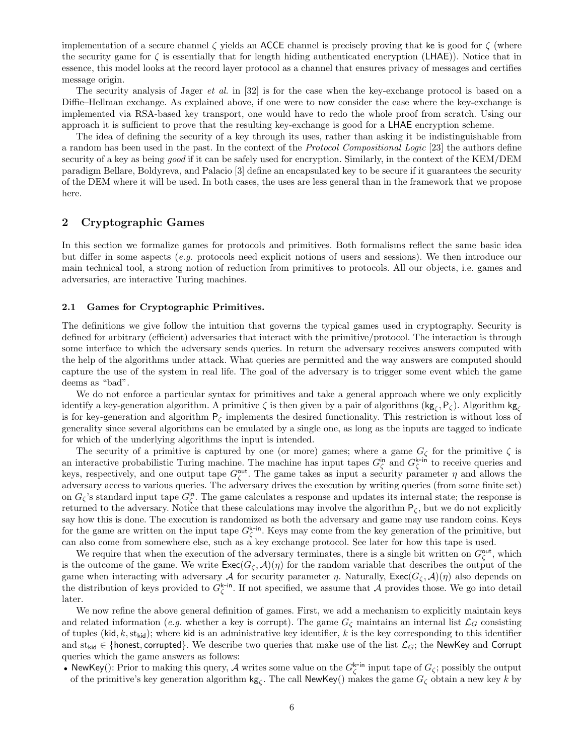implementation of a secure channel  $\zeta$  yields an ACCE channel is precisely proving that ke is good for  $\zeta$  (where the security game for  $\zeta$  is essentially that for length hiding authenticated encryption (LHAE)). Notice that in essence, this model looks at the record layer protocol as a channel that ensures privacy of messages and certifies message origin.

The security analysis of Jager et al. in [32] is for the case when the key-exchange protocol is based on a Diffie–Hellman exchange. As explained above, if one were to now consider the case where the key-exchange is implemented via RSA-based key transport, one would have to redo the whole proof from scratch. Using our approach it is sufficient to prove that the resulting key-exchange is good for a LHAE encryption scheme.

The idea of defining the security of a key through its uses, rather than asking it be indistinguishable from a random has been used in the past. In the context of the Protocol Compositional Logic [23] the authors define security of a key as being *good* if it can be safely used for encryption. Similarly, in the context of the KEM/DEM paradigm Bellare, Boldyreva, and Palacio [3] define an encapsulated key to be secure if it guarantees the security of the DEM where it will be used. In both cases, the uses are less general than in the framework that we propose here.

# 2 Cryptographic Games

In this section we formalize games for protocols and primitives. Both formalisms reflect the same basic idea but differ in some aspects (e.g. protocols need explicit notions of users and sessions). We then introduce our main technical tool, a strong notion of reduction from primitives to protocols. All our objects, i.e. games and adversaries, are interactive Turing machines.

## 2.1 Games for Cryptographic Primitives.

The definitions we give follow the intuition that governs the typical games used in cryptography. Security is defined for arbitrary (efficient) adversaries that interact with the primitive/protocol. The interaction is through some interface to which the adversary sends queries. In return the adversary receives answers computed with the help of the algorithms under attack. What queries are permitted and the way answers are computed should capture the use of the system in real life. The goal of the adversary is to trigger some event which the game deems as "bad".

We do not enforce a particular syntax for primitives and take a general approach where we only explicitly identify a key-generation algorithm. A primitive  $\zeta$  is then given by a pair of algorithms  $(\mathsf{kg}_{\zeta}, \mathsf{P}_{\zeta})$ . Algorithm  $\mathsf{kg}_{\zeta}$ is for key-generation and algorithm  $P_{\zeta}$  implements the desired functionality. This restriction is without loss of generality since several algorithms can be emulated by a single one, as long as the inputs are tagged to indicate for which of the underlying algorithms the input is intended.

The security of a primitive is captured by one (or more) games; where a game  $G_{\zeta}$  for the primitive  $\zeta$  is an interactive probabilistic Turing machine. The machine has input tapes  $G_{\zeta}^{in}$  and  $G_{\zeta}^{k-in}$  to receive queries and keys, respectively, and one output tape  $G_{\zeta}^{\text{out}}$ . The game takes as input a security parameter  $\eta$  and allows the adversary access to various queries. The adversary drives the execution by writing queries (from some finite set) on  $G_{\zeta}$ 's standard input tape  $G_{\zeta}^{in}$ . The game calculates a response and updates its internal state; the response is returned to the adversary. Notice that these calculations may involve the algorithm  $P_{\zeta}$ , but we do not explicitly say how this is done. The execution is randomized as both the adversary and game may use random coins. Keys for the game are written on the input tape  $G_{\zeta}^{k-in}$ . Keys may come from the key generation of the primitive, but can also come from somewhere else, such as a key exchange protocol. See later for how this tape is used.

We require that when the execution of the adversary terminates, there is a single bit written on  $G_{\zeta}^{\text{out}}$ , which is the outcome of the game. We write  $\mathsf{Exec}(G_{\zeta}, \mathcal{A})(\eta)$  for the random variable that describes the output of the game when interacting with adversary A for security parameter  $\eta$ . Naturally,  $\text{E}xe(C_{\zeta}, \mathcal{A})(\eta)$  also depends on the distribution of keys provided to  $G_{\zeta}^{k-n}$ . If not specified, we assume that  $\mathcal{A}$  provides those. We go into detail later.

We now refine the above general definition of games. First, we add a mechanism to explicitly maintain keys and related information (e.g. whether a key is corrupt). The game  $G_{\zeta}$  maintains an internal list  $\mathcal{L}_G$  consisting of tuples (kid, k, st<sub>kid</sub>); where kid is an administrative key identifier, k is the key corresponding to this identifier and st<sub>kid</sub> ∈ {honest, corrupted}. We describe two queries that make use of the list  $\mathcal{L}_G$ ; the NewKey and Corrupt queries which the game answers as follows:

• NewKey(): Prior to making this query, A writes some value on the  $G_{\zeta}^{k-in}$  input tape of  $G_{\zeta}$ ; possibly the output of the primitive's key generation algorithm  $\mathsf{kg}_\zeta$ . The call  $\mathsf{NewKey}()$  makes the game  $G_\zeta$  obtain a new key  $k$  by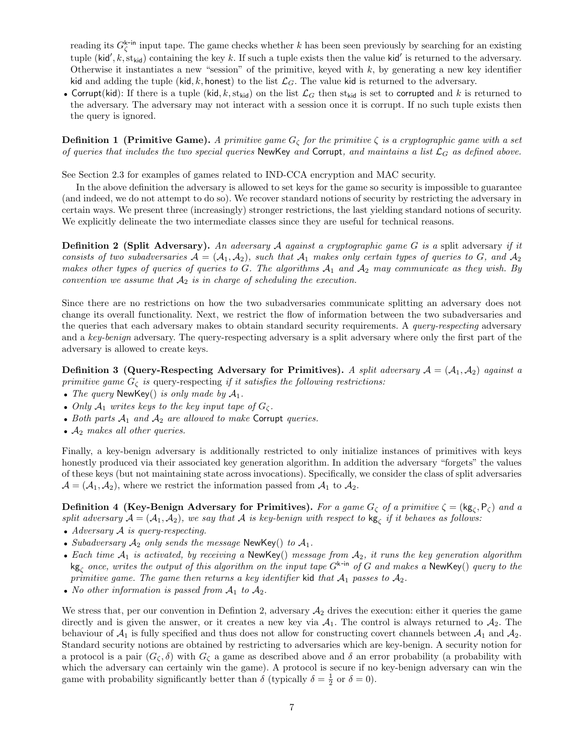reading its  $G_{\zeta}^{k\text{-in}}$  input tape. The game checks whether k has been seen previously by searching for an existing tuple (kid', k, st<sub>kid</sub>) containing the key k. If such a tuple exists then the value kid' is returned to the adversary. Otherwise it instantiates a new "session" of the primitive, keyed with  $k$ , by generating a new key identifier kid and adding the tuple (kid, k, honest) to the list  $\mathcal{L}_G$ . The value kid is returned to the adversary.

• Corrupt(kid): If there is a tuple (kid, k, st<sub>kid</sub>) on the list  $\mathcal{L}_G$  then st<sub>kid</sub> is set to corrupted and k is returned to the adversary. The adversary may not interact with a session once it is corrupt. If no such tuple exists then the query is ignored.

**Definition 1 (Primitive Game).** A primitive game  $G_{\zeta}$  for the primitive  $\zeta$  is a cryptographic game with a set of queries that includes the two special queries NewKey and Corrupt, and maintains a list  $\mathcal{L}_G$  as defined above.

See Section 2.3 for examples of games related to IND-CCA encryption and MAC security.

In the above definition the adversary is allowed to set keys for the game so security is impossible to guarantee (and indeed, we do not attempt to do so). We recover standard notions of security by restricting the adversary in certain ways. We present three (increasingly) stronger restrictions, the last yielding standard notions of security. We explicitly delineate the two intermediate classes since they are useful for technical reasons.

**Definition 2 (Split Adversary).** An adversary A against a cryptographic game G is a split adversary if it consists of two subadversaries  $\mathcal{A} = (\mathcal{A}_1, \mathcal{A}_2)$ , such that  $\mathcal{A}_1$  makes only certain types of queries to G, and  $\mathcal{A}_2$ makes other types of queries of queries to G. The algorithms  $A_1$  and  $A_2$  may communicate as they wish. By convention we assume that  $A_2$  is in charge of scheduling the execution.

Since there are no restrictions on how the two subadversaries communicate splitting an adversary does not change its overall functionality. Next, we restrict the flow of information between the two subadversaries and the queries that each adversary makes to obtain standard security requirements. A *query-respecting* adversary and a key-benign adversary. The query-respecting adversary is a split adversary where only the first part of the adversary is allowed to create keys.

Definition 3 (Query-Respecting Adversary for Primitives). A split adversary  $A = (A_1, A_2)$  against a primitive game  $G_{\zeta}$  is query-respecting if it satisfies the following restrictions:

- The query NewKey() is only made by  $A_1$ .
- Only  $\mathcal{A}_1$  writes keys to the key input tape of  $G_{\zeta}$ .
- Both parts  $A_1$  and  $A_2$  are allowed to make Corrupt queries.
- $A_2$  makes all other queries.

Finally, a key-benign adversary is additionally restricted to only initialize instances of primitives with keys honestly produced via their associated key generation algorithm. In addition the adversary "forgets" the values of these keys (but not maintaining state across invocations). Specifically, we consider the class of split adversaries  $\mathcal{A} = (\mathcal{A}_1, \mathcal{A}_2)$ , where we restrict the information passed from  $\mathcal{A}_1$  to  $\mathcal{A}_2$ .

Definition 4 (Key-Benign Adversary for Primitives). For a game  $G_\zeta$  of a primitive  $\zeta = (kg_\zeta, P_\zeta)$  and a split adversary  $A=(A_1,A_2)$ , we say that A is key-benign with respect to  $\mathsf{kg}_{\zeta}$  if it behaves as follows:

- Adversary  $A$  is query-respecting.
- Subadversary  $A_2$  only sends the message NewKey() to  $A_1$ .
- Each time  $A_1$  is activated, by receiving a NewKey() message from  $A_2$ , it runs the key generation algorithm kg<sub>c</sub> once, writes the output of this algorithm on the input tape  $G^{k-in}$  of G and makes a NewKey() query to the primitive game. The game then returns a key identifier kid that  $A_1$  passes to  $A_2$ .
- No other information is passed from  $A_1$  to  $A_2$ .

We stress that, per our convention in Defintion 2, adversary  $A_2$  drives the execution: either it queries the game directly and is given the answer, or it creates a new key via  $A_1$ . The control is always returned to  $A_2$ . The behaviour of  $A_1$  is fully specified and thus does not allow for constructing covert channels between  $A_1$  and  $A_2$ . Standard security notions are obtained by restricting to adversaries which are key-benign. A security notion for a protocol is a pair  $(G_{\zeta}, \delta)$  with  $G_{\zeta}$  a game as described above and  $\delta$  an error probability (a probability with which the adversary can certainly win the game). A protocol is secure if no key-benign adversary can win the game with probability significantly better than  $\delta$  (typically  $\delta = \frac{1}{2}$  or  $\delta = 0$ ).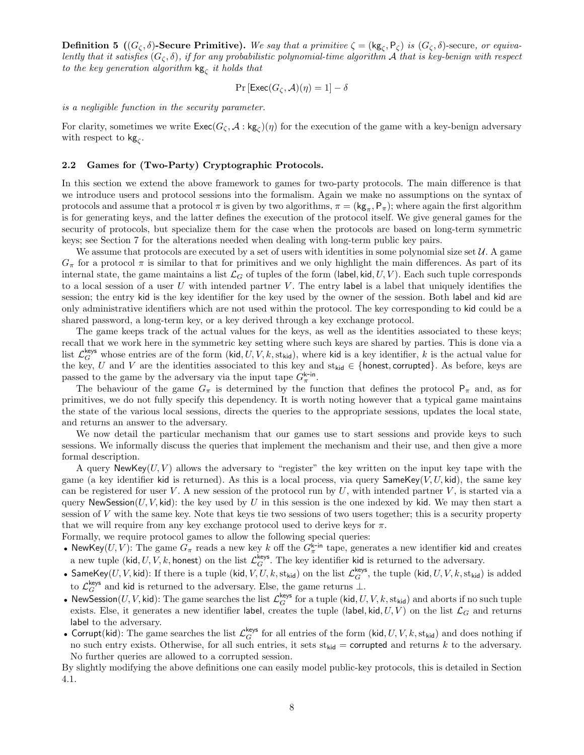**Definition 5** (( $G_\zeta$ , $\delta$ )-Secure Primitive). We say that a primitive  $\zeta = (\mathsf{kg}_\zeta, \mathsf{P}_\zeta)$  is  $(G_\zeta, \delta)$ -secure, or equivalently that it satisfies  $(G_\zeta, \delta)$ , if for any probabilistic polynomial-time algorithm A that is key-benign with respect to the key generation algorithm  $\mathsf{kg}_{\zeta}$  it holds that

$$
\Pr\left[\mathsf{Exec}(G_{\zeta}, \mathcal{A})(\eta) = 1\right] - \delta
$$

is a negligible function in the security parameter.

For clarity, sometimes we write  $\mathsf{Exec}(G_\zeta,\mathcal{A}:\mathsf{kg}_\zeta)(\eta)$  for the execution of the game with a key-benign adversary with respect to  $kg_\zeta$ .

#### 2.2 Games for (Two-Party) Cryptographic Protocols.

In this section we extend the above framework to games for two-party protocols. The main difference is that we introduce users and protocol sessions into the formalism. Again we make no assumptions on the syntax of protocols and assume that a protocol  $\pi$  is given by two algorithms,  $\pi = (kg_{\pi}, P_{\pi})$ ; where again the first algorithm is for generating keys, and the latter defines the execution of the protocol itself. We give general games for the security of protocols, but specialize them for the case when the protocols are based on long-term symmetric keys; see Section 7 for the alterations needed when dealing with long-term public key pairs.

We assume that protocols are executed by a set of users with identities in some polynomial size set  $U$ . A game  $G_{\pi}$  for a protocol  $\pi$  is similar to that for primitives and we only highlight the main differences. As part of its internal state, the game maintains a list  $\mathcal{L}_G$  of tuples of the form (label, kid,  $U, V$ ). Each such tuple corresponds to a local session of a user U with intended partner V. The entry label is a label that uniquely identifies the session; the entry kid is the key identifier for the key used by the owner of the session. Both label and kid are only administrative identifiers which are not used within the protocol. The key corresponding to kid could be a shared password, a long-term key, or a key derived through a key exchange protocol.

The game keeps track of the actual values for the keys, as well as the identities associated to these keys; recall that we work here in the symmetric key setting where such keys are shared by parties. This is done via a list  $\mathcal{L}_G^{\text{keys}}$  whose entries are of the form (kid,  $U, V, k, s t_{\text{kid}}$ ), where kid is a key identifier, k is the actual value for the key, U and V are the identities associated to this key and st<sub>kid</sub>  $\in$  {honest, corrupted}. As before, keys are passed to the game by the adversary via the input tape  $\check{G}_{\pi}^{k\text{-in}}$ .

The behaviour of the game  $G_{\pi}$  is determined by the function that defines the protocol  $P_{\pi}$  and, as for primitives, we do not fully specify this dependency. It is worth noting however that a typical game maintains the state of the various local sessions, directs the queries to the appropriate sessions, updates the local state, and returns an answer to the adversary.

We now detail the particular mechanism that our games use to start sessions and provide keys to such sessions. We informally discuss the queries that implement the mechanism and their use, and then give a more formal description.

A query  $\mathsf{NewKey}(U, V)$  allows the adversary to "register" the key written on the input key tape with the game (a key identifier kid is returned). As this is a local process, via query  $\mathsf{SameKey}(V, U, \mathsf{kid})$ , the same key can be registered for user V. A new session of the protocol run by  $U$ , with intended partner V, is started via a query NewSession( $U, V,$  kid): the key used by U in this session is the one indexed by kid. We may then start a session of  $V$  with the same key. Note that keys tie two sessions of two users together; this is a security property that we will require from any key exchange protocol used to derive keys for  $\pi$ .

Formally, we require protocol games to allow the following special queries:

- New Key(U, V): The game  $G_{\pi}$  reads a new key k off the  $G_{\pi}^{k-in}$  tape, generates a new identifier kid and creates a new tuple (kid,  $U, V, k$ , honest) on the list  $\mathcal{L}_G^{\text{keys}}$ . The key identifier kid is returned to the adversary.
- SameKey(U, V, kid): If there is a tuple (kid,  $V, U, k, s$ t<sub>kid</sub>) on the list  $\mathcal{L}_G^{keys}$ , the tuple (kid,  $U, V, k, s$ t<sub>kid</sub>) is added to  $\mathcal{L}_G^{\mathsf{keys}}$  and kid is returned to the adversary. Else, the game returns  $\bot$ .
- NewSession(U, V, kid): The game searches the list  $\mathcal{L}_G^{\text{keys}}$  for a tuple (kid, U, V, k, st<sub>kid</sub>) and aborts if no such tuple exists. Else, it generates a new identifier label, creates the tuple (label, kid,  $U, V$ ) on the list  $\mathcal{L}_G$  and returns label to the adversary.
- Corrupt(kid): The game searches the list  $\mathcal{L}_G^{\text{keys}}$  for all entries of the form (kid,  $U, V, k, s t_{\text{kid}}$ ) and does nothing if no such entry exists. Otherwise, for all such entries, it sets  $st_{\text{kid}} =$  corrupted and returns k to the adversary. No further queries are allowed to a corrupted session.

By slightly modifying the above definitions one can easily model public-key protocols, this is detailed in Section 4.1.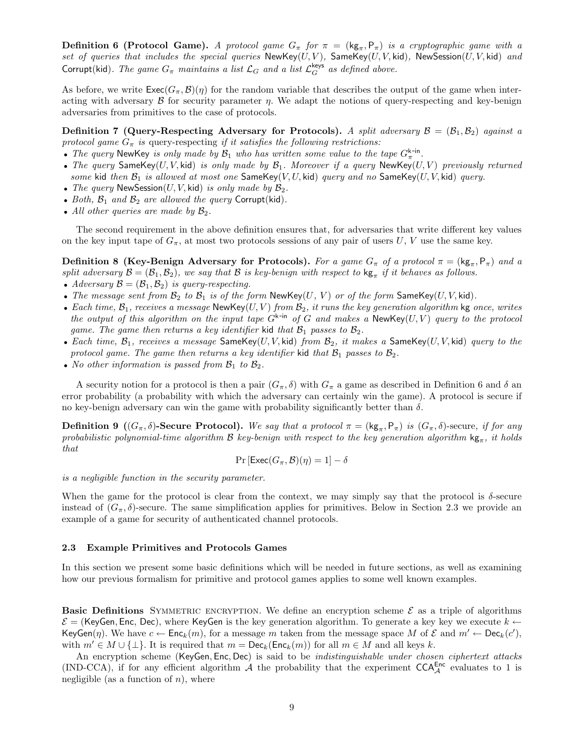**Definition 6 (Protocol Game).** A protocol game  $G_{\pi}$  for  $\pi = (\mathsf{kg}_{\pi}, \mathsf{P}_{\pi})$  is a cryptographic game with a set of queries that includes the special queries  $NewKey(U, V)$ , SameKey(U, V, kid), NewSession(U, V, kid) and Corrupt(kid). The game  $G_{\pi}$  maintains a list  $\mathcal{L}_G$  and a list  $\mathcal{L}_G^{\text{keys}}$  as defined above.

As before, we write  $\text{Exec}(G_\pi, \mathcal{B})(\eta)$  for the random variable that describes the output of the game when interacting with adversary  $\beta$  for security parameter  $\eta$ . We adapt the notions of query-respecting and key-benign adversaries from primitives to the case of protocols.

Definition 7 (Query-Respecting Adversary for Protocols). A split adversary  $\mathcal{B} = (\mathcal{B}_1, \mathcal{B}_2)$  against a protocol game  $G_{\pi}$  is query-respecting if it satisfies the following restrictions:

- The query NewKey is only made by  $\mathcal{B}_1$  who has written some value to the tape  $G_{\pi}^{k-<sub>n</sub>}$ .
- The query SameKey(U, V, kid) is only made by  $\mathcal{B}_1$ . Moreover if a query NewKey(U, V) previously returned some kid then  $\mathcal{B}_1$  is allowed at most one SameKey(V, U, kid) query and no SameKey(U, V, kid) query.
- The query NewSession(U, V, kid) is only made by  $\mathcal{B}_2$ .
- Both,  $\mathcal{B}_1$  and  $\mathcal{B}_2$  are allowed the query Corrupt(kid).
- All other queries are made by  $\mathcal{B}_2$ .

The second requirement in the above definition ensures that, for adversaries that write different key values on the key input tape of  $G_{\pi}$ , at most two protocols sessions of any pair of users U, V use the same key.

Definition 8 (Key-Benign Adversary for Protocols). For a game  $G_{\pi}$  of a protocol  $\pi = (kg_{\pi}, P_{\pi})$  and a split adversary  $\mathcal{B} = (\mathcal{B}_1, \mathcal{B}_2)$ , we say that  $\mathcal B$  is key-benign with respect to  $\log_{\pi}$  if it behaves as follows.

- Adversary  $\mathcal{B} = (\mathcal{B}_1, \mathcal{B}_2)$  is query-respecting.
- The message sent from  $\mathcal{B}_2$  to  $\mathcal{B}_1$  is of the form NewKey(U, V) or of the form SameKey(U, V, kid).
- Each time,  $\mathcal{B}_1$ , receives a message NewKey(U, V) from  $\mathcal{B}_2$ , it runs the key generation algorithm kg once, writes the output of this algorithm on the input tape  $G^{k-in}$  of G and makes a NewKey(U, V) query to the protocol game. The game then returns a key identifier kid that  $B_1$  passes to  $B_2$ .
- Each time,  $\mathcal{B}_1$ , receives a message SameKey(U, V, kid) from  $\mathcal{B}_2$ , it makes a SameKey(U, V, kid) query to the protocol game. The game then returns a key identifier kid that  $\mathcal{B}_1$  passes to  $\mathcal{B}_2$ .
- No other information is passed from  $\mathcal{B}_1$  to  $\mathcal{B}_2$ .

A security notion for a protocol is then a pair  $(G_\pi, \delta)$  with  $G_\pi$  a game as described in Definition 6 and  $\delta$  and error probability (a probability with which the adversary can certainly win the game). A protocol is secure if no key-benign adversary can win the game with probability significantly better than δ.

**Definition 9** ( $(G_\pi, \delta)$ -Secure Protocol). We say that a protocol  $\pi = (\mathsf{kg}_\pi, \mathsf{P}_\pi)$  is  $(G_\pi, \delta)$ -secure, if for any probabilistic polynomial-time algorithm  ${\cal B}$  key-benign with respect to the key generation algorithm  $\mathsf{kg}_\pi$ , it holds that

$$
\Pr\left[\text{Exec}(G_{\pi}, \mathcal{B})(\eta) = 1\right] - \delta
$$

is a negligible function in the security parameter.

When the game for the protocol is clear from the context, we may simply say that the protocol is δ-secure instead of  $(G_{\pi}, \delta)$ -secure. The same simplification applies for primitives. Below in Section 2.3 we provide an example of a game for security of authenticated channel protocols.

#### 2.3 Example Primitives and Protocols Games

In this section we present some basic definitions which will be needed in future sections, as well as examining how our previous formalism for primitive and protocol games applies to some well known examples.

**Basic Definitions** SYMMETRIC ENCRYPTION. We define an encryption scheme  $\mathcal{E}$  as a triple of algorithms  $\mathcal{E} = (KeyGen, Enc, Dec),$  where KeyGen is the key generation algorithm. To generate a key key we execute  $k \leftarrow$ KeyGen( $\eta$ ). We have  $c \leftarrow \mathsf{Enc}_k(m)$ , for a message m taken from the message space M of E and  $m' \leftarrow \mathsf{Dec}_k(c')$ , with  $m' \in M \cup \{\perp\}$ . It is required that  $m = \mathsf{Dec}_k(\mathsf{Enc}_k(m))$  for all  $m \in M$  and all keys k.

An encryption scheme (KeyGen, Enc, Dec) is said to be *indistinguishable under chosen ciphertext attacks* (IND-CCA), if for any efficient algorithm  $\hat{\mathcal{A}}$  the probability that the experiment CCA $_{\hat{\mathcal{A}}}^{\text{Enc}}$  evaluates to 1 is negligible (as a function of  $n$ ), where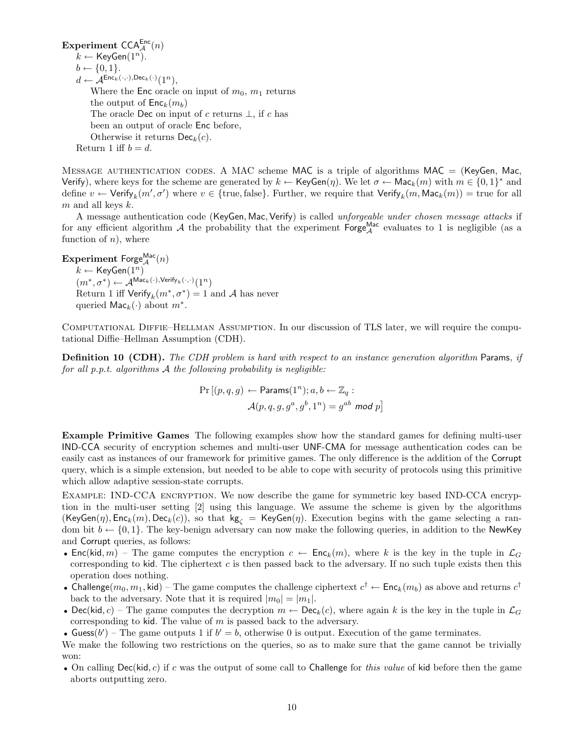Experiment  $\mathsf{CCA}_{\mathcal{A}}^{\mathsf{Enc}}(n)$  $k \leftarrow$  KeyGen $(1^n)$ .  $b \leftarrow \{0, 1\}.$  $d \leftarrow \mathcal{A}^{\mathsf{Enc}_k(\cdot,\cdot), \mathsf{Dec}_k(\cdot)} (1^n),$ Where the Enc oracle on input of  $m_0$ ,  $m_1$  returns the output of  $\mathsf{Enc}_k(m_b)$ The oracle Dec on input of c returns  $\bot$ , if c has been an output of oracle Enc before, Otherwise it returns  $\mathsf{Dec}_k(c)$ . Return 1 iff  $b = d$ .

MESSAGE AUTHENTICATION CODES. A MAC scheme MAC is a triple of algorithms MAC  $=$  (KeyGen, Mac, Verify), where keys for the scheme are generated by  $k \leftarrow \mathsf{KeyGen}(\eta)$ . We let  $\sigma \leftarrow \mathsf{Mac}_k(m)$  with  $m \in \{0,1\}^*$  and define  $v \leftarrow$  Verify $_k(m', \sigma')$  where  $v \in \{\text{true}, \text{false}\}$ . Further, we require that Verify $_k(m, \text{Mac}_k(m)) = \text{true}$  for all  $m$  and all keys  $k$ .

A message authentication code (KeyGen, Mac, Verify) is called unforgeable under chosen message attacks if for any efficient algorithm A the probability that the experiment  $\overline{\text{Forge}}^{\text{Mac}}_{\mathcal{A}}$  evaluates to 1 is negligible (as a function of  $n$ ), where

 ${\rm Experiment}$  Forge $_{\cal A}^{{\sf Mac}}(n)$  $k \leftarrow$  KeyGen $(1^n)$  $(m^*, \sigma^*) \leftarrow \mathcal{A}^{\mathsf{Mac}_k(\cdot),\mathsf{Verify}_k(\cdot,\cdot)}(1^n)$ Return 1 iff  $\mathsf{Verify}_k(m^*, \sigma^*) = 1$  and A has never queried  $\mathsf{Mac}_k(\cdot)$  about  $m^*$ .

Computational Diffie–Hellman Assumption. In our discussion of TLS later, we will require the computational Diffie–Hellman Assumption (CDH).

**Definition 10 (CDH).** The CDH problem is hard with respect to an instance generation algorithm Params, if for all p.p.t. algorithms  $A$  the following probability is negligible:

$$
\Pr\left[(p,q,g) \leftarrow \mathsf{Parameters}(1^n); a, b \leftarrow \mathbb{Z}_q : \\ \mathcal{A}(p,q,g,a^a, g^b, 1^n) = g^{ab} \bmod p\right]
$$

Example Primitive Games The following examples show how the standard games for defining multi-user IND-CCA security of encryption schemes and multi-user UNF-CMA for message authentication codes can be easily cast as instances of our framework for primitive games. The only difference is the addition of the Corrupt query, which is a simple extension, but needed to be able to cope with security of protocols using this primitive which allow adaptive session-state corrupts.

Example: IND-CCA encryption. We now describe the game for symmetric key based IND-CCA encryption in the multi-user setting [2] using this language. We assume the scheme is given by the algorithms (KeyGen( $\eta$ ), Enc<sub>k</sub>(m), Dec<sub>k</sub>(c)), so that kg<sub> $\zeta$ </sub> = KeyGen( $\eta$ ). Execution begins with the game selecting a random bit  $b \leftarrow \{0, 1\}$ . The key-benign adversary can now make the following queries, in addition to the NewKey and Corrupt queries, as follows:

- Enc(kid, m) The game computes the encryption  $c \leftarrow \text{Enc}_k(m)$ , where k is the key in the tuple in  $\mathcal{L}_G$ corresponding to kid. The ciphertext c is then passed back to the adversary. If no such tuple exists then this operation does nothing.
- Challenge $(m_0,m_1,$  kid) The game computes the challenge ciphertext  $c^\dagger \leftarrow \mathsf{Enc}_k(m_b)$  as above and returns  $c^\dagger$ back to the adversary. Note that it is required  $|m_0| = |m_1|$ .
- Dec(kid, c) The game computes the decryption  $m \leftarrow \text{Dec}_k(c)$ , where again k is the key in the tuple in  $\mathcal{L}_G$ corresponding to kid. The value of  $m$  is passed back to the adversary.

• Guess(b') – The game outputs 1 if  $b' = b$ , otherwise 0 is output. Execution of the game terminates.

We make the following two restrictions on the queries, so as to make sure that the game cannot be trivially won:

• On calling Dec(kid, c) if c was the output of some call to Challenge for this value of kid before then the game aborts outputting zero.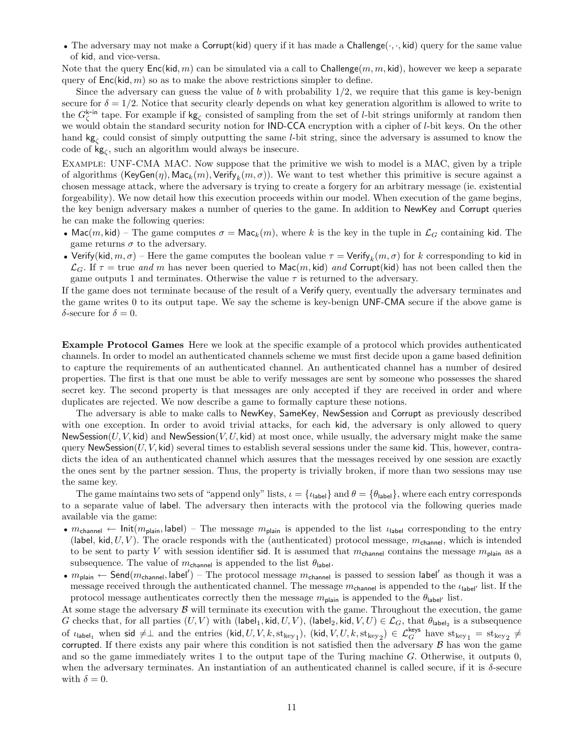• The adversary may not make a Corrupt(kid) query if it has made a Challenge( $\cdot, \cdot$ , kid) query for the same value of kid, and vice-versa.

Note that the query  $Enc(kid, m)$  can be simulated via a call to Challenge $(m, m, kid)$ , however we keep a separate query of  $Enc(kid, m)$  so as to make the above restrictions simpler to define.

Since the adversary can guess the value of  $b$  with probability  $1/2$ , we require that this game is key-benign secure for  $\delta = 1/2$ . Notice that security clearly depends on what key generation algorithm is allowed to write to the  $G_{\zeta}^{k-in}$  tape. For example if kg<sub> $\zeta$ </sub> consisted of sampling from the set of *l*-bit strings uniformly at random then we would obtain the standard security notion for IND-CCA encryption with a cipher of l-bit keys. On the other hand  $\text{kg}_{\zeta}$  could consist of simply outputting the same *l*-bit string, since the adversary is assumed to know the code of  $kg_\zeta$ , such an algorithm would always be insecure.

Example: UNF-CMA MAC. Now suppose that the primitive we wish to model is a MAC, given by a triple of algorithms  $(\mathsf{KeyGen}(\eta),\mathsf{Mac}_k(m),\mathsf{Verify}_k(m,\sigma))$ . We want to test whether this primitive is secure against a chosen message attack, where the adversary is trying to create a forgery for an arbitrary message (ie. existential forgeability). We now detail how this execution proceeds within our model. When execution of the game begins, the key benign adversary makes a number of queries to the game. In addition to NewKey and Corrupt queries he can make the following queries:

- Mac(m, kid) The game computes  $\sigma = \text{Mac}_k(m)$ , where k is the key in the tuple in  $\mathcal{L}_G$  containing kid. The game returns  $\sigma$  to the adversary.
- Verify(kid,  $m, \sigma$ ) Here the game computes the boolean value  $\tau =$  Verify $_k(m, \sigma)$  for k corresponding to kid in  $\mathcal{L}_G$ . If  $\tau$  = true and m has never been queried to Mac(m, kid) and Corrupt(kid) has not been called then the game outputs 1 and terminates. Otherwise the value  $\tau$  is returned to the adversary.

If the game does not terminate because of the result of a Verify query, eventually the adversary terminates and the game writes 0 to its output tape. We say the scheme is key-benign UNF-CMA secure if the above game is  $\delta$ -secure for  $\delta = 0$ .

Example Protocol Games Here we look at the specific example of a protocol which provides authenticated channels. In order to model an authenticated channels scheme we must first decide upon a game based definition to capture the requirements of an authenticated channel. An authenticated channel has a number of desired properties. The first is that one must be able to verify messages are sent by someone who possesses the shared secret key. The second property is that messages are only accepted if they are received in order and where duplicates are rejected. We now describe a game to formally capture these notions.

The adversary is able to make calls to NewKey, SameKey, NewSession and Corrupt as previously described with one exception. In order to avoid trivial attacks, for each kid, the adversary is only allowed to query NewSession(U, V, kid) and NewSession(V, U, kid) at most once, while usually, the adversary might make the same query NewSession( $U, V$ , kid) several times to establish several sessions under the same kid. This, however, contradicts the idea of an authenticated channel which assures that the messages received by one session are exactly the ones sent by the partner session. Thus, the property is trivially broken, if more than two sessions may use the same key.

The game maintains two sets of "append only" lists,  $\iota = {\iota_{\text{label}}}$  and  $\theta = {\theta_{\text{label}}}$ , where each entry corresponds to a separate value of label. The adversary then interacts with the protocol via the following queries made available via the game:

- $m_{channel} \leftarrow \text{Init}(m_{plain}, \text{label})$  The message  $m_{plain}$  is appended to the list  $\iota_{label}$  corresponding to the entry (label, kid,  $U, V$ ). The oracle responds with the (authenticated) protocol message,  $m_{channel}$ , which is intended to be sent to party V with session identifier sid. It is assumed that  $m_{channel}$  contains the message  $m_{plain}$  as a subsequence. The value of  $m_{channel}$  is appended to the list  $\theta_{label}$ .
- $m_{\text{plain}} \leftarrow \text{Send}(m_{\text{channel}}, \text{label}')$  The protocol message  $m_{\text{channel}}$  is passed to session label' as though it was a message received through the authenticated channel. The message  $m_{channel}$  is appended to the  $\iota_{label'}$  list. If the protocol message authenticates correctly then the message  $m_{\text{plain}}$  is appended to the  $\theta_{\text{label'}}$  list.

At some stage the adversary  $\beta$  will terminate its execution with the game. Throughout the execution, the game G checks that, for all parties  $(U, V)$  with  $(\textsf{label}_1, \textsf{kid}, U, V)$ ,  $(\textsf{label}_2, \textsf{kid}, V, U) \in \mathcal{L}_G$ , that  $\theta_{\textsf{label}_2}$  is a subsequence of  $\iota_{\mathsf{label}_1}$  when sid  $\neq \perp$  and the entries  $(\mathsf{kid}, U, V, k, \mathsf{st}_{\mathsf{key}_1}), (\mathsf{kid}, V, U, k, \mathsf{st}_{\mathsf{key}_2}) \in \mathcal{L}_G^{\mathsf{keys}}$  have  $\mathsf{st}_{\mathsf{key}_1} = \mathsf{st}_{\mathsf{key}_2} \neq$ corrupted. If there exists any pair where this condition is not satisfied then the adversary  $\beta$  has won the game and so the game immediately writes 1 to the output tape of the Turing machine  $G$ . Otherwise, it outputs 0, when the adversary terminates. An instantiation of an authenticated channel is called secure, if it is δ-secure with  $\delta = 0$ .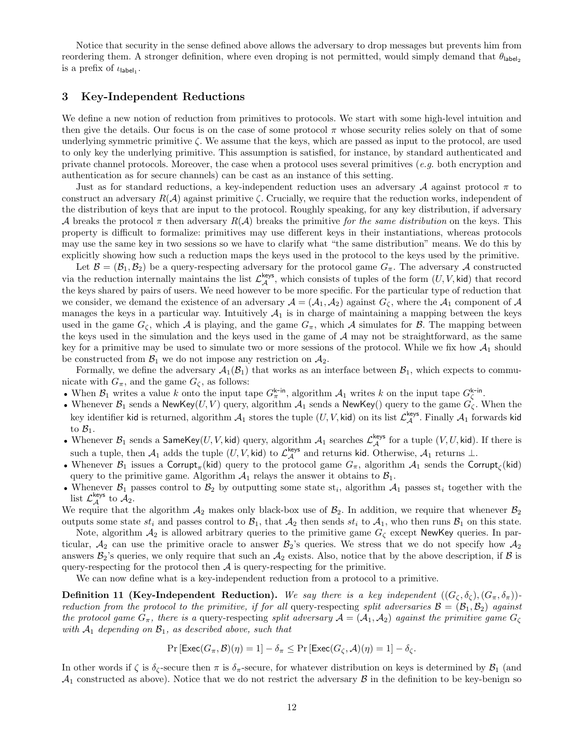Notice that security in the sense defined above allows the adversary to drop messages but prevents him from reordering them. A stronger definition, where even droping is not permitted, would simply demand that  $\theta_{\text{label}_2}$ is a prefix of  $\iota_{\textsf{label}_1}$ .

# 3 Key-Independent Reductions

We define a new notion of reduction from primitives to protocols. We start with some high-level intuition and then give the details. Our focus is on the case of some protocol  $\pi$  whose security relies solely on that of some underlying symmetric primitive  $\zeta$ . We assume that the keys, which are passed as input to the protocol, are used to only key the underlying primitive. This assumption is satisfied, for instance, by standard authenticated and private channel protocols. Moreover, the case when a protocol uses several primitives (e.g. both encryption and authentication as for secure channels) can be cast as an instance of this setting.

Just as for standard reductions, a key-independent reduction uses an adversary  $\mathcal A$  against protocol  $\pi$  to construct an adversary  $R(\mathcal{A})$  against primitive  $\zeta$ . Crucially, we require that the reduction works, independent of the distribution of keys that are input to the protocol. Roughly speaking, for any key distribution, if adversary A breaks the protocol  $\pi$  then adversary  $R(\mathcal{A})$  breaks the primitive for the same distribution on the keys. This property is difficult to formalize: primitives may use different keys in their instantiations, whereas protocols may use the same key in two sessions so we have to clarify what "the same distribution" means. We do this by explicitly showing how such a reduction maps the keys used in the protocol to the keys used by the primitive.

Let  $\mathcal{B} = (\mathcal{B}_1, \mathcal{B}_2)$  be a query-respecting adversary for the protocol game  $G_\pi$ . The adversary A constructed via the reduction internally maintains the list  $\mathcal{L}_{\mathcal{A}}^{\text{keys}}$ , which consists of tuples of the form  $(U, V, \text{kid})$  that record the keys shared by pairs of users. We need however to be more specific. For the particular type of reduction that we consider, we demand the existence of an adversary  $A = (A_1, A_2)$  against  $G_\zeta$ , where the  $A_1$  component of A manages the keys in a particular way. Intuitively  $A_1$  is in charge of maintaining a mapping between the keys used in the game  $G_{\zeta}$ , which A is playing, and the game  $G_{\pi}$ , which A simulates for B. The mapping between the keys used in the simulation and the keys used in the game of  $A$  may not be straightforward, as the same key for a primitive may be used to simulate two or more sessions of the protocol. While we fix how  $A_1$  should be constructed from  $\mathcal{B}_1$  we do not impose any restriction on  $\mathcal{A}_2$ .

Formally, we define the adversary  $\mathcal{A}_1(\mathcal{B}_1)$  that works as an interface between  $\mathcal{B}_1$ , which expects to communicate with  $G_{\pi}$ , and the game  $G_{\zeta}$ , as follows:

- When  $\mathcal{B}_1$  writes a value k onto the input tape  $G_{\pi}^{k\text{-in}}$ , algorithm  $\mathcal{A}_1$  writes k on the input tape  $G_{\zeta}^{k\text{-in}}$ .
- When  $\mathcal{L}_1$  writes a value  $\kappa$  onto the liput tape  $G_{\pi}$ , algorithm  $\mathcal{A}_1$  writes  $\kappa$  on the liput tape  $G_{\zeta}$ .<br>• Whenever  $\mathcal{B}_1$  sends a NewKey(U,V) query, algorithm  $\mathcal{A}_1$  sends a NewKey() query to key identifier kid is returned, algorithm  $\mathcal{A}_1$  stores the tuple  $(U,V, \mathsf{kid})$  on its list  $\mathcal{L}^{\mathsf{keys}}_\mathcal{A}$ . Finally  $\mathcal{A}_1$  forwards kid to  $\mathcal{B}_1$ .
- Whenever  $B_1$  sends a SameKey(U, V, kid) query, algorithm  $A_1$  searches  $\mathcal{L}_{\mathcal{A}}^{\text{keys}}$  for a tuple (V, U, kid). If there is such a tuple, then  $\mathcal{A}_1$  adds the tuple  $(U, V, \text{kid})$  to  $\mathcal{L}_{\mathcal{A}}^{\text{keys}}$  and returns kid. Otherwise,  $\mathcal{A}_1$  returns  $\perp$ .
- Whenever  $B_1$  issues a Corrupt<sub>π</sub>(kid) query to the protocol game  $G_\pi$ , algorithm  $A_1$  sends the Corrupt<sub> $\zeta$ </sub>(kid) query to the primitive game. Algorithm  $A_1$  relays the answer it obtains to  $B_1$ .
- Whenever  $\mathcal{B}_1$  passes control to  $\mathcal{B}_2$  by outputting some state st<sub>i</sub>, algorithm  $\mathcal{A}_1$  passes st<sub>i</sub> together with the list  $\mathcal{L}_{\mathcal{A}}^{\mathsf{keys}}$  to  $\mathcal{A}_2$ .

We require that the algorithm  $A_2$  makes only black-box use of  $B_2$ . In addition, we require that whenever  $B_2$ outputs some state  $st_i$  and passes control to  $\mathcal{B}_1$ , that  $\mathcal{A}_2$  then sends  $st_i$  to  $\mathcal{A}_1$ , who then runs  $\mathcal{B}_1$  on this state.

Note, algorithm  $A_2$  is allowed arbitrary queries to the primitive game  $G_{\zeta}$  except NewKey queries. In particular,  $A_2$  can use the primitive oracle to answer  $B_2$ 's queries. We stress that we do not specify how  $A_2$ answers  $\mathcal{B}_2$ 's queries, we only require that such an  $\mathcal{A}_2$  exists. Also, notice that by the above description, if  $\mathcal B$  is query-respecting for the protocol then  $\mathcal A$  is query-respecting for the primitive.

We can now define what is a key-independent reduction from a protocol to a primitive.

**Definition 11 (Key-Independent Reduction).** We say there is a key independent  $((G_{\zeta}, \delta_{\zeta}), (G_{\pi}, \delta_{\pi}))$ reduction from the protocol to the primitive, if for all query-respecting split adversaries  $\mathcal{B} = (\mathcal{B}_1, \mathcal{B}_2)$  against the protocol game  $G_{\pi}$ , there is a query-respecting split adversary  $\mathcal{A} = (\mathcal{A}_1, \mathcal{A}_2)$  against the primitive game  $G_{\zeta}$ with  $A_1$  depending on  $B_1$ , as described above, such that

$$
\Pr\left[\mathsf{Exec}(G_{\pi}, \mathcal{B})(\eta) = 1\right] - \delta_{\pi} \le \Pr\left[\mathsf{Exec}(G_{\zeta}, \mathcal{A})(\eta) = 1\right] - \delta_{\zeta}.
$$

In other words if  $\zeta$  is  $\delta_{\zeta}$ -secure then  $\pi$  is  $\delta_{\pi}$ -secure, for whatever distribution on keys is determined by  $\mathcal{B}_1$  (and  $A_1$  constructed as above). Notice that we do not restrict the adversary  $\beta$  in the definition to be key-benign so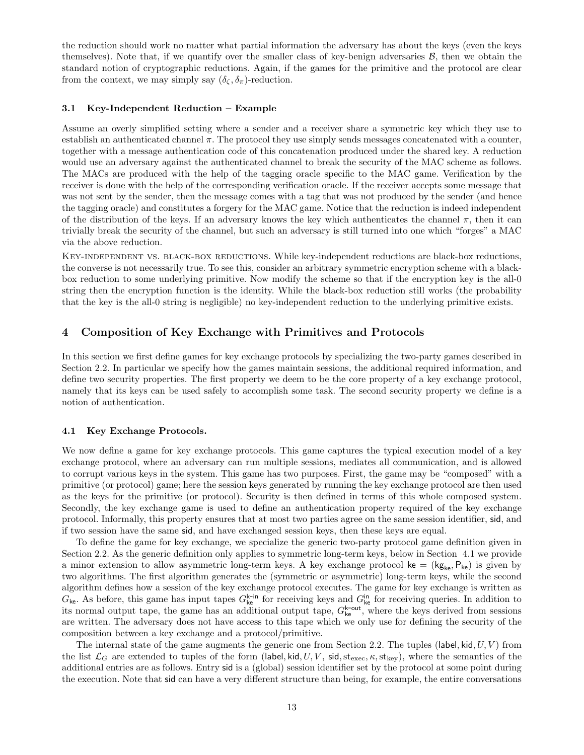the reduction should work no matter what partial information the adversary has about the keys (even the keys themselves). Note that, if we quantify over the smaller class of key-benign adversaries  $\mathcal{B}$ , then we obtain the standard notion of cryptographic reductions. Again, if the games for the primitive and the protocol are clear from the context, we may simply say  $(\delta_{\zeta}, \delta_{\pi})$ -reduction.

## 3.1 Key-Independent Reduction – Example

Assume an overly simplified setting where a sender and a receiver share a symmetric key which they use to establish an authenticated channel  $\pi$ . The protocol they use simply sends messages concatenated with a counter, together with a message authentication code of this concatenation produced under the shared key. A reduction would use an adversary against the authenticated channel to break the security of the MAC scheme as follows. The MACs are produced with the help of the tagging oracle specific to the MAC game. Verification by the receiver is done with the help of the corresponding verification oracle. If the receiver accepts some message that was not sent by the sender, then the message comes with a tag that was not produced by the sender (and hence the tagging oracle) and constitutes a forgery for the MAC game. Notice that the reduction is indeed independent of the distribution of the keys. If an adversary knows the key which authenticates the channel  $\pi$ , then it can trivially break the security of the channel, but such an adversary is still turned into one which "forges" a MAC via the above reduction.

Key-independent vs. black-box reductions. While key-independent reductions are black-box reductions, the converse is not necessarily true. To see this, consider an arbitrary symmetric encryption scheme with a blackbox reduction to some underlying primitive. Now modify the scheme so that if the encryption key is the all-0 string then the encryption function is the identity. While the black-box reduction still works (the probability that the key is the all-0 string is negligible) no key-independent reduction to the underlying primitive exists.

# 4 Composition of Key Exchange with Primitives and Protocols

In this section we first define games for key exchange protocols by specializing the two-party games described in Section 2.2. In particular we specify how the games maintain sessions, the additional required information, and define two security properties. The first property we deem to be the core property of a key exchange protocol, namely that its keys can be used safely to accomplish some task. The second security property we define is a notion of authentication.

## 4.1 Key Exchange Protocols.

We now define a game for key exchange protocols. This game captures the typical execution model of a key exchange protocol, where an adversary can run multiple sessions, mediates all communication, and is allowed to corrupt various keys in the system. This game has two purposes. First, the game may be "composed" with a primitive (or protocol) game; here the session keys generated by running the key exchange protocol are then used as the keys for the primitive (or protocol). Security is then defined in terms of this whole composed system. Secondly, the key exchange game is used to define an authentication property required of the key exchange protocol. Informally, this property ensures that at most two parties agree on the same session identifier, sid, and if two session have the same sid, and have exchanged session keys, then these keys are equal.

To define the game for key exchange, we specialize the generic two-party protocol game definition given in Section 2.2. As the generic definition only applies to symmetric long-term keys, below in Section 4.1 we provide a minor extension to allow asymmetric long-term keys. A key exchange protocol  $ke = (kg_{ke}, P_{ke})$  is given by two algorithms. The first algorithm generates the (symmetric or asymmetric) long-term keys, while the second algorithm defines how a session of the key exchange protocol executes. The game for key exchange is written as  $G_{\text{ke}}$ . As before, this game has input tapes  $G_{\text{ke}}^{\text{k-in}}$  for receiving keys and  $G_{\text{ke}}^{\text{in}}$  for receiving queries. In addition to its normal output tape, the game has an additional output tape,  $G_{\text{ke}}^{\text{k-out}}$ , where the keys derived from sessions are written. The adversary does not have access to this tape which we only use for defining the security of the composition between a key exchange and a protocol/primitive.

The internal state of the game augments the generic one from Section 2.2. The tuples (label, kid,  $U, V$ ) from the list  $\mathcal{L}_G$  are extended to tuples of the form (label, kid, U, V, sid, st<sub>exec</sub>,  $\kappa$ , st<sub>kev</sub>), where the semantics of the additional entries are as follows. Entry sid is a (global) session identifier set by the protocol at some point during the execution. Note that sid can have a very different structure than being, for example, the entire conversations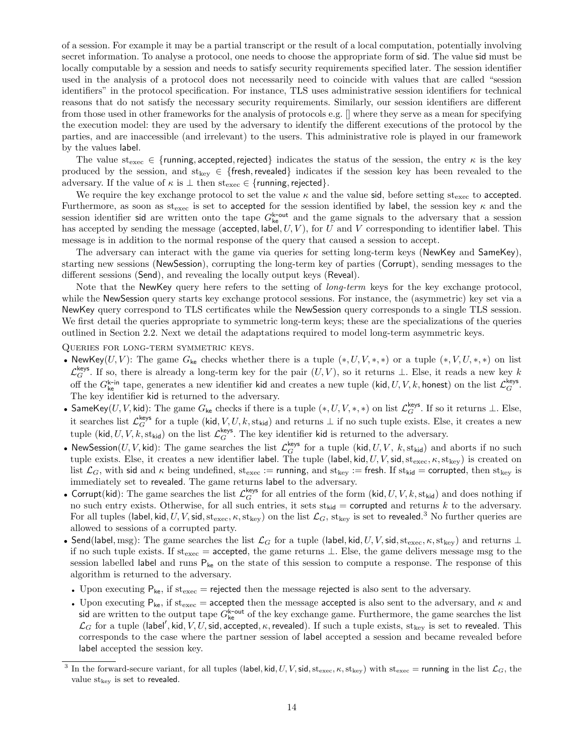of a session. For example it may be a partial transcript or the result of a local computation, potentially involving secret information. To analyse a protocol, one needs to choose the appropriate form of sid. The value sid must be locally computable by a session and needs to satisfy security requirements specified later. The session identifier used in the analysis of a protocol does not necessarily need to coincide with values that are called "session identifiers" in the protocol specification. For instance, TLS uses administrative session identifiers for technical reasons that do not satisfy the necessary security requirements. Similarly, our session identifiers are different from those used in other frameworks for the analysis of protocols e.g. [] where they serve as a mean for specifying the execution model: they are used by the adversary to identify the different executions of the protocol by the parties, and are inaccessible (and irrelevant) to the users. This administrative role is played in our framework by the values label.

The value st<sub>exec</sub>  $\in$  {running, accepted, rejected} indicates the status of the session, the entry  $\kappa$  is the key produced by the session, and  $st_{key} \in \{$  fresh, revealed indicates if the session key has been revealed to the adversary. If the value of  $\kappa$  is  $\perp$  then  $st_{\text{exec}} \in \{\text{running}, \text{rejected}\}.$ 

We require the key exchange protocol to set the value  $\kappa$  and the value sid, before setting st<sub>exec</sub> to accepted. Furthermore, as soon as st<sub>exec</sub> is set to accepted for the session identified by label, the session key  $\kappa$  and the session identifier sid are written onto the tape  $G_{\bf ke}^{\bf k-out}$  and the game signals to the adversary that a session has accepted by sending the message (accepted, label,  $U, V$ ), for U and V corresponding to identifier label. This message is in addition to the normal response of the query that caused a session to accept.

The adversary can interact with the game via queries for setting long-term keys (NewKey and SameKey), starting new sessions (NewSession), corrupting the long-term key of parties (Corrupt), sending messages to the different sessions (Send), and revealing the locally output keys (Reveal).

Note that the NewKey query here refers to the setting of *long-term* keys for the key exchange protocol, while the NewSession query starts key exchange protocol sessions. For instance, the (asymmetric) key set via a NewKey query correspond to TLS certificates while the NewSession query corresponds to a single TLS session. We first detail the queries appropriate to symmetric long-term keys; these are the specializations of the queries outlined in Section 2.2. Next we detail the adaptations required to model long-term asymmetric keys.

Queries for long-term symmetric keys.

- NewKey(U, V): The game  $G_{k\mathsf{e}}$  checks whether there is a tuple  $(*, U, V, **, *)$  or a tuple  $(*, V, U, **, *)$  on list  $\mathcal{L}_G^{\text{keys}}$ . If so, there is already a long-term key for the pair  $(U, V)$ , so it returns ⊥. Else, it reads a new key k off the  $G_{\text{ke}}^{\text{k-in}}$  tape, generates a new identifier kid and creates a new tuple (kid, U, V, k, honest) on the list  $\mathcal{L}_G^{\text{keys}}$ . The key identifier kid is returned to the adversary.
- SameKey(U, V, kid): The game  $G_{\text{ke}}$  checks if there is a tuple  $(*, U, V, *, *)$  on list  $\mathcal{L}_G^{\text{keys}}$ . If so it returns  $\bot$ . Else, it searches list  $\mathcal{L}_G^{\text{keys}}$  for a tuple (kid,  $V, U, k, s t_{\text{kid}}$ ) and returns  $\perp$  if no such tuple exists. Else, it creates a new tuple (kid,  $U, V, k$ , st<sub>kid</sub>) on the list  $\mathcal{L}_G^{\text{keys}}$ . The key identifier kid is returned to the adversary.
- NewSession(U, V, kid): The game searches the list  $\mathcal{L}_G^{\text{keys}}$  for a tuple (kid, U, V, k, st<sub>kid</sub>) and aborts if no such tuple exists. Else, it creates a new identifier label. The tuple (label, kid,  $U, V, \text{sid}, \text{st}_{\text{exec}}, \kappa, \text{st}_{\text{key}})$  is created on list  $\mathcal{L}_G$ , with sid and  $\kappa$  being undefined, st<sub>exec</sub> := running, and st<sub>key</sub> := fresh. If st<sub>kid</sub> = corrupted, then st<sub>key</sub> is immediately set to revealed. The game returns label to the adversary.
- Corrupt(kid): The game searches the list  $\mathcal{L}_G^{\text{keys}}$  for all entries of the form (kid,  $U, V, k, st_{\text{kid}}$ ) and does nothing if no such entry exists. Otherwise, for all such entries, it sets  $st_{\text{kid}} =$  corrupted and returns k to the adversary. For all tuples (label, kid,  $U, V,$  sid,  $\text{st}_{\text{exec}}, \kappa, \text{st}_{\text{key}}$ ) on the list  $\mathcal{L}_G,$   $\text{st}_{\text{key}}$  is set to revealed. $^3$  No further queries are allowed to sessions of a corrupted party.
- Send(label, msg): The game searches the list  $\mathcal{L}_G$  for a tuple (label, kid, U, V, sid, st<sub>exec</sub>,  $\kappa$ , st<sub>key</sub>) and returns  $\perp$ if no such tuple exists. If  $st_{exec}$  = accepted, the game returns  $\perp$ . Else, the game delivers message msg to the session labelled label and runs  $P_{k_e}$  on the state of this session to compute a response. The response of this algorithm is returned to the adversary.
	- Upon executing  $P_{ke}$ , if st<sub>exec</sub> = rejected then the message rejected is also sent to the adversary.
	- Upon executing  $P_{ke}$ , if st<sub>exec</sub> = accepted then the message accepted is also sent to the adversary, and  $\kappa$  and  $\frac{1}{\text{side}}$  are written to the output tape  $G_{\text{ke}}^{\text{k-out}}$  of the key exchange game. Furthermore, the game searches the list  $\mathcal{L}_G$  for a tuple (label', kid,  $V, U,$  sid, accepted,  $\kappa$ , revealed). If such a tuple exists,  $\mathrm{st}_{\mathrm{key}}$  is set to revealed. This corresponds to the case where the partner session of label accepted a session and became revealed before label accepted the session key.

<sup>3</sup> In the forward-secure variant, for all tuples (label, kid,  $U, V$ , sid,  $st_{\text{exec}}, \kappa, st_{\text{key}}$ ) with  $st_{\text{exec}} =$  running in the list  $\mathcal{L}_G$ , the value  $st_{key}$  is set to revealed.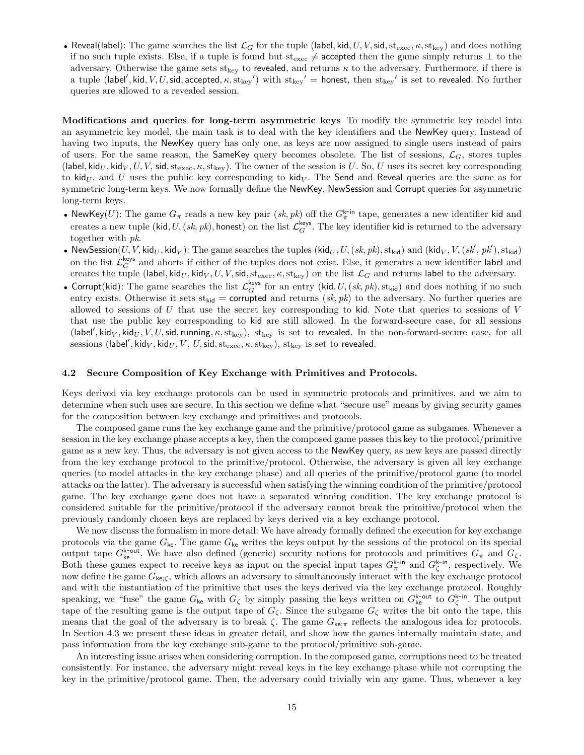• Reveal(label): The game searches the list  $\mathcal{L}_G$  for the tuple (label, kid,  $U, V$ , sid,  $st_{\text{exec}}$ ,  $\kappa, st_{\text{key}}$ ) and does nothing if no such tuple exists. Else, if a tuple is found but  $st_{exec} \neq$  accepted then the game simply returns  $\perp$  to the adversary. Otherwise the game sets st<sub>key</sub> to revealed, and returns  $\kappa$  to the adversary. Furthermore, if there is a tuple (label', kid, V, U, sid, accepted,  $\kappa$ ,  $\rm{st}_{key}'$ ) with  $\rm{st}_{key}'$  = honest, then  $\rm{st}_{key}'$  is set to revealed. No further queries are allowed to a revealed session.

Modifications and queries for long-term asymmetric keys To modify the symmetric key model into an asymmetric key model, the main task is to deal with the key identifiers and the NewKey query. Instead of having two inputs, the NewKey query has only one, as keys are now assigned to single users instead of pairs of users. For the same reason, the SameKey query becomes obsolete. The list of sessions,  $\mathcal{L}_G$ , stores tuples (label, kid<sub>U</sub>, kid<sub>V</sub>, U, V, sid, st<sub>exec</sub>,  $\kappa$ , st<sub>key</sub>). The owner of the session is U. So, U uses its secret key corresponding to kid<sub>U</sub>, and U uses the public key corresponding to kid<sub>V</sub>. The Send and Reveal queries are the same as for symmetric long-term keys. We now formally define the NewKey, NewSession and Corrupt queries for asymmetric long-term keys.

- NewKey(U): The game  $G_{\pi}$  reads a new key pair  $(sk, pk)$  off the  $G_{\pi}^{k-in}$  tape, generates a new identifier kid and creates a new tuple (kid,  $U$ , (sk, pk), honest) on the list  $\mathcal{L}_G^{\text{keys}}$ . The key identifier kid is returned to the adversary together with pk.
- NewSession $(U, V, \text{kid}_U, \text{kid}_V)$ : The game searches the tuples  $(\text{kid}_U, U, (sk, pk), \text{st}_{kid})$  and  $(\text{kid}_V, V, (sk', pk'), \text{st}_{kid})$ on the list  $\mathcal{L}_G^{\text{keys}}$  and aborts if either of the tuples does not exist. Else, it generates a new identifier label and creates the tuple (label,  $\text{kid}_U, \text{kid}_V, U, V, \text{sid}, \text{st}_{\text{exec}}, \kappa, \text{st}_{\text{key}})$  on the list  $\mathcal{L}_G$  and returns label to the adversary.
- Corrupt(kid): The game searches the list  $\mathcal{L}_G^{\text{keys}}$  for an entry (kid,  $U$ , (sk, pk), st<sub>kid</sub>) and does nothing if no such entry exists. Otherwise it sets st<sub>kid</sub> = corrupted and returns (sk, pk) to the adversary. No further queries are allowed to sessions of  $U$  that use the secret key corresponding to kid. Note that queries to sessions of  $V$ that use the public key corresponding to kid are still allowed. In the forward-secure case, for all sessions (label', kid<sub>V</sub>, kid<sub>U</sub>, V, U, sid, running,  $\kappa$ , st<sub>key</sub>), st<sub>key</sub> is set to revealed. In the non-forward-secure case, for all sessions (label', kid $_V$ , kid $_U, V, \, U,$  sid,  $\text{st}_{\text{exec}}, \kappa, \text{st}_{\text{key}})$ ,  $\text{st}_{\text{key}}$  is set to revealed.

#### 4.2 Secure Composition of Key Exchange with Primitives and Protocols.

Keys derived via key exchange protocols can be used in symmetric protocols and primitives, and we aim to determine when such uses are secure. In this section we define what "secure use" means by giving security games for the composition between key exchange and primitives and protocols.

The composed game runs the key exchange game and the primitive/protocol game as subgames. Whenever a session in the key exchange phase accepts a key, then the composed game passes this key to the protocol/primitive game as a new key. Thus, the adversary is not given access to the NewKey query, as new keys are passed directly from the key exchange protocol to the primitive/protocol. Otherwise, the adversary is given all key exchange queries (to model attacks in the key exchange phase) and all queries of the primitive/protocol game (to model attacks on the latter). The adversary is successful when satisfying the winning condition of the primitive/protocol game. The key exchange game does not have a separated winning condition. The key exchange protocol is considered suitable for the primitive/protocol if the adversary cannot break the primitive/protocol when the previously randomly chosen keys are replaced by keys derived via a key exchange protocol.

We now discuss the formalism in more detail: We have already formally defined the execution for key exchange protocols via the game  $G_{\text{ke}}$ . The game  $G_{\text{ke}}$  writes the keys output by the sessions of the protocol on its special output tape  $G_{\text{ke}}^{\text{k-out}}$ . We have also defined (generic) security notions for protocols and primitives  $G_{\pi}$  and  $G_{\zeta}$ . Both these games expect to receive keys as input on the special input tapes  $G_{\pi}^{k-in}$  and  $G_{\zeta}^{k-in}$ , respectively. We now define the game  $G_{\text{ke};\zeta}$ , which allows an adversary to simultaneously interact with the key exchange protocol and with the instantiation of the primitive that uses the keys derived via the key exchange protocol. Roughly speaking, we "fuse" the game  $G_{\mathsf{ke}}$  with  $G_{\zeta}$  by simply passing the keys written on  $G_{\mathsf{ke}}^{\mathsf{k-out}}$  to  $G_{\zeta}^{\mathsf{k-in}}$ . The output tape of the resulting game is the output tape of  $G_{\zeta}$ . Since the subgame  $G_{\zeta}$  writes the bit onto the tape, this means that the goal of the adversary is to break  $\zeta$ . The game  $G_{\text{ke};\pi}$  reflects the analogous idea for protocols. In Section 4.3 we present these ideas in greater detail, and show how the games internally maintain state, and pass information from the key exchange sub-game to the protocol/primitive sub-game.

An interesting issue arises when considering corruption. In the composed game, corruptions need to be treated consistently. For instance, the adversary might reveal keys in the key exchange phase while not corrupting the key in the primitive/protocol game. Then, the adversary could trivially win any game. Thus, whenever a key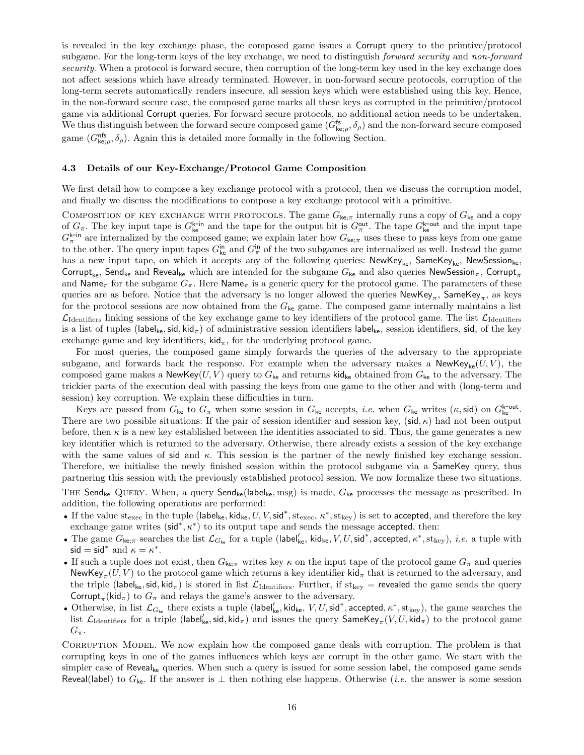is revealed in the key exchange phase, the composed game issues a Corrupt query to the primtive/protocol subgame. For the long-term keys of the key exchange, we need to distinguish *forward security* and non-forward security. When a protocol is forward secure, then corruption of the long-term key used in the key exchange does not affect sessions which have already terminated. However, in non-forward secure protocols, corruption of the long-term secrets automatically renders insecure, all session keys which were established using this key. Hence, in the non-forward secure case, the composed game marks all these keys as corrupted in the primitive/protocol game via additional Corrupt queries. For forward secure protocols, no additional action needs to be undertaken. We thus distinguish between the forward secure composed game  $(G_{\text{ke};\rho}^{\text{fs}}, \delta_{\rho})$  and the non-forward secure composed game  $(G_{\text{ke};\rho}^{\text{nfs}}, \delta_{\rho})$ . Again this is detailed more formally in the following Section.

#### 4.3 Details of our Key-Exchange/Protocol Game Composition

We first detail how to compose a key exchange protocol with a protocol, then we discuss the corruption model, and finally we discuss the modifications to compose a key exchange protocol with a primitive.

COMPOSITION OF KEY EXCHANGE WITH PROTOCOLS. The game  $G_{\textbf{k}\in\pi}$  internally runs a copy of  $G_{\textbf{k}\infty}$  and a copy of  $G_{\pi}$ . The key input tape is  $G_{\text{ke}}^{\text{k-in}}$  and the tape for the output bit is  $G_{\pi}^{\text{out}}$ . The tape  $G_{\text{ke}}^{\text{k-out}}$  and the input tape  $G_{\pi}^{k-in}$  are internalized by the composed game; we explain later how  $G_{k \in \pi}$  uses these to pass keys from one game to the other. The query input tapes  $G_{\text{ke}}^{\text{in}}$  and  $G_{\pi}^{\text{in}}$  of the two subgames are internalized as well. Instead the game has a new input tape, on which it accepts any of the following queries: NewKey<sub>ke</sub>, SameKey<sub>ke</sub>, NewSession<sub>ke</sub>, Corrupt<sub>ke</sub>, Send<sub>ke</sub> and Reveal<sub>ke</sub> which are intended for the subgame  $G_{k}$  and also queries NewSession<sub>π</sub>, Corrupt<sub>π</sub> and Name<sub>π</sub> for the subgame  $G_{\pi}$ . Here Name<sub>π</sub> is a generic query for the protocol game. The parameters of these queries are as before. Notice that the adversary is no longer allowed the queries  ${\sf NewKey}_{\pi},$   ${\sf SameKey}_{\pi},$  as keys for the protocol sessions are now obtained from the  $G_{\text{ke}}$  game. The composed game internally maintains a list  $\mathcal{L}_{\text{Identifiers}}$  linking sessions of the key exchange game to key identifiers of the protocol game. The list  $\mathcal{L}_{\text{Identifiers}}$ is a list of tuples (label<sub>ke</sub>, sid, kid<sub>π</sub>) of administrative session identifiers label<sub>ke</sub>, session identifiers, sid, of the key exchange game and key identifiers,  $\text{kid}_{\pi}$ , for the underlying protocol game.

For most queries, the composed game simply forwards the queries of the adversary to the appropriate subgame, and forwards back the response. For example when the adversary makes a NewKey<sub>ke</sub> $(U, V)$ , the composed game makes a NewKey(U, V) query to  $G_{\text{ke}}$  and returns kid<sub>ke</sub> obtained from  $G_{\text{ke}}$  to the adversary. The trickier parts of the execution deal with passing the keys from one game to the other and with (long-term and session) key corruption. We explain these difficulties in turn.

Keys are passed from  $G_{\text{ke}}$  to  $G_{\pi}$  when some session in  $G_{\text{ke}}$  accepts, *i.e.* when  $G_{\text{ke}}$  writes ( $\kappa$ , sid) on  $G_{\text{ke}}^{\text{k-out}}$ . There are two possible situations: If the pair of session identifier and session key, (sid,  $\kappa$ ) had not been output before, then  $\kappa$  is a new key established between the identities associated to sid. Thus, the game generates a new key identifier which is returned to the adversary. Otherwise, there already exists a session of the key exchange with the same values of sid and  $\kappa$ . This session is the partner of the newly finished key exchange session. Therefore, we initialise the newly finished session within the protocol subgame via a SameKey query, thus partnering this session with the previously established protocol session. We now formalize these two situations.

THE Send<sub>ke</sub> QUERY. When, a query Send<sub>ke</sub>(label<sub>ke</sub>, msg) is made,  $G_{ke}$  processes the message as prescribed. In addition, the following operations are performed:

- If the value st<sub>exec</sub> in the tuple (label<sub>ke</sub>, kid<sub>ke</sub>, U, V, sid<sup>\*</sup>, st<sub>exec</sub>,  $\kappa^*$ , st<sub>key</sub>) is set to accepted, and therefore the key exchange game writes  $(\text{sid}^*, \kappa^*)$  to its output tape and sends the message accepted, then:
- The game  $G_{\mathsf{ke};\pi}$  searches the list  $\mathcal{L}_{G_{\mathsf{ke}}}$  for a tuple (label'<sub>ke</sub>, kid<sub>ke</sub>, V, U, sid<sup>\*</sup>, accepted,  $\kappa^*$ , st<sub>key</sub>), *i.e.* a tuple with sid = sid<sup>\*</sup> and  $\kappa = \kappa^*$ .
- If such a tuple does not exist, then  $G_{\mathbf{k}e;\pi}$  writes key  $\kappa$  on the input tape of the protocol game  $G_{\pi}$  and queries NewKey $_\pi(U,V)$  to the protocol game which returns a key identifier kid $_\pi$  that is returned to the adversary, and the triple (label<sub>ke</sub>, sid, kid<sub>π</sub>) is stored in list  $\mathcal{L}_{\text{Identity}}$ . Further, if st<sub>key</sub> = revealed the game sends the query Corrupt<sub>π</sub>( $\text{kid}_{\pi}$ ) to  $G_{\pi}$  and relays the game's answer to the adversary.
- Otherwise, in list  $\mathcal{L}_{G_{ke}}$  there exists a tuple (label'<sub>ke</sub>, kid<sub>ke</sub>, V, U, sid<sup>\*</sup>, accepted,  $\kappa^*$ , st<sub>key</sub>), the game searches the list  $\mathcal{L}_{\text{Identifiers}}$  for a triple (label'<sub>ke</sub>, sid, kid<sub>π</sub>) and issues the query  $\mathsf{SameKey}_{\pi}(V, U, \mathsf{kid}_{\pi})$  to the protocol game  $G_{\pi}$ .

CORRUPTION MODEL. We now explain how the composed game deals with corruption. The problem is that corrupting keys in one of the games influences which keys are corrupt in the other game. We start with the simpler case of Reveal<sub>ke</sub> queries. When such a query is issued for some session label, the composed game sends Reveal(label) to  $G_{\text{ke}}$ . If the answer is  $\perp$  then nothing else happens. Otherwise (*i.e.* the answer is some session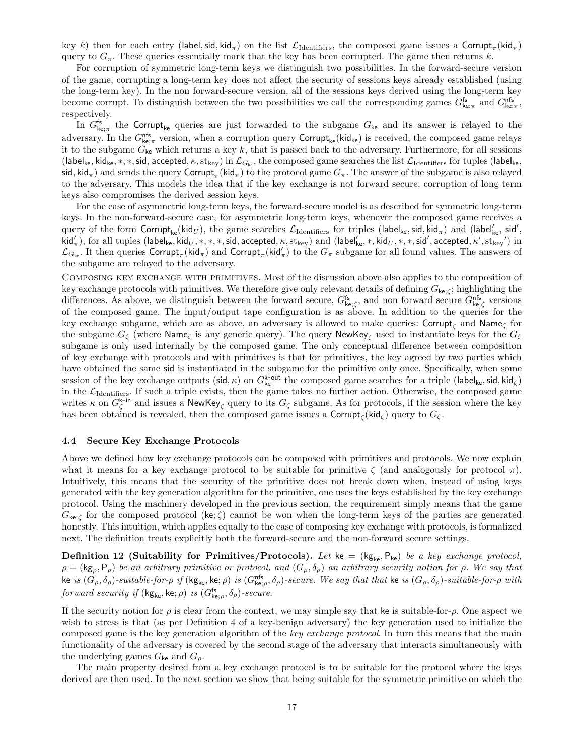key  $k$ ) then for each entry (label, sid, kid $_\pi$ ) on the list  $\mathcal{L}_{\rm Identifiers}$ , the composed game issues a  ${\sf Corrupt}_\pi({\sf kid}_\pi)$ query to  $G_{\pi}$ . These queries essentially mark that the key has been corrupted. The game then returns k.

For corruption of symmetric long-term keys we distinguish two possibilities. In the forward-secure version of the game, corrupting a long-term key does not affect the security of sessions keys already established (using the long-term key). In the non forward-secure version, all of the sessions keys derived using the long-term key become corrupt. To distinguish between the two possibilities we call the corresponding games  $G_{\text{ke};\pi}^{\text{fs}}$  and  $G_{\text{ke};\pi}^{\text{ns}}$ , respectively.

In  $G_{k\epsilon,\pi}^{\mathsf{fs}}$  the Corrupt<sub>ke</sub> queries are just forwarded to the subgame  $G_{k\epsilon}$  and its answer is relayed to the adversary. In the  $G_{\text{ke};\pi}^{\text{nfs}}$  version, when a corruption query  $\text{Corrupt}_{\text{ke}}(\text{kid}_{\text{ke}})$  is received, the composed game relays it to the subgame  $G_{\text{ke}}$  which returns a key k, that is passed back to the adversary. Furthermore, for all sessions (label<sub>ke</sub>, kid<sub>ke</sub>, \*, \*, sid, accepted,  $\kappa$ , st<sub>key</sub>) in  $\mathcal{L}_{G_{ke}}$ , the composed game searches the list  $\mathcal{L}_{\text{Identifiers}}$  for tuples (label<sub>ke</sub>,  $\mathsf{sid}, \mathsf{kid}_\pi)$  and sends the query  $\mathsf{Corrupt}_\pi(\mathsf{kid}_\pi)$  to the protocol game  $G_\pi.$  The answer of the subgame is also relayed to the adversary. This models the idea that if the key exchange is not forward secure, corruption of long term keys also compromises the derived session keys.

For the case of asymmetric long-term keys, the forward-secure model is as described for symmetric long-term keys. In the non-forward-secure case, for asymmetric long-term keys, whenever the composed game receives a query of the form  $\mathsf{Corrupt}_{\mathsf{ke}}(\mathsf{kid}_U),$  the game searches  $\mathcal{L}_{\text{Identifiers}}$  for triples  $(\mathsf{label}_{\mathsf{ke}}, \mathsf{sid}, \mathsf{kid}_\pi)$  and  $(\mathsf{label}_{\mathsf{ke}}, \mathsf{sid}',$  $\mathsf{kid}_\pi') , \text{ for all tuples (label}_{\mathsf{ke}}, \mathsf{kid}_{U},*,*,*,\mathsf{sid}, \text{accepted}, \kappa, \text{st}_{\mathsf{key}}) \text{ and } (\mathsf{label}_{\mathsf{ke}},*, \mathsf{kid}_{U},*,*,\mathsf{sid}', \text{accepted}, \kappa', \text{st}_{\mathsf{key}}') \text{ in }$  $\mathcal{L}_{G_{\text{ke}}}$ . It then queries Corrupt<sub>π</sub>(kid<sub>π</sub>) and Corrupt<sub>π</sub>(kid<sub>π</sub>) to the  $G_{\pi}$  subgame for all found values. The answers of the subgame are relayed to the adversary.

Composing key exchange with primitives. Most of the discussion above also applies to the composition of key exchange protocols with primitives. We therefore give only relevant details of defining  $G_{\text{ke}: \zeta}$ ; highlighting the differences. As above, we distinguish between the forward secure,  $G_{\text{ke};\zeta}^{\text{fs}}$ , and non forward secure  $G_{\text{ke};\zeta}^{\text{nfs}}$  versions of the composed game. The input/output tape configuration is as above. In addition to the queries for the key exchange subgame, which are as above, an adversary is allowed to make queries: Corrupt<sub>c</sub> and Name<sub>c</sub> for the subgame  $G_{\zeta}$  (where Name<sub> $\zeta$ </sub> is any generic query). The query NewKey<sub> $\zeta$ </sub> used to instantiate keys for the  $G_{\zeta}$ subgame is only used internally by the composed game. The only conceptual difference between composition of key exchange with protocols and with primitives is that for primitives, the key agreed by two parties which have obtained the same sid is instantiated in the subgame for the primitive only once. Specifically, when some session of the key exchange outputs (sid,  $\kappa$ ) on  $G_{\text{ke}}^{\text{k-out}}$  the composed game searches for a triple (label<sub>ke</sub>, sid, kid<sub> $\zeta$ </sub>) in the  $\mathcal{L}_{\text{Identifiers}}$ . If such a triple exists, then the game takes no further action. Otherwise, the composed game writes  $\kappa$  on  $G_{\zeta}^{k-n}$  and issues a NewKey<sub> $\zeta$ </sub> query to its  $G_{\zeta}$  subgame. As for protocols, if the session where the key has been obtained is revealed, then the composed game issues a  $\text{Corrupt}_{\zeta}(\text{kid}_{\zeta})$  query to  $G_{\zeta}$ .

#### 4.4 Secure Key Exchange Protocols

Above we defined how key exchange protocols can be composed with primitives and protocols. We now explain what it means for a key exchange protocol to be suitable for primitive  $\zeta$  (and analogously for protocol  $\pi$ ). Intuitively, this means that the security of the primitive does not break down when, instead of using keys generated with the key generation algorithm for the primitive, one uses the keys established by the key exchange protocol. Using the machinery developed in the previous section, the requirement simply means that the game  $G_{\text{kei}}$  for the composed protocol (ke;  $\zeta$ ) cannot be won when the long-term keys of the parties are generated honestly. This intuition, which applies equally to the case of composing key exchange with protocols, is formalized next. The definition treats explicitly both the forward-secure and the non-forward secure settings.

**Definition 12 (Suitability for Primitives/Protocols).** Let ke =  $(kg_{ke}, P_{ke})$  be a key exchange protocol,  $\rho = (\mathsf{kg}_{\rho}, \mathsf{P}_{\rho})$  be an arbitrary primitive or protocol, and  $(G_{\rho}, \delta_{\rho})$  an arbitrary security notion for  $\rho$ . We say that ke is  $(G_\rho, \delta_\rho)$ -suitable-for- $\rho$  if  $(\mathsf{kg}_{\mathsf{ke}}^{\mathsf{ke}}$ , ke;  $\rho)$  is  $(G_{\mathsf{ke};\rho}^{\mathsf{nts}}, \delta_\rho)$ -secure. We say that that ke is  $(G_\rho, \delta_\rho)$ -suitable-for- $\rho$  with forward security if  $(\mathsf{kg}_{\mathsf{ke}}, \mathsf{ke}; \rho)$  is  $(G_{\mathsf{ke};\rho}^{\mathsf{fs}}, \delta_{\rho})$ -secure.

If the security notion for  $\rho$  is clear from the context, we may simple say that ke is suitable-for- $\rho$ . One aspect we wish to stress is that (as per Definition 4 of a key-benign adversary) the key generation used to initialize the composed game is the key generation algorithm of the key exchange protocol. In turn this means that the main functionality of the adversary is covered by the second stage of the adversary that interacts simultaneously with the underlying games  $G_{\text{ke}}$  and  $G_{\rho}$ .

The main property desired from a key exchange protocol is to be suitable for the protocol where the keys derived are then used. In the next section we show that being suitable for the symmetric primitive on which the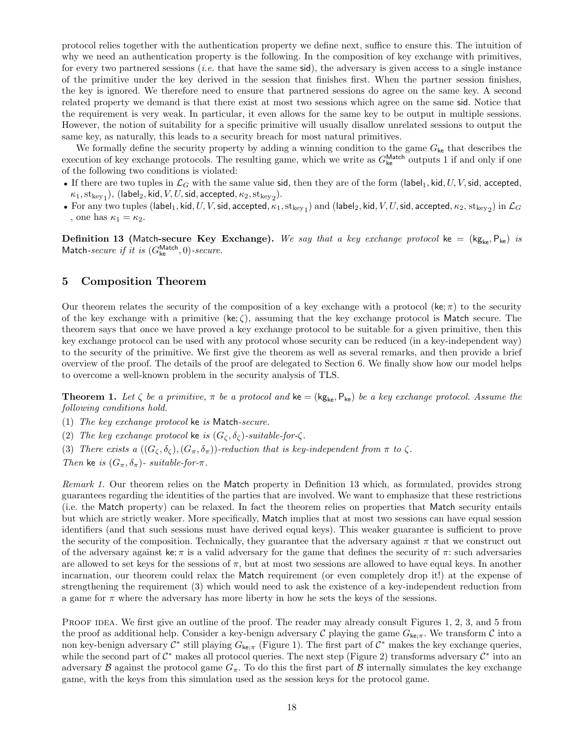protocol relies together with the authentication property we define next, suffice to ensure this. The intuition of why we need an authentication property is the following. In the composition of key exchange with primitives, for every two partnered sessions (*i.e.* that have the same sid), the adversary is given access to a single instance of the primitive under the key derived in the session that finishes first. When the partner session finishes, the key is ignored. We therefore need to ensure that partnered sessions do agree on the same key. A second related property we demand is that there exist at most two sessions which agree on the same sid. Notice that the requirement is very weak. In particular, it even allows for the same key to be output in multiple sessions. However, the notion of suitability for a specific primitive will usually disallow unrelated sessions to output the same key, as naturally, this leads to a security breach for most natural primitives.

We formally define the security property by adding a winning condition to the game  $G_{\text{ke}}$  that describes the execution of key exchange protocols. The resulting game, which we write as  $G_{\text{ke}}^{\text{Match}}$  outputs 1 if and only if one of the following two conditions is violated:

- If there are two tuples in  $\mathcal{L}_G$  with the same value sid, then they are of the form (label<sub>1</sub>, kid,  $U, V$ , sid, accepted,  $\kappa_1,\mathrm{st}_{\mathrm{key}_1}),\,(\mathsf{label}_2,\mathsf{kid},V,U,\mathsf{sid},\mathsf{accepted},\kappa_2,\mathrm{st}_{\mathrm{key}_2}).$
- $\bullet$  For any two tuples (label $_1$ , kid,  $U,V,$  sid, accepted,  $\kappa_1,$   $\mathrm{st_{key1}})$  and (label $_2$ , kid,  $V,U,$  sid, accepted,  $\kappa_2,$   $\mathrm{st_{key2}})$  in  $\mathcal{L}_G$ , one has  $\kappa_1 = \kappa_2$ .

**Definition 13** (Match-secure Key Exchange). We say that a key exchange protocol ke =  $(kg_{ke}, P_{ke})$  is Match-secure if it is  $(G_{\text{ke}}^{\text{Match}}, 0)$ -secure.

# 5 Composition Theorem

Our theorem relates the security of the composition of a key exchange with a protocol (ke;  $\pi$ ) to the security of the key exchange with a primitive (ke;  $\zeta$ ), assuming that the key exchange protocol is Match secure. The theorem says that once we have proved a key exchange protocol to be suitable for a given primitive, then this key exchange protocol can be used with any protocol whose security can be reduced (in a key-independent way) to the security of the primitive. We first give the theorem as well as several remarks, and then provide a brief overview of the proof. The details of the proof are delegated to Section 6. We finally show how our model helps to overcome a well-known problem in the security analysis of TLS.

**Theorem 1.** Let  $\zeta$  be a primitive,  $\pi$  be a protocol and  $ke = (kg_{ke}, P_{ke})$  be a key exchange protocol. Assume the following conditions hold.

- (1) The key exchange protocol ke is Match-secure.
- (2) The key exchange protocol ke is  $(G_{\zeta}, \delta_{\zeta})$ -suitable-for- $\zeta$ .
- (3) There exists a  $((G_{\zeta}, \delta_{\zeta}), (G_{\pi}, \delta_{\pi}))$ -reduction that is key-independent from  $\pi$  to  $\zeta$ .
- Then ke is  $(G_{\pi}, \delta_{\pi})$  suitable-for- $\pi$ .

Remark 1. Our theorem relies on the Match property in Definition 13 which, as formulated, provides strong guarantees regarding the identities of the parties that are involved. We want to emphasize that these restrictions (i.e. the Match property) can be relaxed. In fact the theorem relies on properties that Match security entails but which are strictly weaker. More specifically, Match implies that at most two sessions can have equal session identifiers (and that such sessions must have derived equal keys). This weaker guarantee is sufficient to prove the security of the composition. Technically, they guarantee that the adversary against  $\pi$  that we construct out of the adversary against ke;  $\pi$  is a valid adversary for the game that defines the security of  $\pi$ : such adversaries are allowed to set keys for the sessions of  $\pi$ , but at most two sessions are allowed to have equal keys. In another incarnation, our theorem could relax the Match requirement (or even completely drop it!) at the expense of strengthening the requirement (3) which would need to ask the existence of a key-independent reduction from a game for  $\pi$  where the adversary has more liberty in how he sets the keys of the sessions.

PROOF IDEA. We first give an outline of the proof. The reader may already consult Figures 1, 2, 3, and 5 from the proof as additional help. Consider a key-benign adversary C playing the game  $G_{\text{ke};\pi}$ . We transform C into a non key-benign adversary  $C^*$  still playing  $G_{\text{ke};\pi}$  (Figure 1). The first part of  $C^*$  makes the key exchange queries, while the second part of  $C^*$  makes all protocol queries. The next step (Figure 2) transforms adversary  $C^*$  into an adversary B against the protocol game  $G_\pi$ . To do this the first part of B internally simulates the key exchange game, with the keys from this simulation used as the session keys for the protocol game.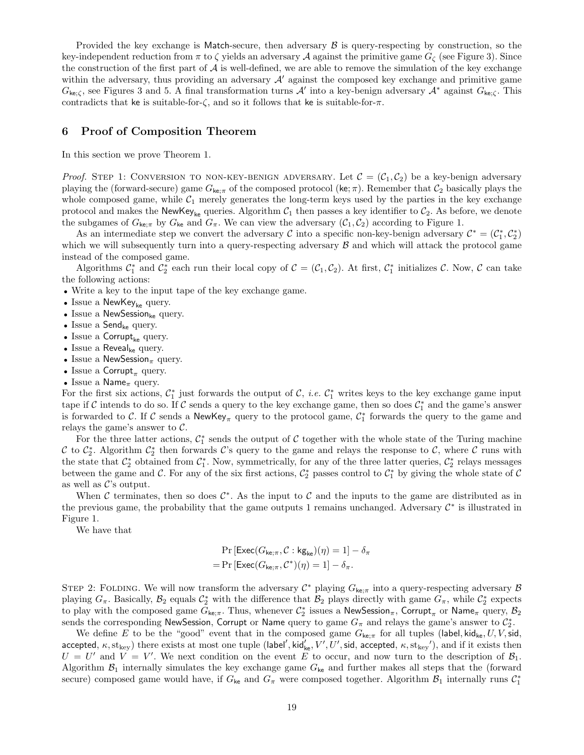Provided the key exchange is Match-secure, then adversary  $\beta$  is query-respecting by construction, so the key-independent reduction from  $\pi$  to  $\zeta$  yields an adversary A against the primitive game  $G_{\zeta}$  (see Figure 3). Since the construction of the first part of  $A$  is well-defined, we are able to remove the simulation of the key exchange within the adversary, thus providing an adversary  $A'$  against the composed key exchange and primitive game  $G_{\mathsf{ke};\zeta}$ , see Figures 3 and 5. A final transformation turns  $\mathcal{A}'$  into a key-benign adversary  $\mathcal{A}^*$  against  $G_{\mathsf{ke};\zeta}$ . This contradicts that ke is suitable-for- $\zeta$ , and so it follows that ke is suitable-for- $\pi$ .

# 6 Proof of Composition Theorem

In this section we prove Theorem 1.

*Proof.* STEP 1: CONVERSION TO NON-KEY-BENIGN ADVERSARY. Let  $\mathcal{C} = (\mathcal{C}_1, \mathcal{C}_2)$  be a key-benign adversary playing the (forward-secure) game  $G_{\mathbf{k}\in\pi}$  of the composed protocol ( $\mathbf{k}\in\pi$ ). Remember that  $C_2$  basically plays the whole composed game, while  $C_1$  merely generates the long-term keys used by the parties in the key exchange protocol and makes the NewKey<sub>ke</sub> queries. Algorithm  $C_1$  then passes a key identifier to  $C_2$ . As before, we denote the subgames of  $G_{\text{ke};\pi}$  by  $G_{\text{ke}}$  and  $G_{\pi}$ . We can view the adversary  $(\mathcal{C}_1, \mathcal{C}_2)$  according to Figure 1.

As an intermediate step we convert the adversary C into a specific non-key-benign adversary  $\mathcal{C}^* = (\mathcal{C}_1^*, \mathcal{C}_2^*)$ which we will subsequently turn into a query-respecting adversary  $\beta$  and which will attack the protocol game instead of the composed game.

Algorithms  $\mathcal{C}_1^*$  and  $\mathcal{C}_2^*$  each run their local copy of  $\mathcal{C} = (\mathcal{C}_1, \mathcal{C}_2)$ . At first,  $\mathcal{C}_1^*$  initializes  $\mathcal{C}$ . Now,  $\mathcal{C}$  can take the following actions:

- Write a key to the input tape of the key exchange game.
- Issue a NewKey $_{ke}$  query.
- Issue a NewSession<sub>ke</sub> query.
- Issue a  $Send_{ke}$  query.
- Issue a Corrupt<sub>ke</sub> query.
- Issue a Reveal $_{ke}$  query.
- Issue a NewSession<sub> $\pi$ </sub> query.
- Issue a Corrupt<sub> $\pi$ </sub> query.
- Issue a Name<sub>π</sub> query.

For the first six actions,  $C_1^*$  just forwards the output of C, *i.e.*  $C_1^*$  writes keys to the key exchange game input tape if C intends to do so. If C sends a query to the key exchange game, then so does  $\mathcal{C}_1^*$  and the game's answer is forwarded to C. If C sends a NewKey<sub>π</sub> query to the protocol game,  $\mathcal{C}_1^*$  forwards the query to the game and relays the game's answer to  $\mathcal{C}$ .

For the three latter actions,  $\mathcal{C}_1^*$  sends the output of  $\mathcal C$  together with the whole state of the Turing machine C to  $C_2^*$ . Algorithm  $C_2^*$  then forwards C's query to the game and relays the response to C, where C runs with the state that  $\mathcal{C}_2^*$  obtained from  $\mathcal{C}_1^*$ . Now, symmetrically, for any of the three latter queries,  $\mathcal{C}_2^*$  relays messages between the game and C. For any of the six first actions,  $\mathcal{C}_2^*$  passes control to  $\mathcal{C}_1^*$  by giving the whole state of  $\mathcal C$ as well as  $\mathcal{C}$ 's output.

When C terminates, then so does  $\mathcal{C}^*$ . As the input to C and the inputs to the game are distributed as in the previous game, the probability that the game outputs 1 remains unchanged. Adversary  $\mathcal{C}^*$  is illustrated in Figure 1.

We have that

$$
\Pr\left[\text{Exec}(G_{\mathsf{ke};\pi}, \mathcal{C} : \mathsf{kg}_{\mathsf{ke}})(\eta) = 1\right] - \delta_{\pi}
$$

$$
= \Pr\left[\text{Exec}(G_{\mathsf{ke};\pi}, \mathcal{C}^*)(\eta) = 1\right] - \delta_{\pi}.
$$

STEP 2: FOLDING. We will now transform the adversary  $\mathcal{C}^*$  playing  $G_{\mathbf{ke};\pi}$  into a query-respecting adversary  $\mathcal{B}$ playing  $G_{\pi}$ . Basically,  $\mathcal{B}_2$  equals  $\mathcal{C}_2^*$  with the difference that  $\mathcal{B}_2$  plays directly with game  $G_{\pi}$ , while  $\mathcal{C}_2^*$  expects to play with the composed game  $G_{\mathsf{ke};\pi}$ . Thus, whenever  $\mathcal{C}_2^*$  issues a NewSession $_\pi$ , Corrupt $_\pi$  or Name $_\pi$  query,  $\mathcal{B}_2$ sends the corresponding NewSession, Corrupt or Name query to game  $G_\pi$  and relays the game's answer to  $\mathcal{C}_2^*$ .

We define E to be the "good" event that in the composed game  $G_{\text{ke};\pi}$  for all tuples (label, kid<sub>ke</sub>, U, V, sid, accepted,  $\kappa,$   $\mathrm{st}_{\mathrm{key}})$  there exists at most one tuple (label', kid $'_{\mathrm{ke}},$   $V',$   $U',$  sid, accepted,  $\kappa,$   $\mathrm{st}_{\mathrm{key}}'$ ), and if it exists then  $U = U'$  and  $V = V'$ . We next condition on the event E to occur, and now turn to the description of  $B_1$ . Algorithm  $\mathcal{B}_1$  internally simulates the key exchange game  $G_{\text{ke}}$  and further makes all steps that the (forward secure) composed game would have, if  $G_{\text{ke}}$  and  $G_{\pi}$  were composed together. Algorithm  $\mathcal{B}_1$  internally runs  $\mathcal{C}_1^*$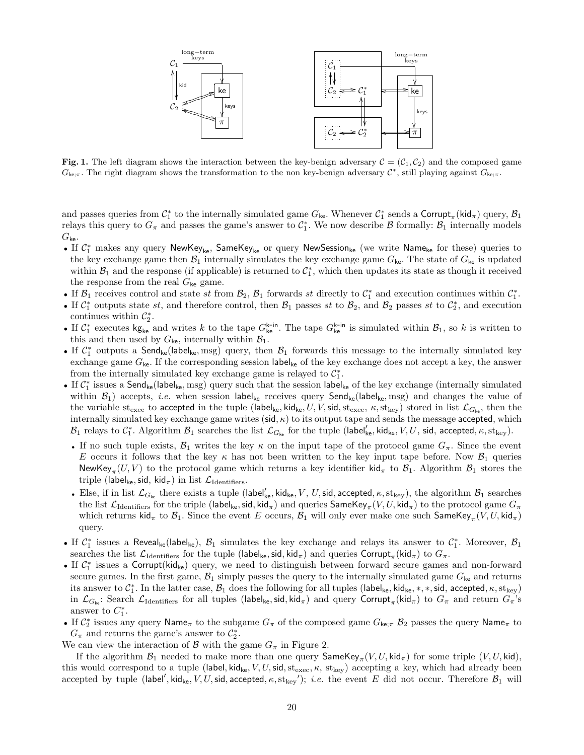

Fig. 1. The left diagram shows the interaction between the key-benign adversary  $\mathcal{C} = (\mathcal{C}_1, \mathcal{C}_2)$  and the composed game  $G_{\text{ke};\pi}$ . The right diagram shows the transformation to the non key-benign adversary  $\mathcal{C}^*$ , still playing against  $G_{\text{ke};\pi}$ .

and passes queries from  $C_1^*$  to the internally simulated game  $G_{\text{ke}}$ . Whenever  $C_1^*$  sends a Corrupt<sub> $\pi$ </sub>(kid<sub> $\pi$ </sub>) query,  $\mathcal{B}_1$ relays this query to  $G_{\pi}$  and passes the game's answer to  $\mathcal{C}_1^*$ . We now describe  $\mathcal B$  formally:  $\mathcal B_1$  internally models  $G_{\mathsf{ke}}$ .

- If  $C_1^*$  makes any query NewKey<sub>ke</sub>, SameKey<sub>ke</sub> or query NewSession<sub>ke</sub> (we write Name<sub>ke</sub> for these) queries to the key exchange game then  $\mathcal{B}_1$  internally simulates the key exchange game  $G_{\text{ke}}$ . The state of  $G_{\text{ke}}$  is updated within  $\mathcal{B}_1$  and the response (if applicable) is returned to  $\mathcal{C}_1^*$ , which then updates its state as though it received the response from the real  $G_{\text{ke}}$  game.
- If  $\mathcal{B}_1$  receives control and state st from  $\mathcal{B}_2$ ,  $\mathcal{B}_1$  forwards st directly to  $\mathcal{C}_1^*$  and execution continues within  $\mathcal{C}_1^*$ .
- If  $C_1^*$  outputs state st, and therefore control, then  $\mathcal{B}_1$  passes st to  $\mathcal{B}_2$ , and  $\mathcal{B}_2$  passes st to  $C_2^*$ , and execution continues within  $\mathcal{C}_2^*$ .
- If  $C_1^*$  executes kg<sub>ke</sub> and writes k to the tape  $G_{\text{ke}}^{k-\text{in}}$ . The tape  $G_{\text{ke}}^{k-\text{in}}$  is simulated within  $\mathcal{B}_1$ , so k is written to this and then used by  $G_{\text{ke}}$ , internally within  $\mathcal{B}_1$ .
- If  $C_1^*$  outputs a  $Send_{ke}(label_{ke}, msg)$  query, then  $B_1$  forwards this message to the internally simulated key exchange game  $G_{\text{ke}}$ . If the corresponding session label<sub>ke</sub> of the key exchange does not accept a key, the answer from the internally simulated key exchange game is relayed to  $C_1^*$ .
- If  $C_1^*$  issues a  $\mathsf{Send}_{\mathsf{ke}}(\mathsf{label}_{\mathsf{ke}},\mathsf{msg})$  query such that the session label<sub>ke</sub> of the key exchange (internally simulated within  $B_1$ ) accepts, *i.e.* when session label<sub>ke</sub> receives query Send<sub>ke</sub>(label<sub>ke</sub>, msg) and changes the value of the variable st<sub>exec</sub> to accepted in the tuple (label<sub>ke</sub>, kid<sub>ke</sub>, U, V, sid, st<sub>exec</sub>,  $\kappa$ , st<sub>key</sub>) stored in list  $\mathcal{L}_{G_{ke}}$ , then the internally simulated key exchange game writes (sid,  $\kappa$ ) to its output tape and sends the message accepted, which  $\mathcal{B}_1$  relays to  $\mathcal{C}_1^*$ . Algorithm  $\mathcal{B}_1$  searches the list  $\mathcal{L}_{G_{\text{ke}}}$  for the tuple (label'<sub>ke</sub>, kid<sub>ke</sub>, V, U, sid, accepted,  $\kappa$ , st<sub>key</sub>).
- If no such tuple exists,  $\mathcal{B}_1$  writes the key  $\kappa$  on the input tape of the protocol game  $G_\pi$ . Since the event E occurs it follows that the key  $\kappa$  has not been written to the key input tape before. Now  $\mathcal{B}_1$  queries NewKey<sub>π</sub> $(U, V)$  to the protocol game which returns a key identifier kid<sub>π</sub> to  $\mathcal{B}_1$ . Algorithm  $\mathcal{B}_1$  stores the triple (label<sub>ke</sub>, sid, kid<sub>π</sub>) in list  $\mathcal{L}_{\text{Identifiers}}$ .
- Else, if in list  $\mathcal{L}_{G_{ke}}$  there exists a tuple (label'<sub>ke</sub>, kid<sub>ke</sub>, V, U, sid, accepted,  $\kappa$ , st<sub>key</sub>), the algorithm  $\mathcal{B}_1$  searches the list  $\mathcal{L}_{\text{Identifiers}}$  for the triple  $(\textsf{label}_{\textsf{ke}}, \textsf{sid}, \textsf{kid}_\pi)$  and queries  $\textsf{SameKey}_\pi(V,U,\textsf{kid}_\pi)$  to the protocol game  $G_\pi$ which returns kid<sub>π</sub> to  $B_1$ . Since the event E occurs,  $B_1$  will only ever make one such  $\mathsf{SameKey}_{\pi}(V, U, \mathsf{kid}_{\pi})$ query.
- If  $C_1^*$  issues a Reveal<sub>ke</sub>(label<sub>ke</sub>),  $B_1$  simulates the key exchange and relays its answer to  $C_1^*$ . Moreover,  $B_1$ searches the list  $\mathcal{L}_{\text{Identifiers}}$  for the tuple (label<sub>ke</sub>, sid, kid $_\pi$ ) and queries  $\textsf{Corrupt}_\pi(\textsf{kid}_\pi)$  to  $G_\pi.$
- If  $C_1^*$  issues a Corrupt(kid<sub>ke</sub>) query, we need to distinguish between forward secure games and non-forward secure games. In the first game,  $\mathcal{B}_1$  simply passes the query to the internally simulated game  $G_{k_{\rm e}}$  and returns its answer to  $C_1^*$ . In the latter case,  $B_1$  does the following for all tuples (label<sub>ke</sub>, kid<sub>ke</sub>, \*, \*, sid, accepted,  $\kappa$ , st<sub>key</sub>) in  $\mathcal{L}_{G_\text{ke}}$ : Search  $\mathcal{L}_{\text{Identity}}$  for all tuples (label<sub>ke</sub>, sid, kid $_\pi$ ) and query Corrupt $_\pi$ (kid $_\pi$ ) to  $G_\pi$  and return  $G_\pi$ 's answer to  $C_1^*$ .
- If  $C_2^*$  issues any query Name<sub>π</sub> to the subgame  $G_\pi$  of the composed game  $G_{\text{ke};\pi}$   $\mathcal{B}_2$  passes the query Name<sub>π</sub> to  $G_{\pi}$  and returns the game's answer to  $C_2^*$ .

We can view the interaction of  $\mathcal{B}$  with the game  $G_{\pi}$  in Figure 2.

If the algorithm  $\mathcal{B}_1$  needed to make more than one query  $\mathsf{SameKey}_{\pi}(V, U, \mathsf{kid}_\pi)$  for some triple  $(V, U, \mathsf{kid})$ , this would correspond to a tuple (label, kid<sub>ke</sub>, V, U, sid, st<sub>exec</sub>,  $\kappa$ , st<sub>key</sub>) accepting a key, which had already been accepted by tuple (label', kid<sub>ke</sub>, V, U, sid, accepted,  $\kappa,$  st<sub>key</sub>'); *i.e.* the event E did not occur. Therefore  $\mathcal{B}_1$  will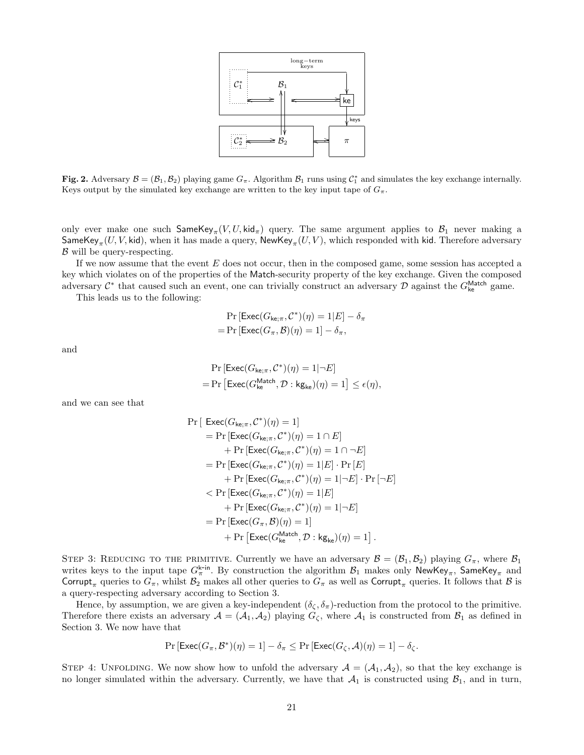

Fig. 2. Adversary  $\mathcal{B} = (\mathcal{B}_1, \mathcal{B}_2)$  playing game  $G_{\pi}$ . Algorithm  $\mathcal{B}_1$  runs using  $\mathcal{C}_1^*$  and simulates the key exchange internally. Keys output by the simulated key exchange are written to the key input tape of  $G_\pi$ .

only ever make one such  $\mathsf{SameKey}_{\pi}(V, U, \mathsf{kid}_\pi)$  query. The same argument applies to  $\mathcal{B}_1$  never making a  $\mathsf{SameKey}_{\pi}(U,V,\mathsf{kid}),$  when it has made a query,  $\mathsf{NewKey}_{\pi}(U,V),$  which responded with  $\mathsf{kid}.$  Therefore adversary  $\beta$  will be query-respecting.

If we now assume that the event E does not occur, then in the composed game, some session has accepted a key which violates on of the properties of the Match-security property of the key exchange. Given the composed adversary  $C^*$  that caused such an event, one can trivially construct an adversary  $D$  against the  $G_{\text{ke}}^{\text{Match}}$  game.

This leads us to the following:

$$
\Pr\left[\text{Exec}(G_{\text{ke};\pi}, \mathcal{C}^*)(\eta) = 1|E\right] - \delta_{\pi}
$$

$$
= \Pr\left[\text{Exec}(G_{\pi}, \mathcal{B})(\eta) = 1\right] - \delta_{\pi},
$$

and

$$
\begin{aligned} &\Pr\left[\mathsf{Exec}(G_{\mathsf{ke};\pi},\mathcal{C}^*)(\eta)=1|\neg E\right] \\ &=\Pr\left[\mathsf{Exec}(G_{\mathsf{ke}}^{\mathsf{Match}},\mathcal{D}:\mathsf{kg}_{\mathsf{ke}})(\eta)=1\right]\leq \epsilon(\eta), \end{aligned}
$$

and we can see that

$$
\Pr\left[\begin{array}{c}\text{Exec}(G_{\mathsf{ke};\pi},\mathcal{C}^*)(\eta)=1\right] \\ =\Pr\left[\text{Exec}(G_{\mathsf{ke};\pi},\mathcal{C}^*)(\eta)=1\cap E\right] \\ +\Pr\left[\text{Exec}(G_{\mathsf{ke};\pi},\mathcal{C}^*)(\eta)=1\cap \neg E\right] \\ =\Pr\left[\text{Exec}(G_{\mathsf{ke};\pi},\mathcal{C}^*)(\eta)=1|E\right]\cdot\Pr\left[E\right] \\ +\Pr\left[\text{Exec}(G_{\mathsf{ke};\pi},\mathcal{C}^*)(\eta)=1|\neg E\right]\cdot\Pr\left[\neg E\right] \\ <\Pr\left[\text{Exec}(G_{\mathsf{ke};\pi},\mathcal{C}^*)(\eta)=1|E\right] \\ +\Pr\left[\text{Exec}(G_{\mathsf{ke};\pi},\mathcal{C}^*)(\eta)=1|\neg E\right] \\ =\Pr\left[\text{Exec}(G_{\pi},\mathcal{B})(\eta)=1\right] \\ +\Pr\left[\text{Exec}(G_{\mathsf{Met}}^{\text{Match}},\mathcal{D}: \text{kg}_{\mathsf{ke}})(\eta)=1\right].\end{array}
$$

STEP 3: REDUCING TO THE PRIMITIVE. Currently we have an adversary  $\mathcal{B} = (\mathcal{B}_1, \mathcal{B}_2)$  playing  $G_\pi$ , where  $\mathcal{B}_1$ writes keys to the input tape  $G_{\pi}^{k-in}$ . By construction the algorithm  $\mathcal{B}_1$  makes only NewKey<sub>π</sub>, SameKey<sub>π</sub> and Corrupt<sub>π</sub> queries to  $G_\pi$ , whilst  $\mathcal{B}_2$  makes all other queries to  $G_\pi$  as well as Corrupt<sub>π</sub> queries. It follows that  $\mathcal B$  is a query-respecting adversary according to Section 3.

Hence, by assumption, we are given a key-independent  $(\delta_{\zeta}, \delta_{\pi})$ -reduction from the protocol to the primitive. Therefore there exists an adversary  $A = (A_1, A_2)$  playing  $G_\zeta$ , where  $A_1$  is constructed from  $B_1$  as defined in Section 3. We now have that

$$
\Pr\left[\text{Exec}(G_{\pi}, \mathcal{B}^*)(\eta) = 1\right] - \delta_{\pi} \le \Pr\left[\text{Exec}(G_{\zeta}, \mathcal{A})(\eta) = 1\right] - \delta_{\zeta}.
$$

STEP 4: UNFOLDING. We now show how to unfold the adversary  $\mathcal{A} = (\mathcal{A}_1, \mathcal{A}_2)$ , so that the key exchange is no longer simulated within the adversary. Currently, we have that  $A_1$  is constructed using  $B_1$ , and in turn,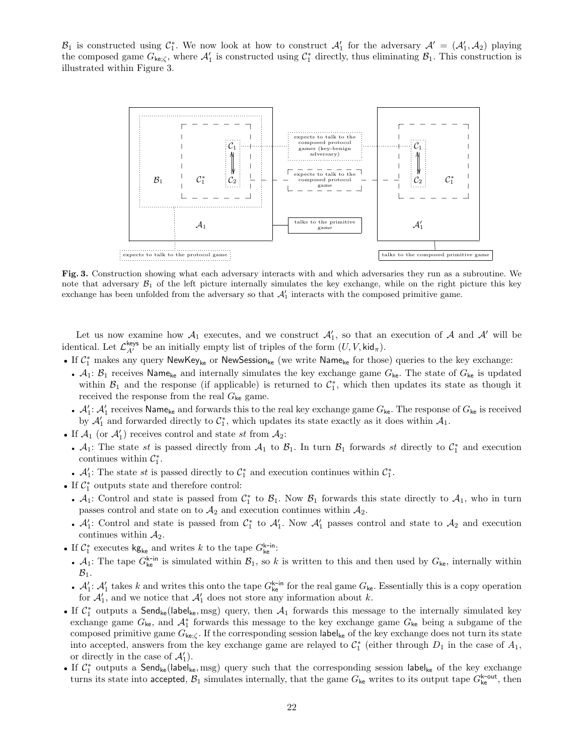$\mathcal{B}_1$  is constructed using  $\mathcal{C}_1^*$ . We now look at how to construct  $\mathcal{A}_1'$  for the adversary  $\mathcal{A}' = (\mathcal{A}_1', \mathcal{A}_2)$  playing the composed game  $G_{\mathsf{ke};\zeta}$ , where  $\mathcal{A}'_1$  is constructed using  $\mathcal{C}_1^*$  directly, thus eliminating  $\mathcal{B}_1$ . This construction is illustrated within Figure 3.



Fig. 3. Construction showing what each adversary interacts with and which adversaries they run as a subroutine. We note that adversary  $\mathcal{B}_1$  of the left picture internally simulates the key exchange, while on the right picture this key exchange has been unfolded from the adversary so that  $A'_1$  interacts with the composed primitive game.

Let us now examine how  $A_1$  executes, and we construct  $A'_1$ , so that an execution of A and A' will be identical. Let  $\mathcal{L}_{A'}^{\text{keys}}$  be an initially empty list of triples of the form  $(U, V, \text{kid}_{\pi}).$ 

- If  $C_1^*$  makes any query NewKey<sub>ke</sub> or NewSession<sub>ke</sub> (we write Name<sub>ke</sub> for those) queries to the key exchange:
- $A_1: B_1$  receives Name<sub>ke</sub> and internally simulates the key exchange game  $G_{k\epsilon}$ . The state of  $G_{k\epsilon}$  is updated within  $\mathcal{B}_1$  and the response (if applicable) is returned to  $\mathcal{C}_1^*$ , which then updates its state as though it received the response from the real  $G_{\text{ke}}$  game.
- $A'_1$ :  $A'_1$  receives Name<sub>ke</sub> and forwards this to the real key exchange game  $G_{k}$ . The response of  $G_{k}$  is received by  $\mathcal{A}'_1$  and forwarded directly to  $\mathcal{C}_1^*$ , which updates its state exactly as it does within  $\mathcal{A}_1$ .
- If  $\mathcal{A}_1$  (or  $\mathcal{A}'_1$ ) receives control and state st from  $\mathcal{A}_2$ :
	- $A_1$ : The state st is passed directly from  $A_1$  to  $B_1$ . In turn  $B_1$  forwards st directly to  $C_1^*$  and execution continues within  $C_1^*$ .
- $\mathcal{A}'_1$ : The state st is passed directly to  $\mathcal{C}_1^*$  and execution continues within  $\mathcal{C}_1^*$ .
- $\bullet$  If  $\mathcal{C}_1^*$  outputs state and therefore control:
- $A_1$ : Control and state is passed from  $C_1^*$  to  $B_1$ . Now  $B_1$  forwards this state directly to  $A_1$ , who in turn passes control and state on to  $A_2$  and execution continues within  $A_2$ .
- $\mathcal{A}'_1$ : Control and state is passed from  $\mathcal{C}_1^*$  to  $\mathcal{A}'_1$ . Now  $\mathcal{A}'_1$  passes control and state to  $\mathcal{A}_2$  and execution continues within  $A_2$ .
- If  $C_1^*$  executes kg<sub>ke</sub> and writes k to the tape  $G_{\text{ke}}^{\text{k-in}}$ :
	- $A_1$ : The tape  $G_{\mathsf{ke}}^{\mathsf{k}\text{-in}}$  is simulated within  $B_1$ , so k is written to this and then used by  $G_{\mathsf{ke}}$ , internally within  $\mathcal{B}_1$ .
- $\mathcal{A}'_1$ :  $\mathcal{A}'_1$  takes k and writes this onto the tape  $G_{\mathsf{ke}}^{\mathsf{k-in}}$  for the real game  $G_{\mathsf{ke}}$ . Essentially this is a copy operation for  $\mathcal{A}'_1$ , and we notice that  $\mathcal{A}'_1$  does not store any information about k.
- If  $C_1^*$  outputs a  $Send_{ke}(label_{ke}, msg)$  query, then  $A_1$  forwards this message to the internally simulated key exchange game  $G_{\text{ke}}$ , and  $\mathcal{A}_{1}^{*}$  forwards this message to the key exchange game  $G_{\text{ke}}$  being a subgame of the composed primitive game  $G_{\text{ke};\zeta}$ . If the corresponding session label<sub>ke</sub> of the key exchange does not turn its state into accepted, answers from the key exchange game are relayed to  $\mathcal{C}_1^*$  (either through  $D_1$  in the case of  $A_1$ , or directly in the case of  $\mathcal{A}'_1$ ).
- If  $C_1^*$  outputs a  $Send_{ke}(label_{ke}, msg)$  query such that the corresponding session label<sub>ke</sub> of the key exchange turns its state into accepted,  $\mathcal{B}_1$  simulates internally, that the game  $G_{\text{ke}}$  writes to its output tape  $G_{\text{ke}}^{\text{k-out}}$ , then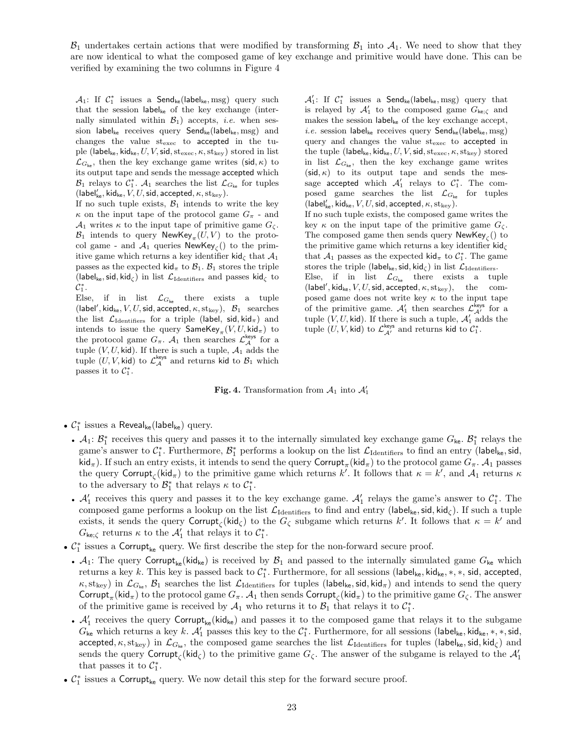$\mathcal{B}_1$  undertakes certain actions that were modified by transforming  $\mathcal{B}_1$  into  $\mathcal{A}_1$ . We need to show that they are now identical to what the composed game of key exchange and primitive would have done. This can be verified by examining the two columns in Figure 4

 $A_1$ : If  $C_1^*$  issues a  $\mathsf{Send}_{\mathsf{ke}}(\mathsf{label}_{\mathsf{ke}},\mathsf{msg})$  query such that the session  $\mathsf{label}_{\mathsf{ke}}$  of the key exchange (internally simulated within  $B_1$ ) accepts, *i.e.* when session label<sub>ke</sub> receives query  $\mathsf{Send}_{\mathsf{ke}}(\mathsf{label}_{\mathsf{ke}},\mathsf{msg})$  and changes the value stexec to accepted in the tuple (label<sub>ke</sub>, kid<sub>ke</sub>,  $U, V, \text{sid}, \text{st}_{\text{exec}}, \kappa, \text{st}_{\text{key}})$  stored in list  $\mathcal{L}_{G_{\text{ke}}}$ , then the key exchange game writes (sid,  $\kappa$ ) to its output tape and sends the message accepted which  $\mathcal{B}_1$  relays to  $\mathcal{C}_1^*$ .  $\mathcal{A}_1$  searches the list  $\mathcal{L}_{G_{ke}}$  for tuples  $(\mathsf{label}'_{\mathsf{ke}}, \mathsf{kid}_{\mathsf{ke}}, V, U, \mathsf{sid}, \mathsf{accepted}, \kappa, \mathsf{st}_{\mathsf{key}}).$ 

If no such tuple exists,  $\mathcal{B}_1$  intends to write the key  $\kappa$  on the input tape of the protocol game  $G_\pi$  - and  $\mathcal{A}_1$  writes  $\kappa$  to the input tape of primitive game  $G_{\zeta}$ .  $\mathcal{B}_1$  intends to query  $\mathsf{NewKey}_{\pi}(U,V)$  to the protocol game - and  $\mathcal{A}_1$  queries  $\mathsf{NewKey}_{\zeta}()$  to the primitive game which returns a key identifier kid<sub> $\zeta$ </sub> that  $\mathcal{A}_1$ passes as the expected kid<sub>π</sub> to  $\mathcal{B}_1$ .  $\mathcal{B}_1$  stores the triple (label<sub>ke</sub>, sid, kid<sub> $\zeta$ </sub>) in list  $\mathcal{L}_{\text{Identity}}$  and passes kid<sub> $\zeta$ </sub> to  $\mathcal{C}_1^*$  .

Else, if in list  $\mathcal{L}_{G_{\text{ke}}}$  there exists a tuple (label', kidke,  $V, U$ , sid, accepted,  $\kappa$ ,  $\operatorname{st}_{\operatorname{key}}$ ),  $\mathcal{B}_1$  searches the list  $\mathcal{L}_{\text{Identifiers}}$  for a triple (label, sid, kid $_{\pi}$ ) and intends to issue the query  $\mathsf{SameKey}_{\pi}(V, U, \mathsf{kid}_{\pi})$  to the protocol game  $G_{\pi}$ .  $\mathcal{A}_1$  then searches  $\mathcal{L}_{\mathcal{A}}^{\text{keys}}$  for a tuple  $(V, U, \text{kid})$ . If there is such a tuple,  $\mathcal{A}_1$  adds the tuple  $(U, V, \text{kid})$  to  $\mathcal{L}_{\mathcal{A}}^{\text{keys}}$  and returns kid to  $\mathcal{B}_1$  which passes it to  $\mathcal{C}_1^*$ .

 $\mathcal{A}'_1$ : If  $\mathcal{C}_1^*$  issues a Send<sub>ke</sub>(label<sub>ke</sub>, msg) query that is relayed by  $\mathcal{A}'_1$  to the composed game  $G_{\text{ke};\zeta}$  and makes the session  $\mathsf{label}_{\mathsf{ke}}$  of the key exchange accept, i.e. session label<sub>ke</sub> receives query  $\mathsf{Send}_{\mathsf{ke}}(\mathsf{label}_{\mathsf{ke}},\mathsf{msg})$ query and changes the value st<sub>exec</sub> to accepted in the tuple (label<sub>ke</sub>, kid<sub>ke</sub>,  $U, V, \text{sid}, \text{st}_{\text{exec}}, \kappa, \text{st}_{\text{key}})$  stored in list  $\mathcal{L}_{G_{\text{ke}}}$ , then the key exchange game writes  $(\mathsf{sid}, \kappa)$  to its output tape and sends the message accepted which  $\mathcal{A}'_1$  relays to  $\mathcal{C}_1^*$ . The composed game searches the list  $\mathcal{L}_{G_{\text{ke}}}$  for tuples  $(\mathsf{label}'_{\mathsf{ke}}, \mathsf{kid}_{\mathsf{ke}}, V, U, \mathsf{sid}, \mathsf{accepted}, \kappa, \mathsf{st}_{\mathsf{key}}).$ 

If no such tuple exists, the composed game writes the key  $\kappa$  on the input tape of the primitive game  $G_{\zeta}$ . The composed game then sends query  $\mathsf{NewKey}_{\zeta}()$  to the primitive game which returns a key identifier kid $\zeta$ that  $\mathcal{A}_1$  passes as the expected kid<sub> $\pi$ </sub> to  $\mathcal{C}_1^*$ . The game stores the triple (label<sub>ke</sub>, sid, kid<sub> $\zeta$ </sub>) in list  $\mathcal{L}_{\text{Identity}}$ . Else, if in list  $\mathcal{L}_{G_{\text{ke}}}$  there exists a tuple (label', kid<sub>ke</sub>, V, U, sid, accepted,  $\kappa$ ,  $\mathrm{st}_{\text{key}}$ ), the composed game does not write key  $\kappa$  to the input tape of the primitive game.  $\mathcal{A}'_1$  then searches  $\mathcal{L}_{\mathcal{A}'}^{\text{keys}}$  for a tuple  $(V, U, \text{kid})$ . If there is such a tuple,  $\mathcal{A}'_1$  adds the tuple  $(U, V, \text{kid})$  to  $\mathcal{L}_{\mathcal{A}'}^{\text{keys}}$  and returns kid to  $\mathcal{C}_1^*$ .

Fig. 4. Transformation from  $\mathcal{A}_1$  into  $\mathcal{A}'_1$ 

- $C_1^*$  issues a Reveal<sub>ke</sub>(label<sub>ke</sub>) query.
	- $A_1: B_1^*$  receives this query and passes it to the internally simulated key exchange game  $G_{\text{ke}}$ .  $B_1^*$  relays the game's answer to  $C_1^*$ . Furthermore,  $\mathcal{B}_1^*$  performs a lookup on the list  $\mathcal{L}_{\text{Identifiers}}$  to find an entry (label<sub>ke</sub>, sid,  $\mathsf{kid}_\pi$ ). If such an entry exists, it intends to send the query  $\mathsf{Corrupt}_\pi(\mathsf{kid}_\pi)$  to the protocol game  $G_\pi$ .  $\mathcal{A}_1$  passes the query Corrupt<sub> $\zeta$ </sub>(kid<sub>π</sub>) to the primitive game which returns k'. It follows that  $\kappa = k'$ , and  $\mathcal{A}_1$  returns  $\kappa$ to the adversary to  $\mathcal{B}_1^*$  that relays  $\kappa$  to  $\mathcal{C}_1^*$ .
	- $\mathcal{A}'_1$  receives this query and passes it to the key exchange game.  $\mathcal{A}'_1$  relays the game's answer to  $\mathcal{C}_1^*$ . The composed game performs a lookup on the list  $\mathcal{L}_{\text{Identity}}$  to find and entry (label<sub>ke</sub>, sid, kid<sub> $\zeta$ </sub>). If such a tuple exists, it sends the query Corrupt<sub> $\zeta$ </sub>(kid<sub> $\zeta$ </sub>) to the  $G_{\zeta}$  subgame which returns k'. It follows that  $\kappa = k'$  and  $G_{\mathsf{ke};\zeta}$  returns  $\kappa$  to the  $\mathcal{A}'_1$  that relays it to  $\mathcal{C}_1^*$ .
- $C_1^*$  issues a Corrupt<sub>ke</sub> query. We first describe the step for the non-forward secure proof.
- $A_1$ : The query Corrupt<sub>ke</sub>(kid<sub>ke</sub>) is received by  $B_1$  and passed to the internally simulated game  $G_{k}$ e which returns a key k. This key is passed back to  $C_1^*$ . Furthermore, for all sessions (label<sub>ke</sub>, kid<sub>ke</sub>, \*, \*, sid, accepted,  $\kappa$ , st<sub>key</sub>) in  $\mathcal{L}_{G_{k_{e}}}$ ,  $\mathcal{B}_{1}$  searches the list  $\mathcal{L}_{Identifiers}$  for tuples (label<sub>ke</sub>, sid, kid<sub> $\pi$ </sub>) and intends to send the query Corrupt<sub>π</sub>(kid<sub>π</sub>) to the protocol game  $G_\pi$ .  $A_1$  then sends Corrupt<sub> $\zeta$ </sub>(kid<sub>π</sub>) to the primitive game  $G_\zeta$ . The answer of the primitive game is received by  $\mathcal{A}_1$  who returns it to  $\mathcal{B}_1$  that relays it to  $\mathcal{C}_1^*$ .
- $\mathcal{A}'_1$  receives the query Corrupt<sub>ke</sub>(kid<sub>ke</sub>) and passes it to the composed game that relays it to the subgame  $G_{\mathsf{ke}}$  which returns a key k.  $\mathcal{A}'_1$  passes this key to the  $\mathcal{C}_1^*$ . Furthermore, for all sessions (label<sub>ke</sub>, kid<sub>ke</sub>, \*, \*, sid, accepted,  $\kappa$ , st<sub>key</sub>) in  $\mathcal{L}_{G_{ke}}$ , the composed game searches the list  $\mathcal{L}_{\text{Identifiers}}$  for tuples (label<sub>ke</sub>, sid, kid<sub> $\zeta$ </sub>) and sends the query Corrupt<sub> $\zeta$ </sub>(kid<sub> $\zeta$ </sub>) to the primitive game  $G_{\zeta}$ . The answer of the subgame is relayed to the  $\mathcal{A}'_1$ that passes it to  $\mathcal{C}_1^*$ .
- $C_1^*$  issues a Corrupt<sub>ke</sub> query. We now detail this step for the forward secure proof.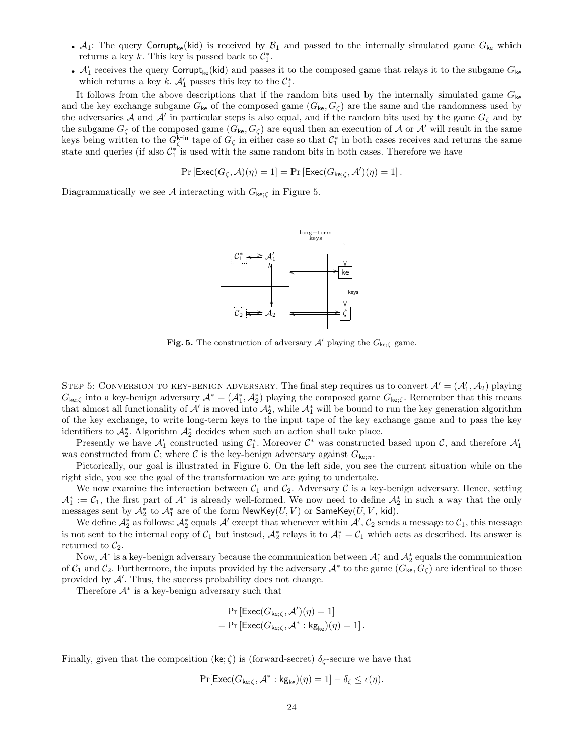- $A_1$ : The query Corrupt<sub>ke</sub>(kid) is received by  $B_1$  and passed to the internally simulated game  $G_{k_0}$  which returns a key k. This key is passed back to  $C_1^*$ .
- $\mathcal{A}'_1$  receives the query Corrupt<sub>ke</sub>(kid) and passes it to the composed game that relays it to the subgame  $G_{\text{ke}}$ which returns a key k.  $\mathcal{A}'_1$  passes this key to the  $\mathcal{C}_1^*$ .

It follows from the above descriptions that if the random bits used by the internally simulated game  $G_{\rm ke}$ and the key exchange subgame  $G_{\text{ke}}$  of the composed game  $(G_{\text{ke}}, G_{\zeta})$  are the same and the randomness used by the adversaries A and A' in particular steps is also equal, and if the random bits used by the game  $G_{\zeta}$  and by the subgame  $G_{\zeta}$  of the composed game  $(G_{\mathbf{ke}}, G_{\zeta})$  are equal then an execution of A or A' will result in the same keys being written to the  $G_{\zeta}^{k-in}$  tape of  $G_{\zeta}$  in either case so that  $\mathcal{C}_1^*$  in both cases receives and returns the same state and queries (if also  $\mathcal{C}_1^*$  is used with the same random bits in both cases. Therefore we have

$$
\Pr\left[\mathsf{Exec}(G_{\zeta},\mathcal{A})(\eta)=1\right]=\Pr\left[\mathsf{Exec}(G_{\mathsf{ke};\zeta},\mathcal{A}')(\eta)=1\right].
$$

Diagrammatically we see A interacting with  $G_{\mathsf{ke};\zeta}$  in Figure 5.



Fig. 5. The construction of adversary  $\mathcal{A}'$  playing the  $G_{\text{ke};\zeta}$  game.

STEP 5: CONVERSION TO KEY-BENIGN ADVERSARY. The final step requires us to convert  $\mathcal{A}' = (\mathcal{A}'_1, \mathcal{A}_2)$  playing  $G_{\mathsf{ke};\zeta}$  into a key-benign adversary  $\mathcal{A}^* = (\mathcal{A}_1^*, \mathcal{A}_2^*)$  playing the composed game  $G_{\mathsf{ke};\zeta}$ . Remember that this means that almost all functionality of  $\mathcal{A}'$  is moved into  $\mathcal{A}_2^*$ , while  $\mathcal{A}_1^*$  will be bound to run the key generation algorithm of the key exchange, to write long-term keys to the input tape of the key exchange game and to pass the key identifiers to  $\mathcal{A}_2^*$ . Algorithm  $\mathcal{A}_2^*$  decides when such an action shall take place.

Presently we have  $\mathcal{A}'_1$  constructed using  $\mathcal{C}_1^*$ . Moreover  $\mathcal{C}^*$  was constructed based upon  $\mathcal{C}$ , and therefore  $\mathcal{A}'_1$ was constructed from C; where C is the key-benign adversary against  $G_{\text{ke};\pi}$ .

Pictorically, our goal is illustrated in Figure 6. On the left side, you see the current situation while on the right side, you see the goal of the transformation we are going to undertake.

We now examine the interaction between  $C_1$  and  $C_2$ . Adversary C is a key-benign adversary. Hence, setting  $\mathcal{A}_1^* := \mathcal{C}_1$ , the first part of  $\mathcal{A}^*$  is already well-formed. We now need to define  $\mathcal{A}_2^*$  in such a way that the only messages sent by  $\mathcal{A}_2^*$  to  $\mathcal{A}_1^*$  are of the form  $\mathsf{NewKey}(U,V)$  or  $\mathsf{SameKey}(U,V,\mathsf{kid}).$ 

We define  $\mathcal{A}_2^*$  as follows:  $\mathcal{A}_2^*$  equals  $\mathcal{A}'$  except that whenever within  $\mathcal{A}', \mathcal{C}_2$  sends a message to  $\mathcal{C}_1$ , this message is not sent to the internal copy of  $C_1$  but instead,  $\mathcal{A}_2^*$  relays it to  $\mathcal{A}_1^* = C_1$  which acts as described. Its answer is returned to  $\mathcal{C}_2$ .

Now,  $\mathcal{A}^*$  is a key-benign adversary because the communication between  $\mathcal{A}_1^*$  and  $\mathcal{A}_2^*$  equals the communication of  $C_1$  and  $C_2$ . Furthermore, the inputs provided by the adversary  $\mathcal{A}^*$  to the game  $(G_{\mathsf{ke}}, G_{\zeta})$  are identical to those provided by  $A'$ . Thus, the success probability does not change.

Therefore  $A^*$  is a key-benign adversary such that

$$
\Pr\left[\text{Exec}(G_{\text{ke};\zeta},\mathcal{A}')(\eta) = 1\right] = \Pr\left[\text{Exec}(G_{\text{ke};\zeta},\mathcal{A}^*:\text{kg}_{\text{ke}})(\eta) = 1\right].
$$

Finally, given that the composition (ke;  $\zeta$ ) is (forward-secret)  $\delta_{\zeta}$ -secure we have that

 $\Pr[\mathsf{Exec}(G_{\mathsf{ke};\zeta},\mathcal{A}^*:\mathsf{kg}_{\mathsf{ke}})(\eta)=1]-\delta_{\zeta}\leq \epsilon(\eta).$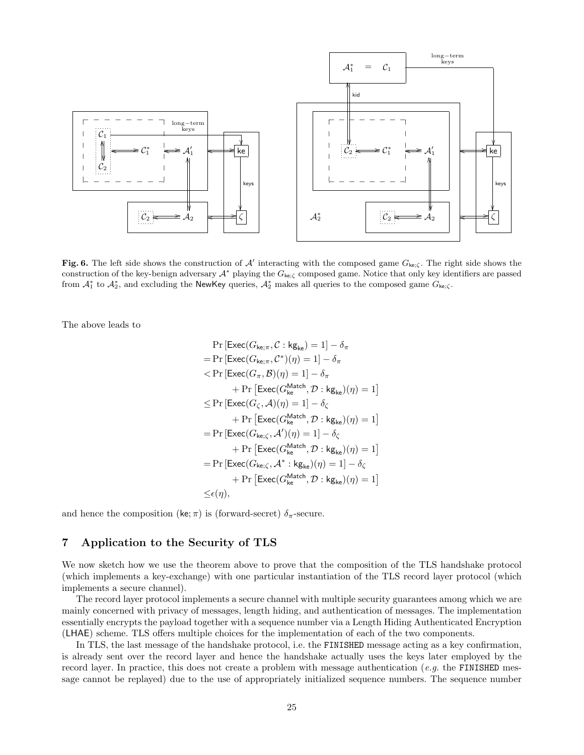

Fig. 6. The left side shows the construction of  $A'$  interacting with the composed game  $G_{\text{ke};\zeta}$ . The right side shows the construction of the key-benign adversary  $A^*$  playing the  $G_{\text{ke};\zeta}$  composed game. Notice that only key identifiers are passed from  $\mathcal{A}_1^*$  to  $\mathcal{A}_2^*$ , and excluding the NewKey queries,  $\mathcal{A}_2^*$  makes all queries to the composed game  $G_{\text{ke};\zeta}$ .

The above leads to

$$
\Pr\left[\text{Exec}(G_{\text{ke};\pi}, \mathcal{C} : \text{kg}_{\text{ke}}) = 1\right] - \delta_{\pi}
$$
\n
$$
= \Pr\left[\text{Exec}(G_{\text{ke};\pi}, \mathcal{C}^*)(\eta) = 1\right] - \delta_{\pi}
$$
\n
$$
< \Pr\left[\text{Exec}(G_{\pi}, \mathcal{B})(\eta) = 1\right] - \delta_{\pi}
$$
\n
$$
+ \Pr\left[\text{Exec}(G_{\text{ke}}^{\text{Match}}, \mathcal{D} : \text{kg}_{\text{ke}})(\eta) = 1\right]
$$
\n
$$
\leq \Pr\left[\text{Exec}(G_{\zeta}, \mathcal{A})(\eta) = 1\right] - \delta_{\zeta}
$$
\n
$$
+ \Pr\left[\text{Exec}(G_{\text{ke}}^{\text{Match}}, \mathcal{D} : \text{kg}_{\text{ke}})(\eta) = 1\right]
$$
\n
$$
= \Pr\left[\text{Exec}(G_{\text{ke}}^{\text{Match}}, \mathcal{D} : \text{kg}_{\text{ke}})(\eta) = 1\right]
$$
\n
$$
= \Pr\left[\text{Exec}(G_{\text{ke}}^{\text{Match}}, \mathcal{D} : \text{kg}_{\text{ke}})(\eta) = 1\right] - \delta_{\zeta}
$$
\n
$$
+ \Pr\left[\text{Exec}(G_{\text{ke}}^{\text{Match}}, \mathcal{D} : \text{kg}_{\text{ke}})(\eta) = 1\right]
$$
\n
$$
\leq \epsilon(\eta),
$$

and hence the composition (ke;  $\pi$ ) is (forward-secret)  $\delta_{\pi}$ -secure.

# 7 Application to the Security of TLS

We now sketch how we use the theorem above to prove that the composition of the TLS handshake protocol (which implements a key-exchange) with one particular instantiation of the TLS record layer protocol (which implements a secure channel).

The record layer protocol implements a secure channel with multiple security guarantees among which we are mainly concerned with privacy of messages, length hiding, and authentication of messages. The implementation essentially encrypts the payload together with a sequence number via a Length Hiding Authenticated Encryption (LHAE) scheme. TLS offers multiple choices for the implementation of each of the two components.

In TLS, the last message of the handshake protocol, i.e. the FINISHED message acting as a key confirmation, is already sent over the record layer and hence the handshake actually uses the keys later employed by the record layer. In practice, this does not create a problem with message authentication (e.g. the FINISHED message cannot be replayed) due to the use of appropriately initialized sequence numbers. The sequence number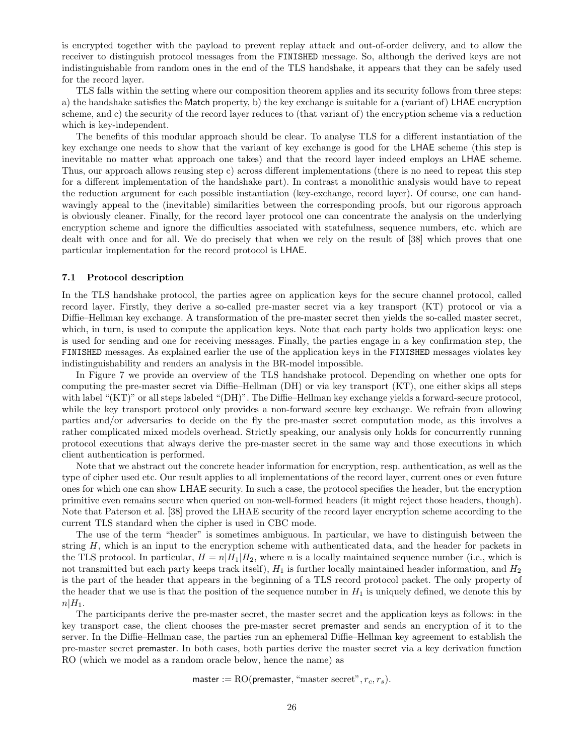is encrypted together with the payload to prevent replay attack and out-of-order delivery, and to allow the receiver to distinguish protocol messages from the FINISHED message. So, although the derived keys are not indistinguishable from random ones in the end of the TLS handshake, it appears that they can be safely used for the record layer.

TLS falls within the setting where our composition theorem applies and its security follows from three steps: a) the handshake satisfies the Match property, b) the key exchange is suitable for a (variant of) LHAE encryption scheme, and c) the security of the record layer reduces to (that variant of) the encryption scheme via a reduction which is key-independent.

The benefits of this modular approach should be clear. To analyse TLS for a different instantiation of the key exchange one needs to show that the variant of key exchange is good for the LHAE scheme (this step is inevitable no matter what approach one takes) and that the record layer indeed employs an LHAE scheme. Thus, our approach allows reusing step c) across different implementations (there is no need to repeat this step for a different implementation of the handshake part). In contrast a monolithic analysis would have to repeat the reduction argument for each possible instantiation (key-exchange, record layer). Of course, one can handwavingly appeal to the (inevitable) similarities between the corresponding proofs, but our rigorous approach is obviously cleaner. Finally, for the record layer protocol one can concentrate the analysis on the underlying encryption scheme and ignore the difficulties associated with statefulness, sequence numbers, etc. which are dealt with once and for all. We do precisely that when we rely on the result of [38] which proves that one particular implementation for the record protocol is LHAE.

#### 7.1 Protocol description

In the TLS handshake protocol, the parties agree on application keys for the secure channel protocol, called record layer. Firstly, they derive a so-called pre-master secret via a key transport (KT) protocol or via a Diffie–Hellman key exchange. A transformation of the pre-master secret then yields the so-called master secret, which, in turn, is used to compute the application keys. Note that each party holds two application keys: one is used for sending and one for receiving messages. Finally, the parties engage in a key confirmation step, the FINISHED messages. As explained earlier the use of the application keys in the FINISHED messages violates key indistinguishability and renders an analysis in the BR-model impossible.

In Figure 7 we provide an overview of the TLS handshake protocol. Depending on whether one opts for computing the pre-master secret via Diffie–Hellman (DH) or via key transport (KT), one either skips all steps with label "(KT)" or all steps labeled "(DH)". The Diffie–Hellman key exchange yields a forward-secure protocol, while the key transport protocol only provides a non-forward secure key exchange. We refrain from allowing parties and/or adversaries to decide on the fly the pre-master secret computation mode, as this involves a rather complicated mixed models overhead. Strictly speaking, our analysis only holds for concurrently running protocol executions that always derive the pre-master secret in the same way and those executions in which client authentication is performed.

Note that we abstract out the concrete header information for encryption, resp. authentication, as well as the type of cipher used etc. Our result applies to all implementations of the record layer, current ones or even future ones for which one can show LHAE security. In such a case, the protocol specifies the header, but the encryption primitive even remains secure when queried on non-well-formed headers (it might reject those headers, though). Note that Paterson et al. [38] proved the LHAE security of the record layer encryption scheme according to the current TLS standard when the cipher is used in CBC mode.

The use of the term "header" is sometimes ambiguous. In particular, we have to distinguish between the string  $H$ , which is an input to the encryption scheme with authenticated data, and the header for packets in the TLS protocol. In particular,  $H = n|H_1|H_2$ , where n is a locally maintained sequence number (i.e., which is not transmitted but each party keeps track itself),  $H_1$  is further locally maintained header information, and  $H_2$ is the part of the header that appears in the beginning of a TLS record protocol packet. The only property of the header that we use is that the position of the sequence number in  $H_1$  is uniquely defined, we denote this by  $n|H_1$ .

The participants derive the pre-master secret, the master secret and the application keys as follows: in the key transport case, the client chooses the pre-master secret premaster and sends an encryption of it to the server. In the Diffie–Hellman case, the parties run an ephemeral Diffie–Hellman key agreement to establish the pre-master secret premaster. In both cases, both parties derive the master secret via a key derivation function RO (which we model as a random oracle below, hence the name) as

master :=  $RO(p$ remaster, "master secret",  $r_c, r_s$ ).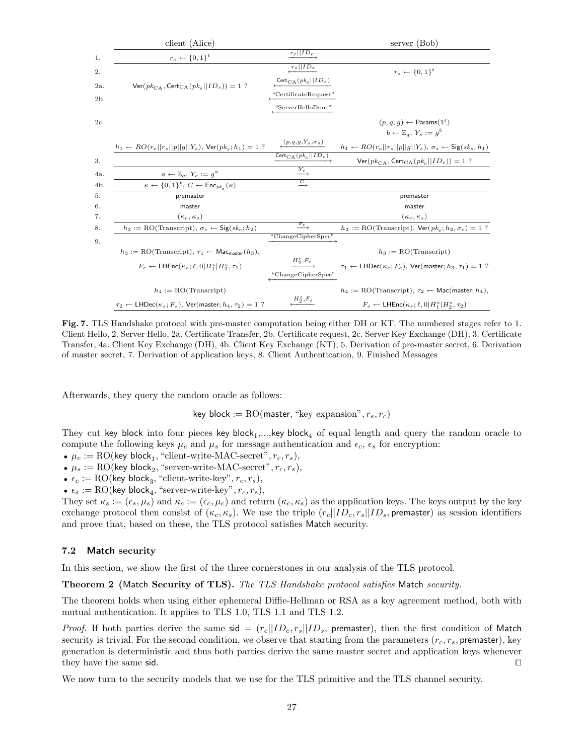|                | client (Alice)                                                                                  |                                                      | server (Bob)                                                                               |
|----------------|-------------------------------------------------------------------------------------------------|------------------------------------------------------|--------------------------------------------------------------------------------------------|
| 1.             | $r_c \leftarrow \{0,1\}^t$                                                                      | $r_c  ID_c$                                          |                                                                                            |
| 2.             |                                                                                                 | $r_s  ID_s$                                          | $r_s \leftarrow \{0, 1\}^t$                                                                |
| 2a.            | $\text{Ver}(pk_{\text{CA}}, \text{Cert}_{\text{CA}}(pk_s  ID_s)) = 1$ ?                         | $\mathsf{Cert_{CA}}(\mathit{pk}_s    \mathit{ID}_s)$ |                                                                                            |
| 2 <sub>b</sub> |                                                                                                 | 'CertificateRequest"                                 |                                                                                            |
|                |                                                                                                 | "ServerHelloDone"                                    |                                                                                            |
| 2c.            |                                                                                                 |                                                      | $(p, q, q) \leftarrow$ Params $(1t)$                                                       |
|                |                                                                                                 |                                                      | $b \leftarrow \mathbb{Z}_q, Y_s := g^b$                                                    |
|                | $h_1 \leftarrow RO(r_c  r_s  p  g  Y_s)$ , Ver $(pk_s; h_1) = 1$ ?                              | $(p,q,g,Y_s,\sigma_s)$                               | $h_1 \leftarrow RO(r_c  r_s  p  g  Y_s), \sigma_s \leftarrow \text{Sig}(sk_s, h_1)$        |
| 3.             |                                                                                                 | $\textsf{Cert}_{\textbf{CA}}(pk_c  ID_c)$            | $\text{Ver}(pk_{\text{CA}}, \text{Cert}_{\text{CA}}(pk_c  ID_c)) = 1$ ?                    |
| 4a.            | $a \leftarrow \mathbb{Z}_q, Y_c := q^a$                                                         | $\frac{Y_c}{\longrightarrow}$                        |                                                                                            |
| 4b.            | $\kappa \leftarrow \{0,1\}^t$ , $C \leftarrow \mathsf{Enc}_{pk_s}(\kappa)$                      | $\xrightarrow{C}$                                    |                                                                                            |
| 5.             | premaster                                                                                       |                                                      | premaster                                                                                  |
| 6.             | master                                                                                          |                                                      | master                                                                                     |
| 7.             | $(\kappa_c, \kappa_s)$                                                                          |                                                      | $(\kappa_c, \kappa_s)$                                                                     |
| 8.             | $h_2 := \text{RO}(\text{Transcript}), \sigma_c \leftarrow \text{Sig}(sk_c; h_2)$                | $\frac{\sigma_c}{\sigma}$                            | $h_2 := \text{RO}(\text{Transcript}), \text{Ver}(pk_c; h_2, \sigma_c) = 1$ ?               |
| 9.             |                                                                                                 | "ChangeCipherSpec"                                   |                                                                                            |
|                | $h_3 := \mathrm{RO}(\mathrm{Transcript}), \tau_1 \leftarrow \mathsf{Mac}_\mathsf{master}(h_3),$ |                                                      | $h_3 := \text{RO}(\text{Transcript})$                                                      |
|                | $F_c \leftarrow \textsf{LHEnc}(\kappa_c;\ell,0 H_1^c H_2^c,\tau_1)$                             | $H_2^c, F_c$<br>"ChangeCipherSpec"                   | $\tau_1 \leftarrow \text{LHDec}(\kappa_c; F_c)$ , Ver(master; $h_3, \tau_1$ ) = 1 ?        |
|                | $h_4 := \text{RO}(\text{Transcript})$                                                           |                                                      | $h_4 := \text{RO}(\text{Transcript}), \ \tau_2 \leftarrow \text{Mac}(\text{master}; h_4),$ |
|                | $\tau_2 \leftarrow \text{LHDec}(\kappa_s; F_s)$ , Ver(master; $h_4, \tau_2) = 1$ ?              | $H_2^s, F_s$                                         | $F_s \leftarrow \text{LHEnc}(\kappa_s; \ell, 0   H_1^s   H_2^s, \tau_2)$                   |

Fig. 7. TLS Handshake protocol with pre-master computation being either DH or KT. The numbered stages refer to 1. Client Hello, 2. Server Hello, 2a. Certificate Transfer, 2b. Certificate request, 2c. Server Key Exchange (DH), 3. Certificate Transfer, 4a. Client Key Exchange (DH), 4b. Client Key Exchange (KT), 5. Derivation of pre-master secret, 6. Derivation of master secret, 7. Derivation of application keys, 8. Client Authentication, 9. Finished Messages

Afterwards, they query the random oracle as follows:

key block :=  $\text{RO}(\text{master}, \text{``key expansion''}, r_s, r_c)$ 

They cut key block into four pieces key block<sub>1</sub>,...,key block<sub>4</sub> of equal length and query the random oracle to compute the following keys  $\mu_c$  and  $\mu_s$  for message authentication and  $\epsilon_c$ ,  $\epsilon_s$  for encryption:

- $\mu_c := \text{RO}(\text{key block}_1, \text{``client-write-MAC-secret''}, r_c, r_s),$
- $\mu_s := \text{RO}(\text{key block}_2, \text{``server-write-MAC-secret''}, r_c, r_s),$
- $\epsilon_c := \text{RO}(\text{key block}_3, \text{``client-write-key''}, r_c, r_s),$
- $\epsilon_s := \text{RO}(\text{key block}_4, \text{``server-write-key''}, r_c, r_s),$

They set  $\kappa_s := (\epsilon_s, \mu_s)$  and  $\kappa_c := (\epsilon_c, \mu_c)$  and return  $(\kappa_c, \kappa_s)$  as the application keys. The keys output by the key exchange protocol then consist of  $(\kappa_c, \kappa_s)$ . We use the triple  $(r_c||ID_c, r_s||ID_s)$ , premaster) as session identifiers and prove that, based on these, the TLS protocol satisfies Match security.

#### 7.2 Match security

In this section, we show the first of the three cornerstones in our analysis of the TLS protocol.

Theorem 2 (Match Security of TLS). The TLS Handshake protocol satisfies Match security.

The theorem holds when using either ephemeral Diffie-Hellman or RSA as a key agreement method, both with mutual authentication. It applies to TLS 1.0, TLS 1.1 and TLS 1.2.

*Proof.* If both parties derive the same sid =  $(r_c||ID_c, r_s||ID_s)$ , premaster), then the first condition of Match security is trivial. For the second condition, we observe that starting from the parameters  $(r_c, r_s)$  premaster), key generation is deterministic and thus both parties derive the same master secret and application keys whenever they have the same sid.  $\square$ 

We now turn to the security models that we use for the TLS primitive and the TLS channel security.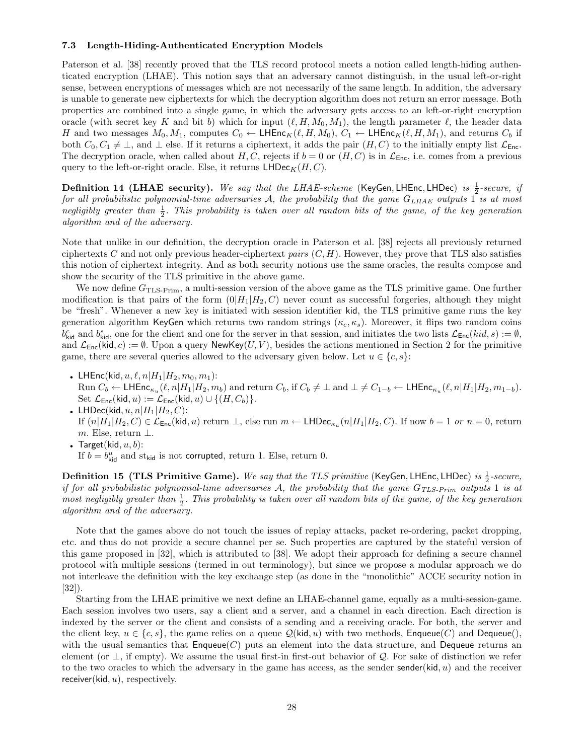#### 7.3 Length-Hiding-Authenticated Encryption Models

Paterson et al. [38] recently proved that the TLS record protocol meets a notion called length-hiding authenticated encryption (LHAE). This notion says that an adversary cannot distinguish, in the usual left-or-right sense, between encryptions of messages which are not necessarily of the same length. In addition, the adversary is unable to generate new ciphertexts for which the decryption algorithm does not return an error message. Both properties are combined into a single game, in which the adversary gets access to an left-or-right encryption oracle (with secret key K and bit b) which for input  $(\ell, H, M_0, M_1)$ , the length parameter  $\ell$ , the header data H and two messages  $M_0, M_1$ , computes  $C_0 \leftarrow \mathsf{LHEnc}_K(\ell, H, M_0), C_1 \leftarrow \mathsf{LHEnc}_K(\ell, H, M_1)$ , and returns  $C_b$  if both  $C_0, C_1 \neq \bot$ , and  $\bot$  else. If it returns a ciphertext, it adds the pair  $(H, C)$  to the initially empty list  $\mathcal{L}_{Enc}$ . The decryption oracle, when called about H, C, rejects if  $b = 0$  or  $(H, C)$  is in  $\mathcal{L}_{Enc}$ , i.e. comes from a previous query to the left-or-right oracle. Else, it returns  $LHDec_K(H, C)$ .

**Definition 14 (LHAE security).** We say that the LHAE-scheme (KeyGen, LHEnc, LHDec) is  $\frac{1}{2}$ -secure, if for all probabilistic polynomial-time adversaries  $A$ , the probability that the game  $G_{LHAE}$  outputs 1 is at most negligibly greater than  $\frac{1}{2}$ . This probability is taken over all random bits of the game, of the key generation algorithm and of the adversary.

Note that unlike in our definition, the decryption oracle in Paterson et al. [38] rejects all previously returned ciphertexts C and not only previous header-ciphertext pairs  $(C, H)$ . However, they prove that TLS also satisfies this notion of ciphertext integrity. And as both security notions use the same oracles, the results compose and show the security of the TLS primitive in the above game.

We now define  $G_{\text{TLS-Prim}}$ , a multi-session version of the above game as the TLS primitive game. One further modification is that pairs of the form  $(0|H_1|H_2, C)$  never count as successful forgeries, although they might be "fresh". Whenever a new key is initiated with session identifier kid, the TLS primitive game runs the key generation algorithm KeyGen which returns two random strings  $(\kappa_c, \kappa_s)$ . Moreover, it flips two random coins  $b_{\text{kid}}^c$  and  $b_{\text{kid}}^s$ , one for the client and one for the server in that session, and initiates the two lists  $\mathcal{L}_{\text{Enc}}(kid, s) := \emptyset$ , and  $\mathcal{L}_{Enc}($ kid,  $c) := \emptyset$ . Upon a query NewKey $(U, V)$ , besides the actions mentioned in Section 2 for the primitive game, there are several queries allowed to the adversary given below. Let  $u \in \{c, s\}$ :

- LHEnc(kid,  $u, \ell, n|H_1|H_2, m_0, m_1$ ):
- $\text{Run } C_b \leftarrow \textsf{LHEnc}_{\kappa_u}(\ell, n | H_1 | H_2, m_b) \text{ and return } C_b \text{, if } C_b \neq \bot \text{ and } \bot \neq C_{1-b} \leftarrow \textsf{LHEnc}_{\kappa_u}(\ell, n | H_1 | H_2, m_{1-b}).$ Set  $\mathcal{L}_{\mathsf{Enc}}(\mathsf{kid}, u) := \mathcal{L}_{\mathsf{Enc}}(\mathsf{kid}, u) \cup \{(H, C_b)\}.$
- LHDec(kid,  $u, n|H_1|H_2, C$ ): If  $(n|H_1|H_2, C) \in \mathcal{L}_{\mathsf{Enc}}(\mathsf{kid}, u)$  return  $\bot$ , else run  $m \leftarrow \mathsf{LHDec}_{\kappa_u}(n|H_1|H_2, C)$ . If now  $b = 1$  or  $n = 0$ , return m. Else, return  $\perp$ .
- Target(kid,  $u, b$ ): If  $b = b_{\text{kid}}^u$  and st<sub>kid</sub> is not corrupted, return 1. Else, return 0.

**Definition 15 (TLS Primitive Game).** We say that the TLS primitive (KeyGen, LHEnc, LHDec) is  $\frac{1}{2}$ -secure, if for all probabilistic polynomial-time adversaries  $A$ , the probability that the game  $G_{TLS-Prim}$  outputs 1 is at most negligibly greater than  $\frac{1}{2}$ . This probability is taken over all random bits of the game, of the key generation algorithm and of the adversary.

Note that the games above do not touch the issues of replay attacks, packet re-ordering, packet dropping, etc. and thus do not provide a secure channel per se. Such properties are captured by the stateful version of this game proposed in [32], which is attributed to [38]. We adopt their approach for defining a secure channel protocol with multiple sessions (termed in out terminology), but since we propose a modular approach we do not interleave the definition with the key exchange step (as done in the "monolithic" ACCE security notion in [32]).

Starting from the LHAE primitive we next define an LHAE-channel game, equally as a multi-session-game. Each session involves two users, say a client and a server, and a channel in each direction. Each direction is indexed by the server or the client and consists of a sending and a receiving oracle. For both, the server and the client key,  $u \in \{c, s\}$ , the game relies on a queue  $\mathcal{Q}(\text{kid}, u)$  with two methods, Enqueue(C) and Dequeue(), with the usual semantics that  $\textsf{Enqueue}(C)$  puts an element into the data structure, and Dequeue returns and element (or  $\perp$ , if empty). We assume the usual first-in first-out behavior of  $\mathcal{Q}$ . For sake of distinction we refer to the two oracles to which the adversary in the game has access, as the sender sender(kid,  $u$ ) and the receiver receiver(kid,  $u$ ), respectively.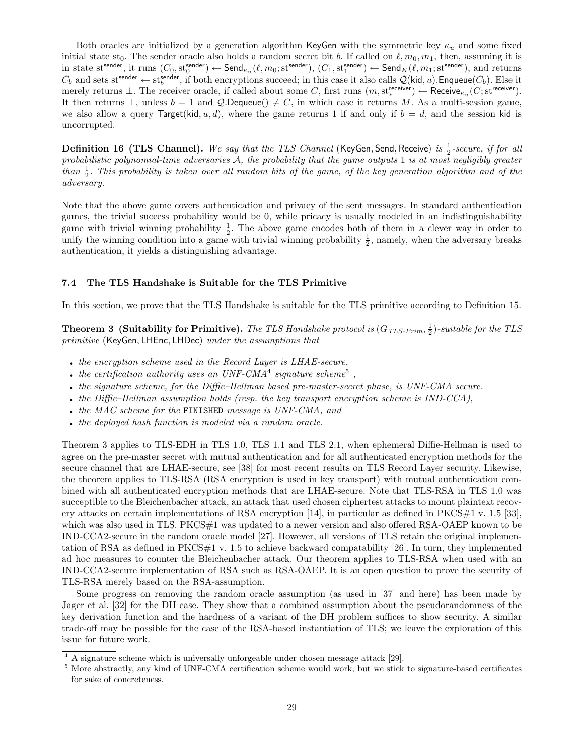Both oracles are initialized by a generation algorithm KeyGen with the symmetric key  $\kappa_u$  and some fixed initial state st<sub>0</sub>. The sender oracle also holds a random secret bit b. If called on  $\ell, m_0, m_1$ , then, assuming it is in state st<sup>sender</sup>, it runs  $(C_0, \text{st}_0^{\text{sender}}) \leftarrow \textsf{Send}_{\kappa_u}(\ell, m_0; \text{st}^{\text{sender}}), (C_1, \text{st}_1^{\text{sender}}) \leftarrow \textsf{Send}_K(\ell, m_1; \text{st}^{\text{sender}}),$  and returns  $C_b$  and sets st<sup>sender</sup>  $\leftarrow$  st<sup>sender</sup>, if both encryptions succeed; in this case it also calls  $\mathcal{Q}(\mathsf{kid}, u)$ . Enqueue $(C_b)$ . Else it merely returns  $\bot$ . The receiver oracle, if called about some C, first runs  $(m, \text{st}_*^{\text{receiver}}) \leftarrow \text{Receive}_{\kappa_u}(C; \text{st}_*^{\text{receiver}})$ . It then returns  $\perp$ , unless  $b = 1$  and Q.Dequeue()  $\neq C$ , in which case it returns M. As a multi-session game, we also allow a query Target(kid,  $u, d$ ), where the game returns 1 if and only if  $b = d$ , and the session kid is uncorrupted.

**Definition 16 (TLS Channel).** We say that the TLS Channel (KeyGen, Send, Receive) is  $\frac{1}{2}$ -secure, if for all probabilistic polynomial-time adversaries  $A$ , the probability that the game outputs 1 is at most negligibly greater than  $\frac{1}{2}$ . This probability is taken over all random bits of the game, of the key generation algorithm and of the adversary.

Note that the above game covers authentication and privacy of the sent messages. In standard authentication games, the trivial success probability would be 0, while pricacy is usually modeled in an indistinguishability game with trivial winning probability  $\frac{1}{2}$ . The above game encodes both of them in a clever way in order to unify the winning condition into a game with trivial winning probability  $\frac{1}{2}$ , namely, when the adversary breaks authentication, it yields a distinguishing advantage.

## 7.4 The TLS Handshake is Suitable for the TLS Primitive

In this section, we prove that the TLS Handshake is suitable for the TLS primitive according to Definition 15.

**Theorem 3 (Suitability for Primitive).** The TLS Handshake protocol is  $(G_{TLS\-Prim}, \frac{1}{2})$ -suitable for the TLS primitive (KeyGen, LHEnc, LHDec) under the assumptions that

- the encryption scheme used in the Record Layer is LHAE-secure,
- the certification authority uses an UNF-CMA<sup>4</sup> signature scheme<sup>5</sup>,
- the signature scheme, for the Diffie–Hellman based pre-master-secret phase, is UNF-CMA secure.
- the Diffie–Hellman assumption holds (resp. the key transport encryption scheme is  $IND-CCA$ ),
- the MAC scheme for the FINISHED message is UNF-CMA, and
- the deployed hash function is modeled via a random oracle.

Theorem 3 applies to TLS-EDH in TLS 1.0, TLS 1.1 and TLS 2.1, when ephemeral Diffie-Hellman is used to agree on the pre-master secret with mutual authentication and for all authenticated encryption methods for the secure channel that are LHAE-secure, see [38] for most recent results on TLS Record Layer security. Likewise, the theorem applies to TLS-RSA (RSA encryption is used in key transport) with mutual authentication combined with all authenticated encryption methods that are LHAE-secure. Note that TLS-RSA in TLS 1.0 was succeptible to the Bleichenbacher attack, an attack that used chosen ciphertest attacks to mount plaintext recovery attacks on certain implementations of RSA encryption [14], in particular as defined in PKCS#1 v. 1.5 [33], which was also used in TLS. PKCS#1 was updated to a newer version and also offered RSA-OAEP known to be IND-CCA2-secure in the random oracle model [27]. However, all versions of TLS retain the original implementation of RSA as defined in PKCS#1 v. 1.5 to achieve backward compatability [26]. In turn, they implemented ad hoc measures to counter the Bleichenbacher attack. Our theorem applies to TLS-RSA when used with an IND-CCA2-secure implementation of RSA such as RSA-OAEP. It is an open question to prove the security of TLS-RSA merely based on the RSA-assumption.

Some progress on removing the random oracle assumption (as used in [37] and here) has been made by Jager et al. [32] for the DH case. They show that a combined assumption about the pseudorandomness of the key derivation function and the hardness of a variant of the DH problem suffices to show security. A similar trade-off may be possible for the case of the RSA-based instantiation of TLS; we leave the exploration of this issue for future work.

<sup>&</sup>lt;sup>4</sup> A signature scheme which is universally unforgeable under chosen message attack [29].

<sup>5</sup> More abstractly, any kind of UNF-CMA certification scheme would work, but we stick to signature-based certificates for sake of concreteness.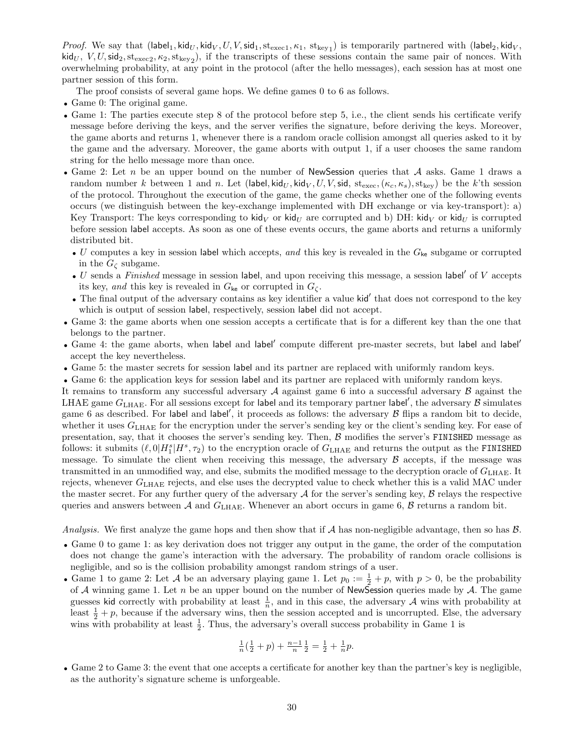*Proof.* We say that  $(\mathsf{label}_1, \mathsf{kid}_U, \mathsf{kid}_V, U, V, \mathsf{sid}_1, \mathsf{st}_{\mathsf{exec}_1}, \kappa_1, \ \mathsf{st}_{\mathsf{key}_1})$  is temporarily partnered with  $(\mathsf{label}_2, \mathsf{kid}_V,$  $\mathsf{kid}_U, V, U, \mathsf{sid}_2, \mathsf{st}_{\sf exec2}, \kappa_2, \mathsf{st}_{\sf key}_2),$  if the transcripts of these sessions contain the same pair of nonces. With overwhelming probability, at any point in the protocol (after the hello messages), each session has at most one partner session of this form.

The proof consists of several game hops. We define games 0 to 6 as follows.

- Game 0: The original game.
- Game 1: The parties execute step 8 of the protocol before step 5, i.e., the client sends his certificate verify message before deriving the keys, and the server verifies the signature, before deriving the keys. Moreover, the game aborts and returns 1, whenever there is a random oracle collision amongst all queries asked to it by the game and the adversary. Moreover, the game aborts with output 1, if a user chooses the same random string for the hello message more than once.
- Game 2: Let n be an upper bound on the number of NewSession queries that  $A$  asks. Game 1 draws a random number k between 1 and n. Let (label, kid<sub>U</sub>, kid<sub>V</sub>, U, V, sid, st<sub>exec</sub>, ( $\kappa_c$ ,  $\kappa_s$ ), st<sub>key</sub>) be the k'th session of the protocol. Throughout the execution of the game, the game checks whether one of the following events occurs (we distinguish between the key-exchange implemented with DH exchange or via key-transport): a) Key Transport: The keys corresponding to kid<sub>V</sub> or kid<sub>U</sub> are corrupted and b) DH: kid<sub>V</sub> or kid<sub>U</sub> is corrupted before session label accepts. As soon as one of these events occurs, the game aborts and returns a uniformly distributed bit.
	- U computes a key in session label which accepts, and this key is revealed in the  $G_{\text{ke}}$  subgame or corrupted in the  $G_{\zeta}$  subgame.
	- U sends a Finished message in session label, and upon receiving this message, a session label' of V accepts its key, and this key is revealed in  $G_{\mathsf{ke}}$  or corrupted in  $G_{\zeta}$ .
	- The final output of the adversary contains as key identifier a value kid' that does not correspond to the key which is output of session label, respectively, session label did not accept.
- Game 3: the game aborts when one session accepts a certificate that is for a different key than the one that belongs to the partner.
- Game 4: the game aborts, when label and label' compute different pre-master secrets, but label and label' accept the key nevertheless.
- Game 5: the master secrets for session label and its partner are replaced with uniformly random keys.
- Game 6: the application keys for session label and its partner are replaced with uniformly random keys.

It remains to transform any successful adversary  $A$  against game 6 into a successful adversary  $B$  against the LHAE game  $G_{\rm LHAE}$ . For all sessions except for label and its temporary partner label', the adversary  $B$  simulates game 6 as described. For label and label, it proceeds as follows: the adversary  $\beta$  flips a random bit to decide, whether it uses  $G_{\text{LHAE}}$  for the encryption under the server's sending key or the client's sending key. For ease of presentation, say, that it chooses the server's sending key. Then, B modifies the server's FINISHED message as follows: it submits  $(\ell, 0|H_1^s|H^s, \tau_2)$  to the encryption oracle of  $G_{\text{LHAE}}$  and returns the output as the FINISHED message. To simulate the client when receiving this message, the adversary  $\beta$  accepts, if the message was transmitted in an unmodified way, and else, submits the modified message to the decryption oracle of  $G_{\rm LHAE}$ . It rejects, whenever  $G_{\text{LHAE}}$  rejects, and else uses the decrypted value to check whether this is a valid MAC under the master secret. For any further query of the adversary  $A$  for the server's sending key,  $B$  relays the respective queries and answers between A and  $G_{\text{LHAE}}$ . Whenever an abort occurs in game 6, B returns a random bit.

Analysis. We first analyze the game hops and then show that if  $A$  has non-negligible advantage, then so has  $B$ .

- Game 0 to game 1: as key derivation does not trigger any output in the game, the order of the computation does not change the game's interaction with the adversary. The probability of random oracle collisions is negligible, and so is the collision probability amongst random strings of a user.
- Game 1 to game 2: Let A be an adversary playing game 1. Let  $p_0 := \frac{1}{2} + p$ , with  $p > 0$ , be the probability of A winning game 1. Let n be an upper bound on the number of NewSession queries made by  $\mathcal{A}$ . The game guesses kid correctly with probability at least  $\frac{1}{n}$ , and in this case, the adversary A wins with probability at least  $\frac{1}{2} + p$ , because if the adversary wins, then the session accepted and is uncorrupted. Else, the adversary wins with probability at least  $\frac{1}{2}$ . Thus, the adversary's overall success probability in Game 1 is

$$
\frac{1}{n}(\frac{1}{2} + p) + \frac{n-1}{n}\frac{1}{2} = \frac{1}{2} + \frac{1}{n}p.
$$

• Game 2 to Game 3: the event that one accepts a certificate for another key than the partner's key is negligible, as the authority's signature scheme is unforgeable.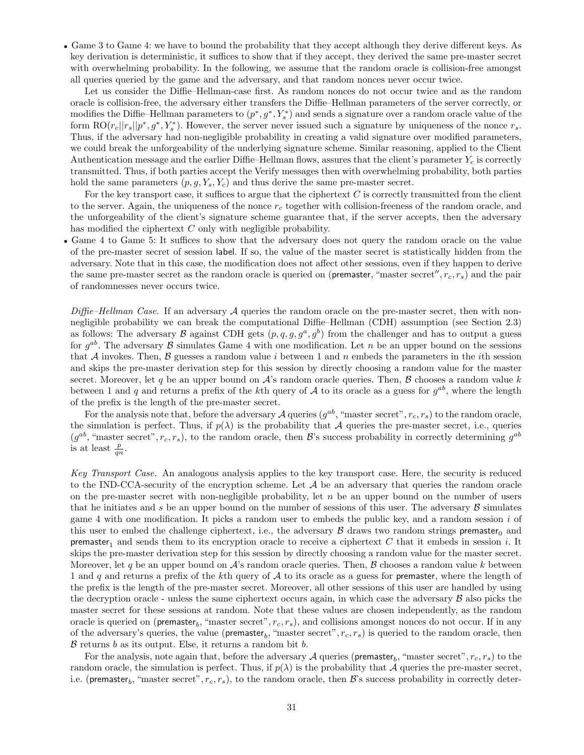• Game 3 to Game 4: we have to bound the probability that they accept although they derive different keys. As key derivation is deterministic, it suffices to show that if they accept, they derived the same pre-master secret with overwhelming probability. In the following, we assume that the random oracle is collision-free amongst all queries queried by the game and the adversary, and that random nonces never occur twice.

Let us consider the Diffie–Hellman-case first. As random nonces do not occur twice and as the random oracle is collision-free, the adversary either transfers the Diffie–Hellman parameters of the server correctly, or modifies the Diffie–Hellman parameters to  $(p^*,g^*,Y^*_s)$  and sends a signature over a random oracle value of the form  $RO(r_c||r_s||p^*, g^*, Y_s^*)$ . However, the server never issued such a signature by uniqueness of the nonce  $r_s$ . Thus, if the adversary had non-negligible probability in creating a valid signature over modified parameters, we could break the unforgeability of the underlying signature scheme. Similar reasoning, applied to the Client Authentication message and the earlier Diffie–Hellman flows, assures that the client's parameter  $Y_c$  is correctly transmitted. Thus, if both parties accept the Verify messages then with overwhelming probability, both parties hold the same parameters  $(p, g, Y_s, Y_c)$  and thus derive the same pre-master secret.

For the key transport case, it suffices to argue that the ciphertext  $C$  is correctly transmitted from the client to the server. Again, the uniqueness of the nonce  $r_c$  together with collision-freeness of the random oracle, and the unforgeability of the client's signature scheme guarantee that, if the server accepts, then the adversary has modified the ciphertext C only with negligible probability.

• Game 4 to Game 5: It suffices to show that the adversary does not query the random oracle on the value of the pre-master secret of session label. If so, the value of the master secret is statistically hidden from the adversary. Note that in this case, the modification does not affect other sessions, even if they happen to derive the same pre-master secret as the random oracle is queried on (premaster, "master secret",  $r_c$ ,  $r_s$ ) and the pair of randomnesses never occurs twice.

 $Diffe-Hellman Case.$  If an adversary A queries the random oracle on the pre-master secret, then with nonnegligible probability we can break the computational Diffie–Hellman (CDH) assumption (see Section 2.3) as follows: The adversary B against CDH gets  $(p, q, g, g^a, g^b)$  from the challenger and has to output a guess for  $g^{ab}$ . The adversary  $\beta$  simulates Game 4 with one modification. Let n be an upper bound on the sessions that A invokes. Then, B guesses a random value i between 1 and n embeds the parameters in the ith session and skips the pre-master derivation step for this session by directly choosing a random value for the master secret. Moreover, let q be an upper bound on  $\mathcal{A}$ 's random oracle queries. Then,  $\mathcal{B}$  chooses a random value k between 1 and q and returns a prefix of the kth query of A to its oracle as a guess for  $g^{ab}$ , where the length of the prefix is the length of the pre-master secret.

For the analysis note that, before the adversary  $A$  queries  $(g^{ab}, \text{``master secret''}, r_c, r_s)$  to the random oracle, the simulation is perfect. Thus, if  $p(\lambda)$  is the probability that A queries the pre-master secret, i.e., queries  $(g^{ab}, \text{ "master secret", } r_c, r_s)$ , to the random oracle, then  $\mathcal{B}'s$  success probability in correctly determining  $g^{ab}$ is at least  $\frac{p}{qn}$ .

Key Transport Case. An analogous analysis applies to the key transport case. Here, the security is reduced to the IND-CCA-security of the encryption scheme. Let  $A$  be an adversary that queries the random oracle on the pre-master secret with non-negligible probability, let  $n$  be an upper bound on the number of users that he initiates and s be an upper bound on the number of sessions of this user. The adversary  $\beta$  simulates game 4 with one modification. It picks a random user to embeds the public key, and a random session  $i$  of this user to embed the challenge ciphertext, i.e., the adversary  $\beta$  draws two random strings premaster<sub>0</sub> and premaster<sub>1</sub> and sends them to its encryption oracle to receive a ciphertext  $C$  that it embeds in session i. It skips the pre-master derivation step for this session by directly choosing a random value for the master secret. Moreover, let q be an upper bound on  $\mathcal{A}$ 's random oracle queries. Then,  $\mathcal{B}$  chooses a random value k between 1 and q and returns a prefix of the kth query of  $A$  to its oracle as a guess for premaster, where the length of the prefix is the length of the pre-master secret. Moreover, all other sessions of this user are handled by using the decryption oracle - unless the same ciphertext occurs again, in which case the adversary  $\beta$  also picks the master secret for these sessions at random. Note that these values are chosen independently, as the random oracle is queried on (premaster<sub>b</sub>, "master secret",  $r_c, r_s$ ), and collisions amongst nonces do not occur. If in any of the adversary's queries, the value (premaster<sub>b</sub>, "master secret",  $r_c, r_s$ ) is queried to the random oracle, then  $\beta$  returns  $b$  as its output. Else, it returns a random bit  $b$ .

For the analysis, note again that, before the adversary  $\mathcal A$  queries (premaster<sub>b</sub>, "master secret",  $r_c, r_s$ ) to the random oracle, the simulation is perfect. Thus, if  $p(\lambda)$  is the probability that A queries the pre-master secret, i.e. (premaster<sub>b</sub>, "master secret",  $r_c, r_s$ ), to the random oracle, then  $\mathcal{B}$ 's success probability in correctly deter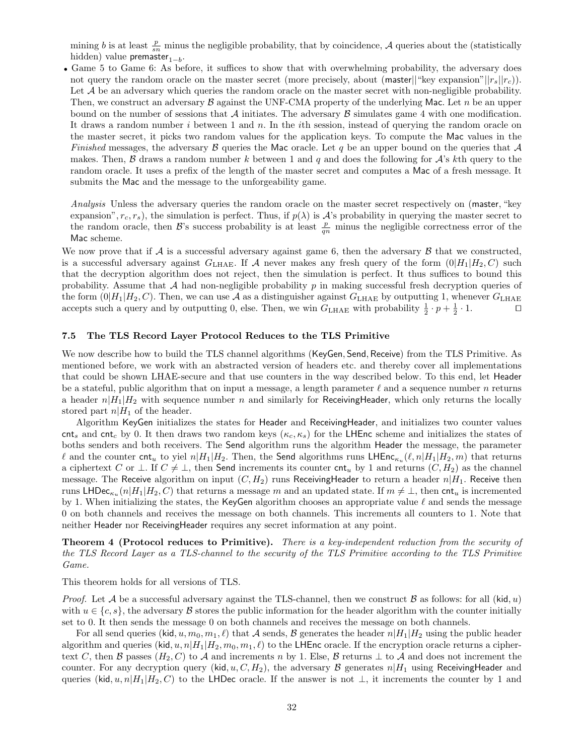mining b is at least  $\frac{p}{sn}$  minus the negligible probability, that by coincidence, A queries about the (statistically hidden) value premaster $_{1-b}$ .

• Game 5 to Game 6: As before, it suffices to show that with overwhelming probability, the adversary does not query the random oracle on the master secret (more precisely, about (master||"key expansion"| $|r_s||r_c\rangle$ ). Let  $A$  be an adversary which queries the random oracle on the master secret with non-negligible probability. Then, we construct an adversary  $\beta$  against the UNF-CMA property of the underlying Mac. Let n be an upper bound on the number of sessions that  $\mathcal A$  initiates. The adversary  $\mathcal B$  simulates game 4 with one modification. It draws a random number  $i$  between 1 and  $n$ . In the ith session, instead of querying the random oracle on the master secret, it picks two random values for the application keys. To compute the Mac values in the Finished messages, the adversary B queries the Mac oracle. Let q be an upper bound on the queries that A makes. Then, B draws a random number k between 1 and q and does the following for  $\mathcal{A}$ 's kth query to the random oracle. It uses a prefix of the length of the master secret and computes a Mac of a fresh message. It submits the Mac and the message to the unforgeability game.

Analysis Unless the adversary queries the random oracle on the master secret respectively on (master, "key expansion",  $r_c, r_s$ ), the simulation is perfect. Thus, if  $p(\lambda)$  is  $\lambda$ 's probability in querying the master secret to the random oracle, then B's success probability is at least  $\frac{p}{qn}$  minus the negligible correctness error of the Mac scheme.

We now prove that if  $\mathcal A$  is a successful adversary against game 6, then the adversary  $\mathcal B$  that we constructed, is a successful adversary against  $G_{\text{LHAE}}$ . If A never makes any fresh query of the form  $(0|H_1|H_2, C)$  such that the decryption algorithm does not reject, then the simulation is perfect. It thus suffices to bound this probability. Assume that A had non-negligible probability  $p$  in making successful fresh decryption queries of the form  $(0|H_1|H_2, C)$ . Then, we can use A as a distinguisher against  $G_{\text{LHAE}}$  by outputting 1, whenever  $G_{\text{LHAE}}$ accepts such a query and by outputting 0, else. Then, we win  $G_{\text{LHAE}}$  with probability  $\frac{1}{2} \cdot p + \frac{1}{2} \cdot 1$ .

## 7.5 The TLS Record Layer Protocol Reduces to the TLS Primitive

We now describe how to build the TLS channel algorithms (KeyGen, Send, Receive) from the TLS Primitive. As mentioned before, we work with an abstracted version of headers etc. and thereby cover all implementations that could be shown LHAE-secure and that use counters in the way described below. To this end, let Header be a stateful, public algorithm that on input a message, a length parameter  $\ell$  and a sequence number n returns a header  $n|H_1|H_2$  with sequence number n and similarly for ReceivingHeader, which only returns the locally stored part  $n|H_1$  of the header.

Algorithm KeyGen initializes the states for Header and ReceivingHeader, and initializes two counter values cnt<sub>s</sub> and cnt<sub>c</sub> by 0. It then draws two random keys ( $\kappa_c, \kappa_s$ ) for the LHEnc scheme and initializes the states of boths senders and both receivers. The Send algorithm runs the algorithm Header the message, the parameter  $\ell$  and the counter cnt<sub>u</sub> to yiel  $n|H_1|H_2$ . Then, the Send algorithms runs LHEnc<sub> $\kappa_u$ </sub> $(\ell, n|H_1|H_2, m)$  that returns a ciphertext C or  $\perp$ . If  $C \neq \perp$ , then Send increments its counter cnt<sub>u</sub> by 1 and returns  $(C, H_2)$  as the channel message. The Receive algorithm on input  $(C, H_2)$  runs ReceivingHeader to return a header  $n|H_1$ . Receive then runs LHDec<sub> $\kappa_u$ </sub> (n|H<sub>1</sub>|H<sub>2</sub>, C) that returns a message m and an updated state. If  $m \neq \perp$ , then cnt<sub>u</sub> is incremented by 1. When initializing the states, the KeyGen algorithm chooses an appropriate value  $\ell$  and sends the message 0 on both channels and receives the message on both channels. This increments all counters to 1. Note that neither Header nor ReceivingHeader requires any secret information at any point.

**Theorem 4 (Protocol reduces to Primitive).** There is a key-independent reduction from the security of the TLS Record Layer as a TLS-channel to the security of the TLS Primitive according to the TLS Primitive Game.

This theorem holds for all versions of TLS.

*Proof.* Let A be a successful adversary against the TLS-channel, then we construct B as follows: for all (kid, u) with  $u \in \{c, s\}$ , the adversary B stores the public information for the header algorithm with the counter initially set to 0. It then sends the message 0 on both channels and receives the message on both channels.

For all send queries (kid,  $u, m_0, m_1, \ell$ ) that A sends, B generates the header  $n|H_1|H_2$  using the public header algorithm and queries (kid,  $u, n|H_1|H_2, m_0, m_1, \ell$ ) to the LHEnc oracle. If the encryption oracle returns a ciphertext C, then B passes  $(H_2, C)$  to A and increments n by 1. Else, B returns  $\perp$  to A and does not increment the counter. For any decryption query (kid,  $u, C, H_2$ ), the adversary B generates  $n|H_1$  using ReceivingHeader and queries (kid,  $u, n|H_1|H_2, C$ ) to the LHDec oracle. If the answer is not  $\perp$ , it increments the counter by 1 and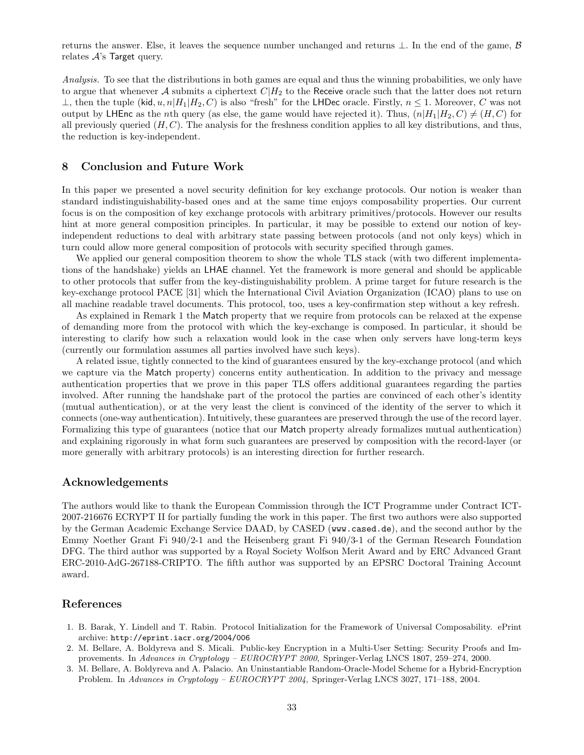returns the answer. Else, it leaves the sequence number unchanged and returns  $\perp$ . In the end of the game,  $\beta$ relates  $A$ 's Target query.

Analysis. To see that the distributions in both games are equal and thus the winning probabilities, we only have to argue that whenever A submits a ciphertext  $C|H_2$  to the Receive oracle such that the latter does not return  $\perp$ , then the tuple (kid,  $u, n|H_1|H_2, C$ ) is also "fresh" for the LHDec oracle. Firstly,  $n \leq 1$ . Moreover, C was not output by LHEnc as the nth query (as else, the game would have rejected it). Thus,  $(n|H_1|H_2, C) \neq (H, C)$  for all previously queried  $(H, C)$ . The analysis for the freshness condition applies to all key distributions, and thus, the reduction is key-independent.

# 8 Conclusion and Future Work

In this paper we presented a novel security definition for key exchange protocols. Our notion is weaker than standard indistinguishability-based ones and at the same time enjoys composability properties. Our current focus is on the composition of key exchange protocols with arbitrary primitives/protocols. However our results hint at more general composition principles. In particular, it may be possible to extend our notion of keyindependent reductions to deal with arbitrary state passing between protocols (and not only keys) which in turn could allow more general composition of protocols with security specified through games.

We applied our general composition theorem to show the whole TLS stack (with two different implementations of the handshake) yields an LHAE channel. Yet the framework is more general and should be applicable to other protocols that suffer from the key-distinguishability problem. A prime target for future research is the key-exchange protocol PACE [31] which the International Civil Aviation Organization (ICAO) plans to use on all machine readable travel documents. This protocol, too, uses a key-confirmation step without a key refresh.

As explained in Remark 1 the Match property that we require from protocols can be relaxed at the expense of demanding more from the protocol with which the key-exchange is composed. In particular, it should be interesting to clarify how such a relaxation would look in the case when only servers have long-term keys (currently our formulation assumes all parties involved have such keys).

A related issue, tightly connected to the kind of guarantees ensured by the key-exchange protocol (and which we capture via the Match property) concerns entity authentication. In addition to the privacy and message authentication properties that we prove in this paper TLS offers additional guarantees regarding the parties involved. After running the handshake part of the protocol the parties are convinced of each other's identity (mutual authentication), or at the very least the client is convinced of the identity of the server to which it connects (one-way authentication). Intuitively, these guarantees are preserved through the use of the record layer. Formalizing this type of guarantees (notice that our Match property already formalizes mutual authentication) and explaining rigorously in what form such guarantees are preserved by composition with the record-layer (or more generally with arbitrary protocols) is an interesting direction for further research.

## Acknowledgements

The authors would like to thank the European Commission through the ICT Programme under Contract ICT-2007-216676 ECRYPT II for partially funding the work in this paper. The first two authors were also supported by the German Academic Exchange Service DAAD, by CASED (www.cased.de), and the second author by the Emmy Noether Grant Fi 940/2-1 and the Heisenberg grant Fi 940/3-1 of the German Research Foundation DFG. The third author was supported by a Royal Society Wolfson Merit Award and by ERC Advanced Grant ERC-2010-AdG-267188-CRIPTO. The fifth author was supported by an EPSRC Doctoral Training Account award.

## References

- 1. B. Barak, Y. Lindell and T. Rabin. Protocol Initialization for the Framework of Universal Composability. ePrint archive: http://eprint.iacr.org/2004/006
- 2. M. Bellare, A. Boldyreva and S. Micali. Public-key Encryption in a Multi-User Setting: Security Proofs and Improvements. In Advances in Cryptology – EUROCRYPT 2000, Springer-Verlag LNCS 1807, 259–274, 2000.
- 3. M. Bellare, A. Boldyreva and A. Palacio. An Uninstantiable Random-Oracle-Model Scheme for a Hybrid-Encryption Problem. In Advances in Cryptology – EUROCRYPT 2004, Springer-Verlag LNCS 3027, 171–188, 2004.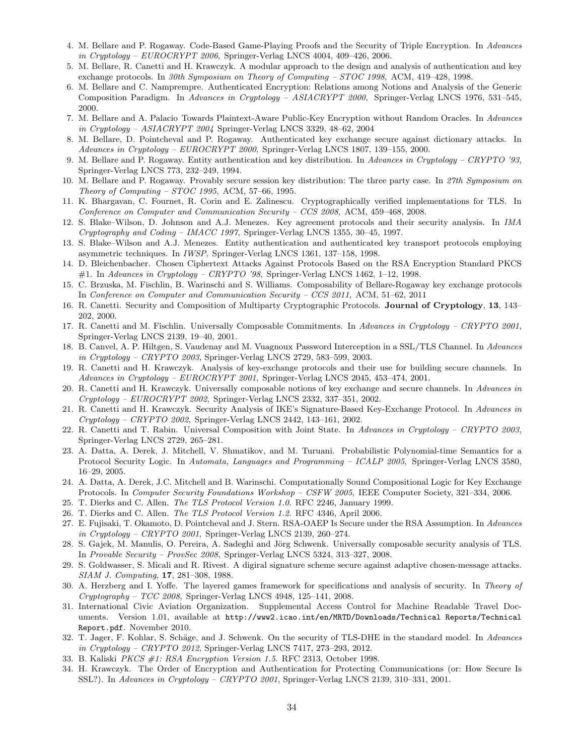- 4. M. Bellare and P. Rogaway. Code-Based Game-Playing Proofs and the Security of Triple Encryption. In Advances in Cryptology – EUROCRYPT 2006, Springer-Verlag LNCS 4004, 409–426, 2006.
- 5. M. Bellare, R. Canetti and H. Krawczyk. A modular approach to the design and analysis of authentication and key exchange protocols. In 30th Symposium on Theory of Computing – STOC 1998, ACM, 419–428, 1998.
- 6. M. Bellare and C. Namprempre. Authenticated Encryption: Relations among Notions and Analysis of the Generic Composition Paradigm. In Advances in Cryptology – ASIACRYPT 2000, Springer-Verlag LNCS 1976, 531–545, 2000.
- 7. M. Bellare and A. Palacio Towards Plaintext-Aware Public-Key Encryption without Random Oracles. In Advances in Cryptology – ASIACRYPT 2004 Springer-Verlag LNCS 3329, 48–62, 2004
- 8. M. Bellare, D. Pointcheval and P. Rogaway. Authenticated key exchange secure against dictionary attacks. In Advances in Cryptology – EUROCRYPT 2000, Springer-Verlag LNCS 1807, 139–155, 2000.
- 9. M. Bellare and P. Rogaway. Entity authentication and key distribution. In Advances in Cryptology CRYPTO '93, Springer-Verlag LNCS 773, 232–249, 1994.
- 10. M. Bellare and P. Rogaway. Provably secure session key distribution: The three party case. In 27th Symposium on Theory of Computing –  $STOC$  1995, ACM, 57–66, 1995.
- 11. K. Bhargavan, C. Fournet, R. Corin and E. Zalinescu. Cryptographically verified implementations for TLS. In Conference on Computer and Communication Security – CCS 2008, ACM, 459–468, 2008.
- 12. S. Blake–Wilson, D. Johnson and A.J. Menezes. Key agreement protocols and their security analysis. In IMA Cryptography and Coding – IMACC 1997, Springer-Verlag LNCS 1355, 30–45, 1997.
- 13. S. Blake–Wilson and A.J. Menezes. Entity authentication and authenticated key transport protocols employing asymmetric techniques. In IWSP, Springer-Verlag LNCS 1361, 137–158, 1998.
- 14. D. Bleichenbacher. Chosen Ciphertext Attacks Against Protocols Based on the RSA Encryption Standard PKCS  $\#1.$  In Advances in Cryptology – CRYPTO '98, Springer-Verlag LNCS 1462, 1–12, 1998.
- 15. C. Brzuska, M. Fischlin, B. Warinschi and S. Williams. Composability of Bellare-Rogaway key exchange protocols In Conference on Computer and Communication Security – CCS 2011, ACM, 51–62, 2011
- 16. R. Canetti. Security and Composition of Multiparty Cryptographic Protocols. Journal of Cryptology, 13, 143– 202, 2000.
- 17. R. Canetti and M. Fischlin. Universally Composable Commitments. In Advances in Cryptology CRYPTO 2001, Springer-Verlag LNCS 2139, 19–40, 2001.
- 18. B. Canvel, A. P. Hiltgen, S. Vaudenay and M. Vuagnoux Password Interception in a SSL/TLS Channel. In Advances in Cryptology – CRYPTO 2003, Springer-Verlag LNCS 2729, 583–599, 2003.
- 19. R. Canetti and H. Krawczyk. Analysis of key-exchange protocols and their use for building secure channels. In Advances in Cryptology – EUROCRYPT 2001, Springer-Verlag LNCS 2045, 453–474, 2001.
- 20. R. Canetti and H. Krawczyk. Universally composable notions of key exchange and secure channels. In Advances in  $Cryptology - EUROCRYPT 2002$ , Springer-Verlag LNCS 2332, 337-351, 2002.
- 21. R. Canetti and H. Krawczyk. Security Analysis of IKE's Signature-Based Key-Exchange Protocol. In Advances in Cryptology – CRYPTO 2002, Springer-Verlag LNCS 2442, 143–161, 2002.
- 22. R. Canetti and T. Rabin. Universal Composition with Joint State. In Advances in Cryptology CRYPTO 2003, Springer-Verlag LNCS 2729, 265–281.
- 23. A. Datta, A. Derek, J. Mitchell, V. Shmatikov, and M. Turuani. Probabilistic Polynomial-time Semantics for a Protocol Security Logic. In Automata, Languages and Programming – ICALP 2005, Springer-Verlag LNCS 3580, 16–29, 2005.
- 24. A. Datta, A. Derek, J.C. Mitchell and B. Warinschi. Computationally Sound Compositional Logic for Key Exchange Protocols. In Computer Security Foundations Workshop – CSFW 2005, IEEE Computer Society, 321–334, 2006.
- 25. T. Dierks and C. Allen. The TLS Protocol Version 1.0. RFC 2246, January 1999.
- 26. T. Dierks and C. Allen. The TLS Protocol Version 1.2. RFC 4346, April 2006.
- 27. E. Fujisaki, T. Okamoto, D. Pointcheval and J. Stern. RSA-OAEP Is Secure under the RSA Assumption. In Advances in Cryptology – CRYPTO 2001, Springer-Verlag LNCS 2139, 260–274.
- 28. S. Gajek, M. Manulis, O. Pereira, A. Sadeghi and Jörg Schwenk. Universally composable security analysis of TLS. In Provable Security – ProvSec 2008, Springer-Verlag LNCS 5324, 313–327, 2008.
- 29. S. Goldwasser, S. Micali and R. Rivest. A digiral signature scheme secure against adaptive chosen-message attacks. SIAM J. Computing, 17, 281–308, 1988.
- 30. A. Herzberg and I. Yoffe. The layered games framework for specifications and analysis of security. In Theory of  $Cryptography - TCC 2008$ , Springer-Verlag LNCS 4948, 125-141, 2008.
- 31. International Civic Aviation Organization. Supplemental Access Control for Machine Readable Travel Documents. Version 1.01, available at http://www2.icao.int/en/MRTD/Downloads/Technical Reports/Technical Report.pdf. November 2010.
- 32. T. Jager, F. Kohlar, S. Schäge, and J. Schwenk. On the security of TLS-DHE in the standard model. In Advances in Cryptology – CRYPTO 2012, Springer-Verlag LNCS 7417, 273–293, 2012.
- 33. B. Kaliski PKCS #1: RSA Encryption Version 1.5. RFC 2313, October 1998.
- 34. H. Krawczyk. The Order of Encryption and Authentication for Protecting Communications (or: How Secure Is SSL?). In Advances in Cryptology – CRYPTO 2001, Springer-Verlag LNCS 2139, 310–331, 2001.